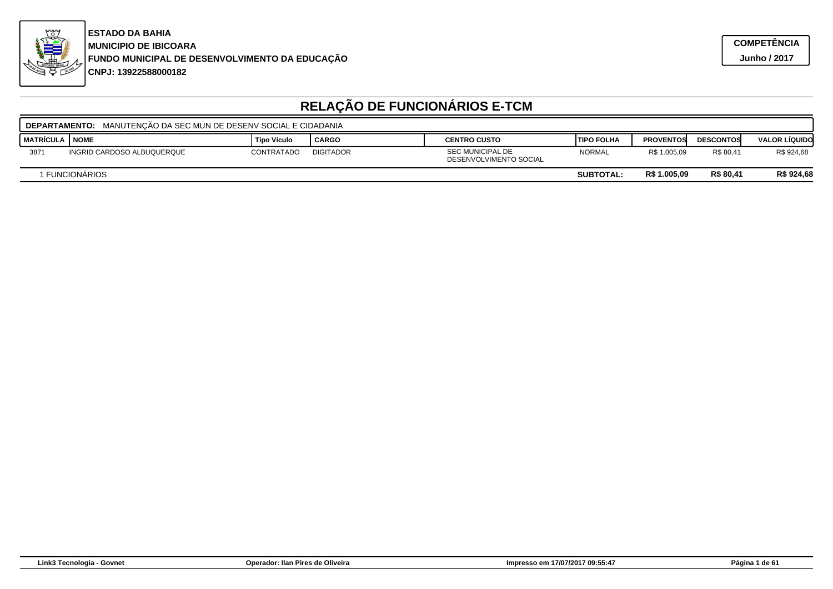

**CNPJ: 13922588000182FUNDO MUNICIPAL DE DESENVOLVIMENTO DA EDUCAÇÃO MUNICIPIO DE IBICOARA ESTADO DA BAHIA**

|                                                                 | <b>DEPARTAMENTO:</b> MANUTENCÃO DA SEC MUN DE DESENV SOCIAL E CIDADANIA |                    |                  |                                                   |                    |                  |                  |                      |  |  |
|-----------------------------------------------------------------|-------------------------------------------------------------------------|--------------------|------------------|---------------------------------------------------|--------------------|------------------|------------------|----------------------|--|--|
| <b>I MATRÍCULA</b>                                              | I NOME                                                                  | <b>Tipo Vículo</b> | CARGO            | <b>CENTRO CUSTO</b>                               | <b>ITIPO FOLHA</b> | <b>PROVENTOS</b> | <b>DESCONTOS</b> | <b>VALOR LÍQUIDO</b> |  |  |
| 3871                                                            | INGRID CARDOSO ALBUQUERQUE                                              | CONTRATADO         | <b>DIGITADOR</b> | <b>SEC MUNICIPAL DE</b><br>DESENVOLVIMENTO SOCIAL | <b>NORMAL</b>      | R\$ 1.005,09     | R\$ 80,41        | R\$ 924,68           |  |  |
| R\$ 80,41<br>R\$ 1.005,09<br>I FUNCIONÀRIOS<br><b>SUBTOTAL:</b> |                                                                         |                    |                  |                                                   |                    |                  | R\$ 924,68       |                      |  |  |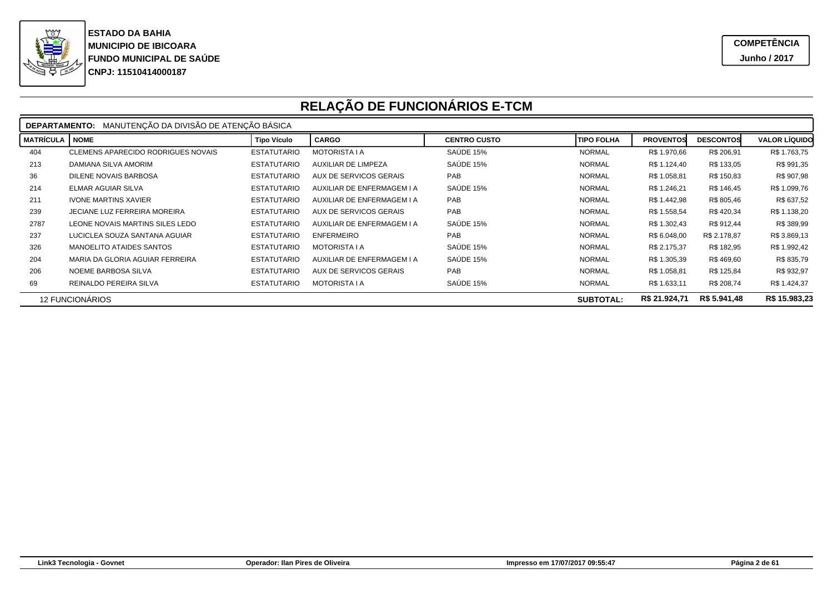

|                  | <b>DEPARTAMENTO: MANUTENCÃO DA DIVISÃO DE ATENCÃO BÁSICA</b>                |                    |                               |                     |                   |                  |                  |                      |  |  |
|------------------|-----------------------------------------------------------------------------|--------------------|-------------------------------|---------------------|-------------------|------------------|------------------|----------------------|--|--|
| <b>MATRÍCULA</b> | <b>NOME</b>                                                                 | <b>Tipo Vículo</b> | <b>CARGO</b>                  | <b>CENTRO CUSTO</b> | <b>TIPO FOLHA</b> | <b>PROVENTOS</b> | <b>DESCONTOS</b> | <b>VALOR LÍQUIDO</b> |  |  |
| 404              | CLEMENS APARECIDO RODRIGUES NOVAIS                                          | <b>ESTATUTARIO</b> | <b>MOTORISTA I A</b>          | SAÚDE 15%           | <b>NORMAL</b>     | R\$ 1.970,66     | R\$ 206,91       | R\$ 1.763,75         |  |  |
| 213              | DAMIANA SILVA AMORIM                                                        | <b>ESTATUTARIO</b> | <b>AUXILIAR DE LIMPEZA</b>    | SAÚDE 15%           | <b>NORMAL</b>     | R\$ 1.124,40     | R\$ 133,05       | R\$ 991,35           |  |  |
| 36               | DILENE NOVAIS BARBOSA                                                       | <b>ESTATUTARIO</b> | AUX DE SERVICOS GERAIS        | PAB                 | <b>NORMAL</b>     | R\$ 1.058,81     | R\$ 150,83       | R\$ 907,98           |  |  |
| 214              | <b>ELMAR AGUIAR SILVA</b>                                                   | <b>ESTATUTARIO</b> | AUXILIAR DE ENFERMAGEM I A    | SAÚDE 15%           | <b>NORMAL</b>     | R\$ 1.246,21     | R\$ 146,45       | R\$ 1.099,76         |  |  |
| 211              | <b>IVONE MARTINS XAVIER</b>                                                 | <b>ESTATUTARIO</b> | AUXILIAR DE ENFERMAGEM I A    | PAB                 | <b>NORMAL</b>     | R\$ 1.442,98     | R\$ 805,46       | R\$ 637,52           |  |  |
| 239              | <b>JECIANE LUZ FERREIRA MOREIRA</b>                                         | <b>ESTATUTARIO</b> | <b>AUX DE SERVICOS GERAIS</b> | PAB                 | <b>NORMAL</b>     | R\$ 1.558,54     | R\$420,34        | R\$ 1.138,20         |  |  |
| 2787             | LEONE NOVAIS MARTINS SILES LEDO                                             | <b>ESTATUTARIO</b> | AUXILIAR DE ENFERMAGEM I A    | SAÚDE 15%           | <b>NORMAL</b>     | R\$ 1.302,43     | R\$ 912,44       | R\$ 389,99           |  |  |
| 237              | LUCICLEA SOUZA SANTANA AGUIAR                                               | <b>ESTATUTARIO</b> | <b>ENFERMEIRO</b>             | PAB                 | <b>NORMAL</b>     | R\$ 6.048,00     | R\$ 2.178,87     | R\$ 3.869,13         |  |  |
| 326              | MANOELITO ATAIDES SANTOS                                                    | <b>ESTATUTARIO</b> | <b>MOTORISTA I A</b>          | SAÚDE 15%           | <b>NORMAL</b>     | R\$ 2.175,37     | R\$ 182,95       | R\$ 1.992,42         |  |  |
| 204              | MARIA DA GLORIA AGUIAR FERREIRA                                             | <b>ESTATUTARIO</b> | AUXILIAR DE ENFERMAGEM I A    | SAÚDE 15%           | <b>NORMAL</b>     | R\$ 1.305,39     | R\$469,60        | R\$ 835,79           |  |  |
| 206              | NOEME BARBOSA SILVA                                                         | <b>ESTATUTARIO</b> | AUX DE SERVICOS GERAIS        | PAB                 | <b>NORMAL</b>     | R\$ 1.058,81     | R\$ 125,84       | R\$ 932,97           |  |  |
| 69               | REINALDO PEREIRA SILVA                                                      | <b>ESTATUTARIO</b> | <b>MOTORISTA I A</b>          | SAÚDE 15%           | <b>NORMAL</b>     | R\$ 1.633,11     | R\$ 208,74       | R\$ 1.424,37         |  |  |
|                  | R\$ 5.941,48<br>R\$ 21.924,71<br><b>12 FUNCIONÁRIOS</b><br><b>SUBTOTAL:</b> |                    |                               |                     |                   |                  |                  | R\$ 15.983,23        |  |  |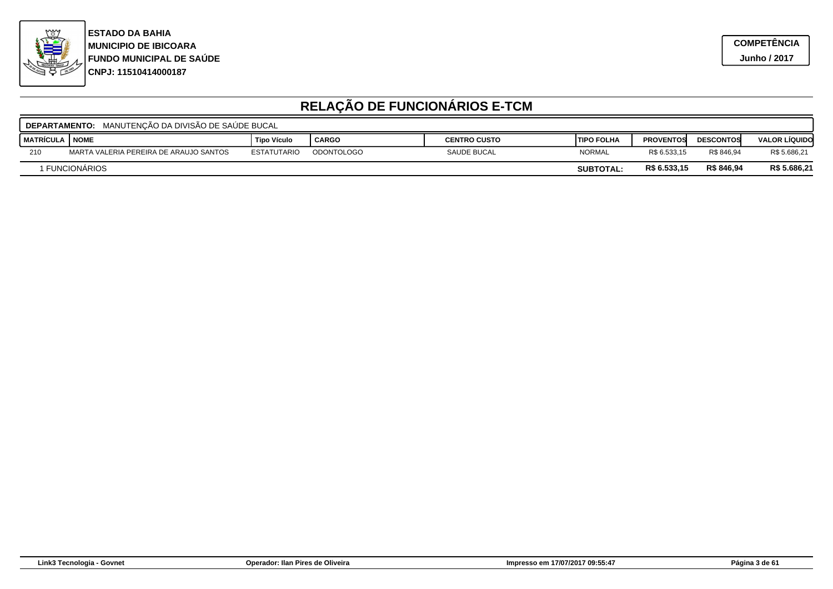

|                                                                  | <b>' DEPARTAMENTO: MANUTENÇÃO DA DIVISÃO DE SAÚDE BUCAL</b> |                    |                   |                     |                    |                  |                  |                      |  |  |
|------------------------------------------------------------------|-------------------------------------------------------------|--------------------|-------------------|---------------------|--------------------|------------------|------------------|----------------------|--|--|
| I MATRÍCULA                                                      | <b>NOME</b>                                                 | <b>Tipo Vículo</b> | <b>CARGO</b>      | <b>CENTRO CUSTO</b> | <b>ITIPO FOLHA</b> | <b>PROVENTOS</b> | <b>DESCONTOS</b> | <b>VALOR LÍQUIDO</b> |  |  |
| 210                                                              | MARTA VALERIA PEREIRA DE ARAUJO SANTOS                      | <b>ESTATUTARIO</b> | <b>ODONTOLOGO</b> | SAUDE BUCAL         | <b>NORMAL</b>      | R\$ 6.533.15     | R\$ 846.94       | R\$ 5.686,21         |  |  |
| R\$ 846.94<br>R\$ 6.533.15<br>I FUNCIONÁRIOS<br><b>SUBTOTAL:</b> |                                                             |                    |                   |                     |                    | R\$ 5.686,21     |                  |                      |  |  |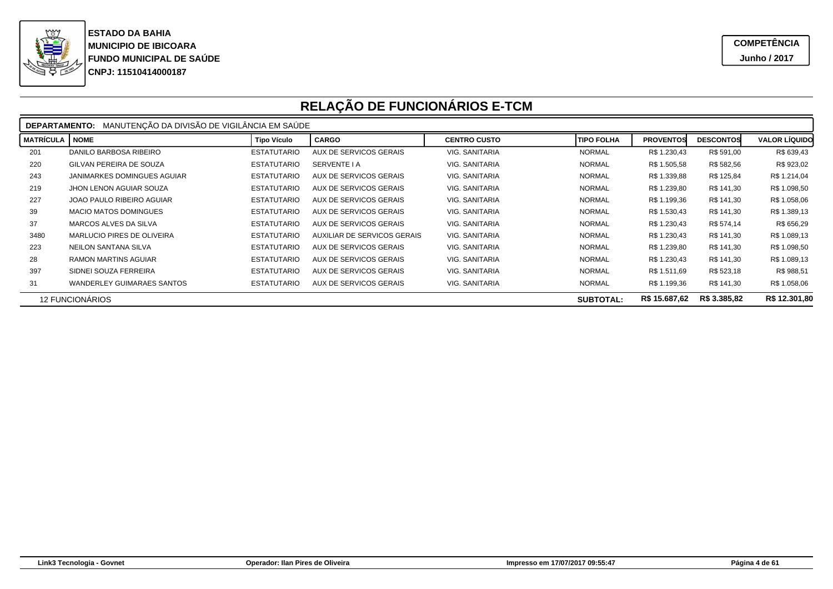

|                                                                             | DEPARTAMENTO: MANUTENÇÃO DA DIVISÃO DE VIGILÂNCIA EM SAÚDE |                    |                               |                     |                   |                  |                  |                      |  |  |
|-----------------------------------------------------------------------------|------------------------------------------------------------|--------------------|-------------------------------|---------------------|-------------------|------------------|------------------|----------------------|--|--|
| <b>MATRÍCULA</b>                                                            | <b>NOME</b>                                                | <b>Tipo Vículo</b> | <b>CARGO</b>                  | <b>CENTRO CUSTO</b> | <b>TIPO FOLHA</b> | <b>PROVENTOS</b> | <b>DESCONTOS</b> | <b>VALOR LÍQUIDO</b> |  |  |
| 201                                                                         | DANILO BARBOSA RIBEIRO                                     | <b>ESTATUTARIO</b> | <b>AUX DE SERVICOS GERAIS</b> | VIG. SANITARIA      | <b>NORMAL</b>     | R\$ 1.230,43     | R\$ 591,00       | R\$ 639,43           |  |  |
| 220                                                                         | GILVAN PEREIRA DE SOUZA                                    | <b>ESTATUTARIO</b> | <b>SERVENTE I A</b>           | VIG. SANITARIA      | <b>NORMAL</b>     | R\$ 1.505,58     | R\$ 582,56       | R\$ 923,02           |  |  |
| 243                                                                         | JANIMARKES DOMINGUES AGUIAR                                | <b>ESTATUTARIO</b> | AUX DE SERVICOS GERAIS        | VIG. SANITARIA      | <b>NORMAL</b>     | R\$ 1.339,88     | R\$ 125,84       | R\$ 1.214,04         |  |  |
| 219                                                                         | JHON LENON AGUIAR SOUZA                                    | <b>ESTATUTARIO</b> | <b>AUX DE SERVICOS GERAIS</b> | VIG. SANITARIA      | <b>NORMAL</b>     | R\$ 1.239,80     | R\$ 141,30       | R\$ 1.098,50         |  |  |
| 227                                                                         | JOAO PAULO RIBEIRO AGUIAR                                  | <b>ESTATUTARIO</b> | AUX DE SERVICOS GERAIS        | VIG. SANITARIA      | <b>NORMAL</b>     | R\$ 1.199,36     | R\$ 141,30       | R\$ 1.058,06         |  |  |
| 39                                                                          | <b>MACIO MATOS DOMINGUES</b>                               | <b>ESTATUTARIO</b> | AUX DE SERVICOS GERAIS        | VIG. SANITARIA      | <b>NORMAL</b>     | R\$ 1.530,43     | R\$ 141,30       | R\$ 1.389,13         |  |  |
| 37                                                                          | MARCOS ALVES DA SILVA                                      | <b>ESTATUTARIO</b> | AUX DE SERVICOS GERAIS        | VIG. SANITARIA      | <b>NORMAL</b>     | R\$ 1.230,43     | R\$ 574,14       | R\$ 656,29           |  |  |
| 3480                                                                        | MARLUCIO PIRES DE OLIVEIRA                                 | <b>ESTATUTARIO</b> | AUXILIAR DE SERVICOS GERAIS   | VIG. SANITARIA      | <b>NORMAL</b>     | R\$ 1.230,43     | R\$ 141,30       | R\$ 1.089,13         |  |  |
| 223                                                                         | NEILON SANTANA SILVA                                       | <b>ESTATUTARIO</b> | AUX DE SERVICOS GERAIS        | VIG. SANITARIA      | <b>NORMAL</b>     | R\$ 1.239,80     | R\$ 141,30       | R\$ 1.098,50         |  |  |
| 28                                                                          | <b>RAMON MARTINS AGUIAR</b>                                | <b>ESTATUTARIO</b> | AUX DE SERVICOS GERAIS        | VIG. SANITARIA      | <b>NORMAL</b>     | R\$ 1.230,43     | R\$ 141,30       | R\$ 1.089,13         |  |  |
| 397                                                                         | SIDNEI SOUZA FERREIRA                                      | <b>ESTATUTARIO</b> | AUX DE SERVICOS GERAIS        | VIG. SANITARIA      | <b>NORMAL</b>     | R\$ 1.511,69     | R\$ 523,18       | R\$ 988,51           |  |  |
| 31                                                                          | <b>WANDERLEY GUIMARAES SANTOS</b>                          | <b>ESTATUTARIO</b> | AUX DE SERVICOS GERAIS        | VIG. SANITARIA      | <b>NORMAL</b>     | R\$ 1.199,36     | R\$ 141,30       | R\$ 1.058,06         |  |  |
| R\$ 15.687,62<br>R\$ 3.385,82<br><b>12 FUNCIONÁRIOS</b><br><b>SUBTOTAL:</b> |                                                            |                    |                               |                     |                   |                  | R\$ 12.301,80    |                      |  |  |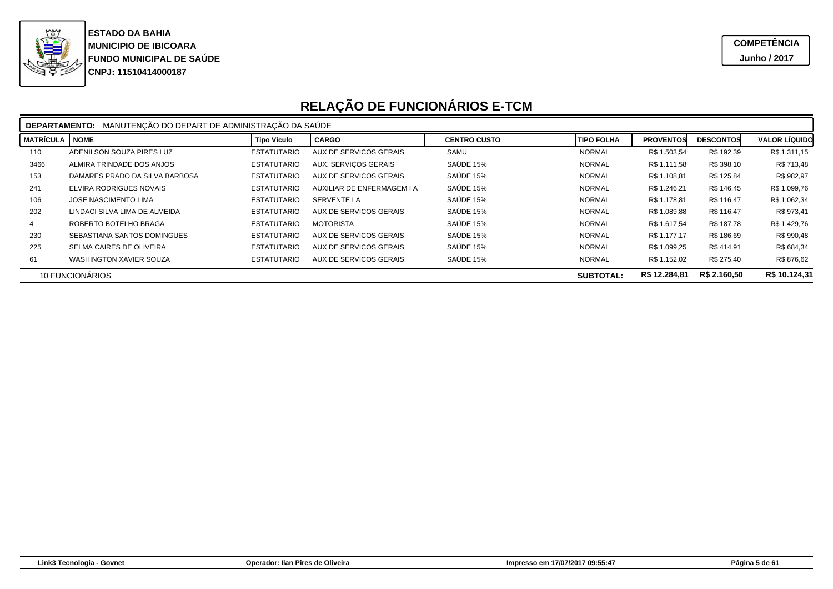

|                                                                      | MANUTENCÃO DO DEPART DE ADMINISTRACÃO DA SAÚDE<br><b>DEPARTAMENTO:</b> |                    |                            |                     |                   |                  |                  |                      |  |
|----------------------------------------------------------------------|------------------------------------------------------------------------|--------------------|----------------------------|---------------------|-------------------|------------------|------------------|----------------------|--|
| MATRÍCULA                                                            | <b>NOME</b>                                                            | <b>Tipo Vículo</b> | <b>CARGO</b>               | <b>CENTRO CUSTO</b> | <b>TIPO FOLHA</b> | <b>PROVENTOS</b> | <b>DESCONTOS</b> | <b>VALOR LÍQUIDO</b> |  |
| 110                                                                  | ADENILSON SOUZA PIRES LUZ                                              | <b>ESTATUTARIO</b> | AUX DE SERVICOS GERAIS     | SAMU                | <b>NORMAL</b>     | R\$ 1.503,54     | R\$ 192,39       | R\$ 1.311,15         |  |
| 3466                                                                 | ALMIRA TRINDADE DOS ANJOS                                              | <b>ESTATUTARIO</b> | AUX. SERVICOS GERAIS       | SAÚDE 15%           | <b>NORMAL</b>     | R\$ 1.111.58     | R\$ 398,10       | R\$ 713,48           |  |
| 153                                                                  | DAMARES PRADO DA SILVA BARBOSA                                         | <b>ESTATUTARIO</b> | AUX DE SERVICOS GERAIS     | SAÚDE 15%           | <b>NORMAL</b>     | R\$ 1.108,81     | R\$ 125,84       | R\$ 982,97           |  |
| 241                                                                  | ELVIRA RODRIGUES NOVAIS                                                | <b>ESTATUTARIO</b> | AUXILIAR DE ENFERMAGEM I A | SAÚDE 15%           | <b>NORMAL</b>     | R\$ 1.246,21     | R\$ 146,45       | R\$ 1.099,76         |  |
| 106                                                                  | JOSE NASCIMENTO LIMA                                                   | <b>ESTATUTARIO</b> | SERVENTE I A               | SAÚDE 15%           | <b>NORMAL</b>     | R\$ 1.178.81     | R\$ 116.47       | R\$ 1.062,34         |  |
| 202                                                                  | LINDACI SILVA LIMA DE ALMEIDA                                          | <b>ESTATUTARIO</b> | AUX DE SERVICOS GERAIS     | SAÚDE 15%           | <b>NORMAL</b>     | R\$ 1.089,88     | R\$ 116.47       | R\$ 973,41           |  |
|                                                                      | ROBERTO BOTELHO BRAGA                                                  | <b>ESTATUTARIO</b> | <b>MOTORISTA</b>           | SAÚDE 15%           | <b>NORMAL</b>     | R\$ 1.617,54     | R\$ 187.78       | R\$ 1.429,76         |  |
| 230                                                                  | SEBASTIANA SANTOS DOMINGUES                                            | <b>ESTATUTARIO</b> | AUX DE SERVICOS GERAIS     | SAÚDE 15%           | <b>NORMAL</b>     | R\$ 1.177.17     | R\$ 186.69       | R\$ 990,48           |  |
| 225                                                                  | SELMA CAIRES DE OLIVEIRA                                               | <b>ESTATUTARIO</b> | AUX DE SERVICOS GERAIS     | SAÚDE 15%           | <b>NORMAL</b>     | R\$ 1.099,25     | R\$ 414.91       | R\$ 684,34           |  |
| 61                                                                   | WASHINGTON XAVIER SOUZA                                                | <b>ESTATUTARIO</b> | AUX DE SERVICOS GERAIS     | SAÚDE 15%           | <b>NORMAL</b>     | R\$ 1.152,02     | R\$ 275,40       | R\$ 876,62           |  |
| R\$ 2.160.50<br>R\$ 12.284,81<br>10 FUNCIONÁRIOS<br><b>SUBTOTAL:</b> |                                                                        |                    |                            |                     |                   | R\$ 10.124,31    |                  |                      |  |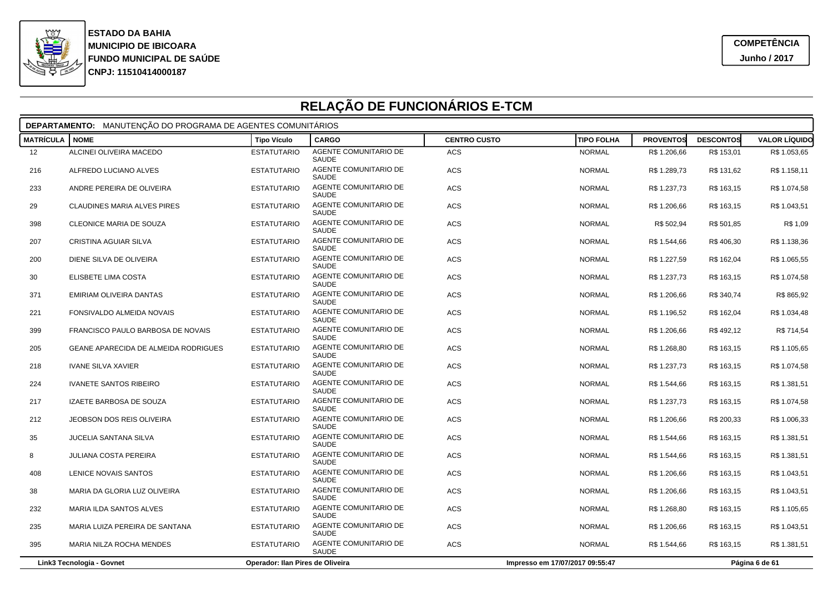

|                  | DEPARTAMENTO: MANUTENÇÃO DO PROGRAMA DE AGENTES COMUNITÁRIOS |                                  |                                       |                     |                                 |                  |                  |                      |  |  |
|------------------|--------------------------------------------------------------|----------------------------------|---------------------------------------|---------------------|---------------------------------|------------------|------------------|----------------------|--|--|
| <b>MATRÍCULA</b> | <b>NOME</b>                                                  | <b>Tipo Vículo</b>               | <b>CARGO</b>                          | <b>CENTRO CUSTO</b> | <b>TIPO FOLHA</b>               | <b>PROVENTOS</b> | <b>DESCONTOS</b> | <b>VALOR LÍQUIDO</b> |  |  |
| 12 <sup>°</sup>  | ALCINEI OLIVEIRA MACEDO                                      | <b>ESTATUTARIO</b>               | AGENTE COMUNITARIO DE<br>SAUDE        | <b>ACS</b>          | <b>NORMAL</b>                   | R\$ 1.206,66     | R\$ 153,01       | R\$ 1.053,65         |  |  |
| 216              | ALFREDO LUCIANO ALVES                                        | <b>ESTATUTARIO</b>               | AGENTE COMUNITARIO DE<br>SAUDE        | ACS                 | <b>NORMAL</b>                   | R\$ 1.289,73     | R\$ 131,62       | R\$ 1.158,11         |  |  |
| 233              | ANDRE PEREIRA DE OLIVEIRA                                    | <b>ESTATUTARIO</b>               | AGENTE COMUNITARIO DE<br><b>SAUDE</b> | <b>ACS</b>          | <b>NORMAL</b>                   | R\$ 1.237,73     | R\$ 163,15       | R\$ 1.074,58         |  |  |
| 29               | CLAUDINES MARIA ALVES PIRES                                  | <b>ESTATUTARIO</b>               | AGENTE COMUNITARIO DE<br><b>SAUDE</b> | ACS                 | <b>NORMAL</b>                   | R\$ 1.206,66     | R\$ 163,15       | R\$ 1.043,51         |  |  |
| 398              | CLEONICE MARIA DE SOUZA                                      | <b>ESTATUTARIO</b>               | AGENTE COMUNITARIO DE<br><b>SAUDE</b> | ACS                 | <b>NORMAL</b>                   | R\$ 502,94       | R\$ 501,85       | R\$ 1,09             |  |  |
| 207              | CRISTINA AGUIAR SILVA                                        | <b>ESTATUTARIO</b>               | <b>AGENTE COMUNITARIO DE</b><br>SAUDE | <b>ACS</b>          | <b>NORMAL</b>                   | R\$ 1.544,66     | R\$406,30        | R\$ 1.138,36         |  |  |
| 200              | DIENE SILVA DE OLIVEIRA                                      | <b>ESTATUTARIO</b>               | AGENTE COMUNITARIO DE<br><b>SAUDE</b> | ACS                 | <b>NORMAL</b>                   | R\$ 1.227,59     | R\$ 162,04       | R\$ 1.065,55         |  |  |
| 30               | ELISBETE LIMA COSTA                                          | <b>ESTATUTARIO</b>               | AGENTE COMUNITARIO DE<br>SAUDE        | ACS                 | <b>NORMAL</b>                   | R\$ 1.237,73     | R\$ 163,15       | R\$ 1.074,58         |  |  |
| 371              | EMIRIAM OLIVEIRA DANTAS                                      | <b>ESTATUTARIO</b>               | AGENTE COMUNITARIO DE<br>SAUDE        | <b>ACS</b>          | <b>NORMAL</b>                   | R\$ 1.206,66     | R\$ 340,74       | R\$ 865,92           |  |  |
| 221              | FONSIVALDO ALMEIDA NOVAIS                                    | <b>ESTATUTARIO</b>               | AGENTE COMUNITARIO DE<br>SAUDE        | ACS                 | <b>NORMAL</b>                   | R\$ 1.196,52     | R\$ 162,04       | R\$ 1.034,48         |  |  |
| 399              | FRANCISCO PAULO BARBOSA DE NOVAIS                            | <b>ESTATUTARIO</b>               | AGENTE COMUNITARIO DE<br>SAUDE        | <b>ACS</b>          | <b>NORMAL</b>                   | R\$ 1.206,66     | R\$492,12        | R\$ 714,54           |  |  |
| 205              | <b>GEANE APARECIDA DE ALMEIDA RODRIGUES</b>                  | <b>ESTATUTARIO</b>               | AGENTE COMUNITARIO DE<br>SAUDE        | <b>ACS</b>          | <b>NORMAL</b>                   | R\$ 1.268,80     | R\$ 163,15       | R\$ 1.105,65         |  |  |
| 218              | <b>IVANE SILVA XAVIER</b>                                    | <b>ESTATUTARIO</b>               | AGENTE COMUNITARIO DE<br>SAUDE        | <b>ACS</b>          | <b>NORMAL</b>                   | R\$ 1.237,73     | R\$ 163,15       | R\$ 1.074,58         |  |  |
| 224              | <b>IVANETE SANTOS RIBEIRO</b>                                | <b>ESTATUTARIO</b>               | AGENTE COMUNITARIO DE<br>SAUDE        | ACS                 | <b>NORMAL</b>                   | R\$ 1.544,66     | R\$ 163,15       | R\$ 1.381,51         |  |  |
| 217              | IZAETE BARBOSA DE SOUZA                                      | <b>ESTATUTARIO</b>               | AGENTE COMUNITARIO DE<br>SAUDE        | <b>ACS</b>          | <b>NORMAL</b>                   | R\$ 1.237,73     | R\$ 163,15       | R\$ 1.074,58         |  |  |
| 212              | JEOBSON DOS REIS OLIVEIRA                                    | <b>ESTATUTARIO</b>               | AGENTE COMUNITARIO DE<br><b>SAUDE</b> | ACS                 | <b>NORMAL</b>                   | R\$ 1.206,66     | R\$ 200,33       | R\$ 1.006,33         |  |  |
| 35               | <b>JUCELIA SANTANA SILVA</b>                                 | <b>ESTATUTARIO</b>               | AGENTE COMUNITARIO DE<br>SAUDE        | ACS                 | <b>NORMAL</b>                   | R\$ 1.544,66     | R\$ 163,15       | R\$ 1.381,51         |  |  |
| 8                | <b>JULIANA COSTA PEREIRA</b>                                 | <b>ESTATUTARIO</b>               | AGENTE COMUNITARIO DE<br>SAUDE        | <b>ACS</b>          | <b>NORMAL</b>                   | R\$ 1.544,66     | R\$ 163,15       | R\$ 1.381,51         |  |  |
| 408              | LENICE NOVAIS SANTOS                                         | <b>ESTATUTARIO</b>               | AGENTE COMUNITARIO DE<br>SAUDE        | <b>ACS</b>          | <b>NORMAL</b>                   | R\$ 1.206,66     | R\$ 163,15       | R\$ 1.043,51         |  |  |
| 38               | MARIA DA GLORIA LUZ OLIVEIRA                                 | <b>ESTATUTARIO</b>               | AGENTE COMUNITARIO DE<br>SAUDE        | ACS                 | <b>NORMAL</b>                   | R\$ 1.206,66     | R\$ 163,15       | R\$ 1.043,51         |  |  |
| 232              | MARIA ILDA SANTOS ALVES                                      | <b>ESTATUTARIO</b>               | AGENTE COMUNITARIO DE<br>SAUDE        | <b>ACS</b>          | <b>NORMAL</b>                   | R\$ 1.268,80     | R\$ 163,15       | R\$ 1.105,65         |  |  |
| 235              | MARIA LUIZA PEREIRA DE SANTANA                               | <b>ESTATUTARIO</b>               | AGENTE COMUNITARIO DE<br>SAUDE        | ACS                 | <b>NORMAL</b>                   | R\$ 1.206,66     | R\$ 163,15       | R\$ 1.043,51         |  |  |
| 395              | MARIA NILZA ROCHA MENDES                                     | <b>ESTATUTARIO</b>               | AGENTE COMUNITARIO DE<br>SAUDE        | ACS                 | <b>NORMAL</b>                   | R\$ 1.544,66     | R\$ 163,15       | R\$ 1.381,51         |  |  |
|                  | Link3 Tecnologia - Govnet                                    | Operador: Ilan Pires de Oliveira |                                       |                     | Impresso em 17/07/2017 09:55:47 |                  |                  | Página 6 de 61       |  |  |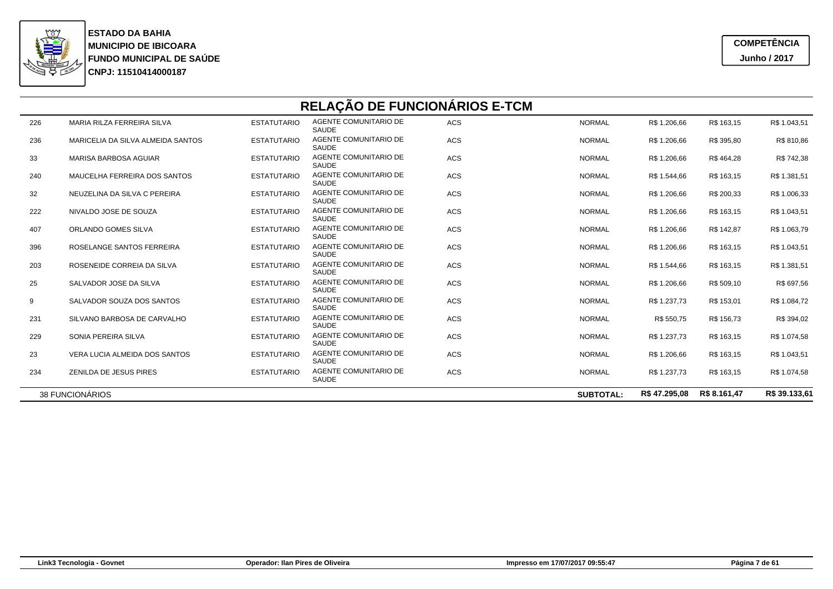

|     | RELAÇÃO DE FUNCIONÁRIOS E-TCM                                                         |                    |                                       |            |               |              |            |              |  |  |
|-----|---------------------------------------------------------------------------------------|--------------------|---------------------------------------|------------|---------------|--------------|------------|--------------|--|--|
| 226 | MARIA RILZA FERREIRA SILVA                                                            | <b>ESTATUTARIO</b> | AGENTE COMUNITARIO DE<br>SAUDE        | ACS        | <b>NORMAL</b> | R\$ 1.206,66 | R\$ 163,15 | R\$ 1.043,51 |  |  |
| 236 | MARICELIA DA SILVA ALMEIDA SANTOS                                                     | <b>ESTATUTARIO</b> | AGENTE COMUNITARIO DE<br>SAUDE        | ACS        | <b>NORMAL</b> | R\$ 1.206,66 | R\$ 395,80 | R\$ 810,86   |  |  |
| 33  | <b>MARISA BARBOSA AGUIAR</b>                                                          | <b>ESTATUTARIO</b> | AGENTE COMUNITARIO DE<br><b>SAUDE</b> | <b>ACS</b> | <b>NORMAL</b> | R\$ 1.206,66 | R\$464,28  | R\$ 742,38   |  |  |
| 240 | MAUCELHA FERREIRA DOS SANTOS                                                          | <b>ESTATUTARIO</b> | AGENTE COMUNITARIO DE<br>SAUDE        | ACS        | <b>NORMAL</b> | R\$ 1.544,66 | R\$ 163,15 | R\$ 1.381,51 |  |  |
| 32  | NEUZELINA DA SILVA C PEREIRA                                                          | <b>ESTATUTARIO</b> | AGENTE COMUNITARIO DE<br>SAUDE        | <b>ACS</b> | <b>NORMAL</b> | R\$ 1.206,66 | R\$ 200,33 | R\$ 1.006,33 |  |  |
| 222 | NIVALDO JOSE DE SOUZA                                                                 | <b>ESTATUTARIO</b> | AGENTE COMUNITARIO DE<br>SAUDE        | ACS        | <b>NORMAL</b> | R\$ 1.206,66 | R\$ 163,15 | R\$ 1.043,51 |  |  |
| 407 | ORLANDO GOMES SILVA                                                                   | <b>ESTATUTARIO</b> | AGENTE COMUNITARIO DE<br>SAUDE        | ACS        | <b>NORMAL</b> | R\$ 1.206,66 | R\$ 142,87 | R\$ 1.063,79 |  |  |
| 396 | ROSELANGE SANTOS FERREIRA                                                             | <b>ESTATUTARIO</b> | AGENTE COMUNITARIO DE<br>SAUDE        | ACS        | <b>NORMAL</b> | R\$ 1.206,66 | R\$ 163,15 | R\$ 1.043,51 |  |  |
| 203 | ROSENEIDE CORREIA DA SILVA                                                            | <b>ESTATUTARIO</b> | AGENTE COMUNITARIO DE<br>SAUDE        | ACS        | <b>NORMAL</b> | R\$ 1.544,66 | R\$ 163,15 | R\$ 1.381,51 |  |  |
| 25  | SALVADOR JOSE DA SILVA                                                                | <b>ESTATUTARIO</b> | AGENTE COMUNITARIO DE<br>SAUDE        | ACS        | <b>NORMAL</b> | R\$ 1.206,66 | R\$ 509,10 | R\$ 697,56   |  |  |
| 9   | SALVADOR SOUZA DOS SANTOS                                                             | <b>ESTATUTARIO</b> | AGENTE COMUNITARIO DE<br>SAUDE        | ACS        | <b>NORMAL</b> | R\$ 1.237,73 | R\$ 153,01 | R\$ 1.084,72 |  |  |
| 231 | SILVANO BARBOSA DE CARVALHO                                                           | <b>ESTATUTARIO</b> | AGENTE COMUNITARIO DE<br>SAUDE        | ACS        | <b>NORMAL</b> | R\$ 550,75   | R\$ 156,73 | R\$ 394,02   |  |  |
| 229 | SONIA PEREIRA SILVA                                                                   | <b>ESTATUTARIO</b> | AGENTE COMUNITARIO DE<br>SAUDE        | ACS        | <b>NORMAL</b> | R\$ 1.237,73 | R\$ 163,15 | R\$ 1.074,58 |  |  |
| 23  | VERA LUCIA ALMEIDA DOS SANTOS                                                         | <b>ESTATUTARIO</b> | AGENTE COMUNITARIO DE<br>SAUDE        | ACS        | <b>NORMAL</b> | R\$ 1.206,66 | R\$ 163,15 | R\$ 1.043,51 |  |  |
| 234 | ZENILDA DE JESUS PIRES                                                                | <b>ESTATUTARIO</b> | AGENTE COMUNITARIO DE<br>SAUDE        | ACS        | <b>NORMAL</b> | R\$ 1.237,73 | R\$ 163,15 | R\$ 1.074,58 |  |  |
|     | 38 FUNCIONÁRIOS<br>R\$ 8.161.47<br>R\$ 39,133.61<br>R\$ 47.295.08<br><b>SUBTOTAL:</b> |                    |                                       |            |               |              |            |              |  |  |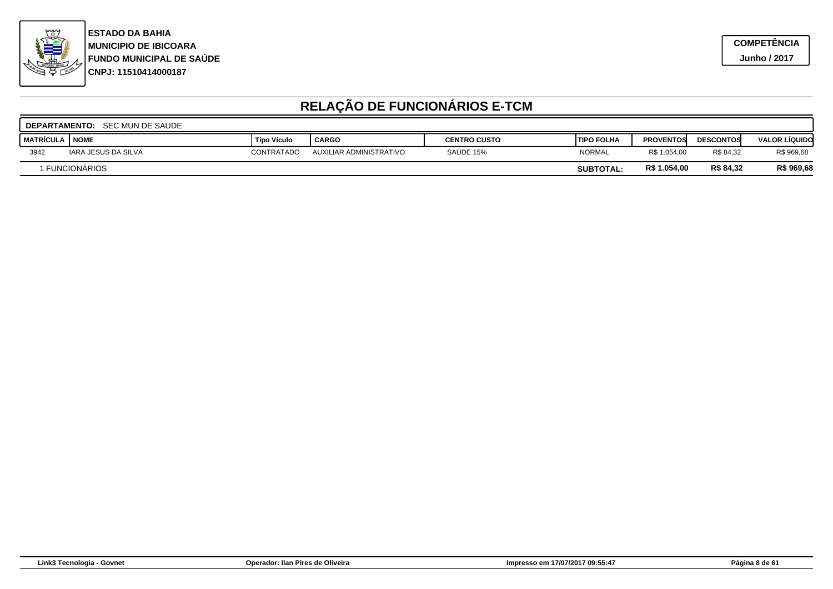

|             | <b>DEPARTAMENTO: SEC MUN DE SAUDE</b> |                    |                         |                     |                    |                  |                  |                      |  |  |
|-------------|---------------------------------------|--------------------|-------------------------|---------------------|--------------------|------------------|------------------|----------------------|--|--|
| I MATRÍCULA | <b>NOME</b>                           | <b>Tipo Vículo</b> | <b>CARGO</b>            | <b>CENTRO CUSTO</b> | <b>ITIPO FOLHA</b> | <b>PROVENTOS</b> | <b>DESCONTOS</b> | <b>VALOR LÍQUIDO</b> |  |  |
| 3942        | IARA JESUS DA SILVA                   | CONTRATADO         | AUXILIAR ADMINISTRATIVO | SAUDE 15%           | <b>NORMAL</b>      | R\$ 1.054,00     | R\$ 84.32        | R\$ 969,68           |  |  |
|             | <b>FUNCIONARIOS</b>                   |                    |                         |                     | <b>SUBTOTAL:</b>   | R\$ 1.054,00     | R\$ 84,32        | R\$ 969,68           |  |  |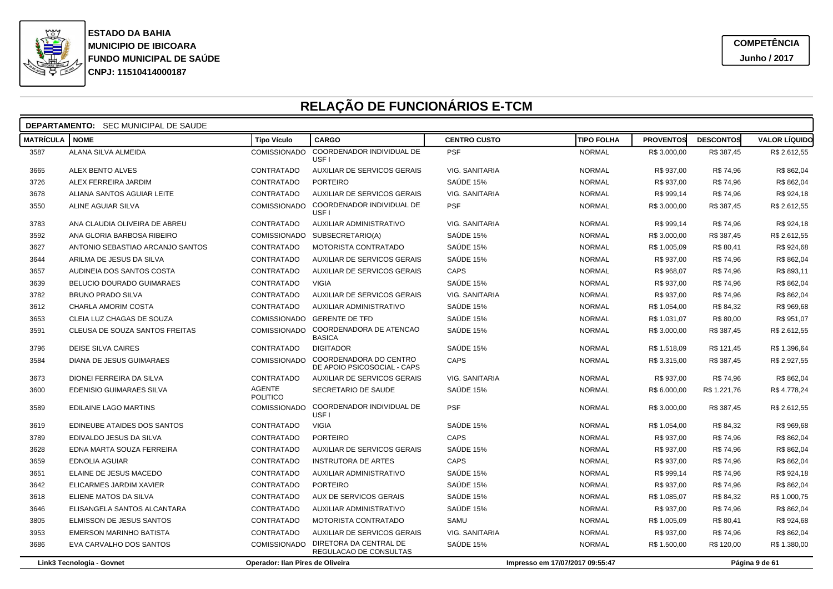

|                  | <b>DEPARTAMENTO:</b> SEC MUNICIPAL DE SAUDE |                                  |                                                       |                       |                                 |                  |                  |                      |  |
|------------------|---------------------------------------------|----------------------------------|-------------------------------------------------------|-----------------------|---------------------------------|------------------|------------------|----------------------|--|
| <b>MATRÍCULA</b> | <b>NOME</b>                                 | <b>Tipo Vículo</b>               | <b>CARGO</b>                                          | <b>CENTRO CUSTO</b>   | <b>TIPO FOLHA</b>               | <b>PROVENTOS</b> | <b>DESCONTOS</b> | <b>VALOR LÍQUIDO</b> |  |
| 3587             | ALANA SILVA ALMEIDA                         | COMISSIONADO                     | COORDENADOR INDIVIDUAL DE<br>USF <sub>1</sub>         | <b>PSF</b>            | <b>NORMAL</b>                   | R\$ 3.000,00     | R\$ 387,45       | R\$ 2.612,55         |  |
| 3665             | <b>ALEX BENTO ALVES</b>                     | CONTRATADO                       | AUXILIAR DE SERVICOS GERAIS                           | VIG. SANITARIA        | <b>NORMAL</b>                   | R\$ 937,00       | R\$ 74,96        | R\$862,04            |  |
| 3726             | ALEX FERREIRA JARDIM                        | CONTRATADO                       | <b>PORTEIRO</b>                                       | SAÚDE 15%             | <b>NORMAL</b>                   | R\$ 937,00       | R\$ 74,96        | R\$ 862,04           |  |
| 3678             | ALIANA SANTOS AGUIAR LEITE                  | CONTRATADO                       | AUXILIAR DE SERVICOS GERAIS                           | VIG. SANITARIA        | <b>NORMAL</b>                   | R\$ 999,14       | R\$ 74,96        | R\$ 924,18           |  |
| 3550             | ALINE AGUIAR SILVA                          | COMISSIONADO                     | COORDENADOR INDIVIDUAL DE<br>USF <sub>1</sub>         | <b>PSF</b>            | <b>NORMAL</b>                   | R\$ 3.000,00     | R\$ 387,45       | R\$ 2.612,55         |  |
| 3783             | ANA CLAUDIA OLIVEIRA DE ABREU               | CONTRATADO                       | AUXILIAR ADMINISTRATIVO                               | <b>VIG. SANITARIA</b> | <b>NORMAL</b>                   | R\$ 999,14       | R\$ 74,96        | R\$ 924,18           |  |
| 3592             | ANA GLORIA BARBOSA RIBEIRO                  | COMISSIONADO                     | SUBSECRETARIO(A)                                      | SAÚDE 15%             | <b>NORMAL</b>                   | R\$ 3.000,00     | R\$ 387,45       | R\$ 2.612,55         |  |
| 3627             | ANTONIO SEBASTIAO ARCANJO SANTOS            | CONTRATADO                       | <b>MOTORISTA CONTRATADO</b>                           | SAÚDE 15%             | <b>NORMAL</b>                   | R\$ 1.005,09     | R\$ 80,41        | R\$ 924,68           |  |
| 3644             | ARILMA DE JESUS DA SILVA                    | CONTRATADO                       | AUXILIAR DE SERVICOS GERAIS                           | SAÚDE 15%             | <b>NORMAL</b>                   | R\$ 937,00       | R\$ 74,96        | R\$ 862,04           |  |
| 3657             | AUDINEIA DOS SANTOS COSTA                   | CONTRATADO                       | AUXILIAR DE SERVICOS GERAIS                           | CAPS                  | <b>NORMAL</b>                   | R\$ 968,07       | R\$ 74,96        | R\$ 893,11           |  |
| 3639             | <b>BELUCIO DOURADO GUIMARAES</b>            | CONTRATADO                       | <b>VIGIA</b>                                          | SAÚDE 15%             | <b>NORMAL</b>                   | R\$ 937,00       | R\$ 74,96        | R\$862,04            |  |
| 3782             | <b>BRUNO PRADO SILVA</b>                    | CONTRATADO                       | AUXILIAR DE SERVICOS GERAIS                           | VIG. SANITARIA        | <b>NORMAL</b>                   | R\$ 937,00       | R\$ 74,96        | R\$ 862,04           |  |
| 3612             | CHARLA AMORIM COSTA                         | CONTRATADO                       | AUXILIAR ADMINISTRATIVO                               | SAÚDE 15%             | <b>NORMAL</b>                   | R\$ 1.054,00     | R\$ 84,32        | R\$ 969,68           |  |
| 3653             | CLEIA LUZ CHAGAS DE SOUZA                   |                                  | COMISSIONADO GERENTE DE TFD                           | SAÚDE 15%             | <b>NORMAL</b>                   | R\$ 1.031,07     | R\$ 80,00        | R\$ 951,07           |  |
| 3591             | CLEUSA DE SOUZA SANTOS FREITAS              | <b>COMISSIONADO</b>              | COORDENADORA DE ATENCAO<br><b>BASICA</b>              | SAÚDE 15%             | <b>NORMAL</b>                   | R\$ 3.000,00     | R\$ 387,45       | R\$ 2.612,55         |  |
| 3796             | DEISE SILVA CAIRES                          | CONTRATADO                       | <b>DIGITADOR</b>                                      | SAÚDE 15%             | <b>NORMAL</b>                   | R\$ 1.518,09     | R\$ 121,45       | R\$ 1.396,64         |  |
| 3584             | DIANA DE JESUS GUIMARAES                    | <b>COMISSIONADO</b>              | COORDENADORA DO CENTRO<br>DE APOIO PSICOSOCIAL - CAPS | CAPS                  | <b>NORMAL</b>                   | R\$ 3.315,00     | R\$ 387,45       | R\$ 2.927,55         |  |
| 3673             | DIONEI FERREIRA DA SILVA                    | CONTRATADO                       | AUXILIAR DE SERVICOS GERAIS                           | VIG. SANITARIA        | <b>NORMAL</b>                   | R\$ 937,00       | R\$ 74,96        | R\$ 862,04           |  |
| 3600             | EDENISIO GUIMARAES SILVA                    | <b>AGENTE</b><br><b>POLITICO</b> | SECRETARIO DE SAUDE                                   | SAÚDE 15%             | <b>NORMAL</b>                   | R\$ 6.000,00     | R\$ 1.221,76     | R\$4.778,24          |  |
| 3589             | EDILAINE LAGO MARTINS                       | <b>COMISSIONADO</b>              | COORDENADOR INDIVIDUAL DE<br>USF <sub>1</sub>         | <b>PSF</b>            | <b>NORMAL</b>                   | R\$ 3.000,00     | R\$ 387,45       | R\$ 2.612,55         |  |
| 3619             | EDINEUBE ATAIDES DOS SANTOS                 | CONTRATADO                       | <b>VIGIA</b>                                          | SAÚDE 15%             | <b>NORMAL</b>                   | R\$ 1.054,00     | R\$ 84,32        | R\$ 969,68           |  |
| 3789             | EDIVALDO JESUS DA SILVA                     | CONTRATADO                       | <b>PORTEIRO</b>                                       | CAPS                  | <b>NORMAL</b>                   | R\$ 937,00       | R\$ 74,96        | R\$ 862,04           |  |
| 3628             | EDNA MARTA SOUZA FERREIRA                   | CONTRATADO                       | <b>AUXILIAR DE SERVICOS GERAIS</b>                    | SAÚDE 15%             | <b>NORMAL</b>                   | R\$ 937,00       | R\$ 74,96        | R\$862,04            |  |
| 3659             | <b>EDNOLIA AGUIAR</b>                       | CONTRATADO                       | <b>INSTRUTORA DE ARTES</b>                            | CAPS                  | <b>NORMAL</b>                   | R\$ 937,00       | R\$ 74,96        | R\$ 862,04           |  |
| 3651             | ELAINE DE JESUS MACEDO                      | CONTRATADO                       | AUXILIAR ADMINISTRATIVO                               | SAÚDE 15%             | <b>NORMAL</b>                   | R\$ 999,14       | R\$ 74,96        | R\$ 924,18           |  |
| 3642             | ELICARMES JARDIM XAVIER                     | CONTRATADO                       | <b>PORTEIRO</b>                                       | SAÚDE 15%             | <b>NORMAL</b>                   | R\$ 937,00       | R\$ 74,96        | R\$862,04            |  |
| 3618             | ELIENE MATOS DA SILVA                       | CONTRATADO                       | AUX DE SERVICOS GERAIS                                | SAÚDE 15%             | <b>NORMAL</b>                   | R\$ 1.085,07     | R\$ 84,32        | R\$ 1.000,75         |  |
| 3646             | ELISANGELA SANTOS ALCANTARA                 | CONTRATADO                       | AUXILIAR ADMINISTRATIVO                               | SAÚDE 15%             | <b>NORMAL</b>                   | R\$ 937,00       | R\$ 74,96        | R\$ 862,04           |  |
| 3805             | ELMISSON DE JESUS SANTOS                    | CONTRATADO                       | <b>MOTORISTA CONTRATADO</b>                           | SAMU                  | <b>NORMAL</b>                   | R\$ 1.005,09     | R\$ 80,41        | R\$ 924,68           |  |
| 3953             | <b>EMERSON MARINHO BATISTA</b>              | CONTRATADO                       | AUXILIAR DE SERVICOS GERAIS                           | VIG. SANITARIA        | <b>NORMAL</b>                   | R\$ 937,00       | R\$ 74,96        | R\$ 862,04           |  |
| 3686             | EVA CARVALHO DOS SANTOS                     | <b>COMISSIONADO</b>              | DIRETORA DA CENTRAL DE<br>REGULACAO DE CONSULTAS      | SAÚDE 15%             | <b>NORMAL</b>                   | R\$ 1.500,00     | R\$ 120,00       | R\$ 1.380,00         |  |
|                  | Link3 Tecnologia - Govnet                   | Operador: Ilan Pires de Oliveira |                                                       |                       | Impresso em 17/07/2017 09:55:47 |                  |                  | Página 9 de 61       |  |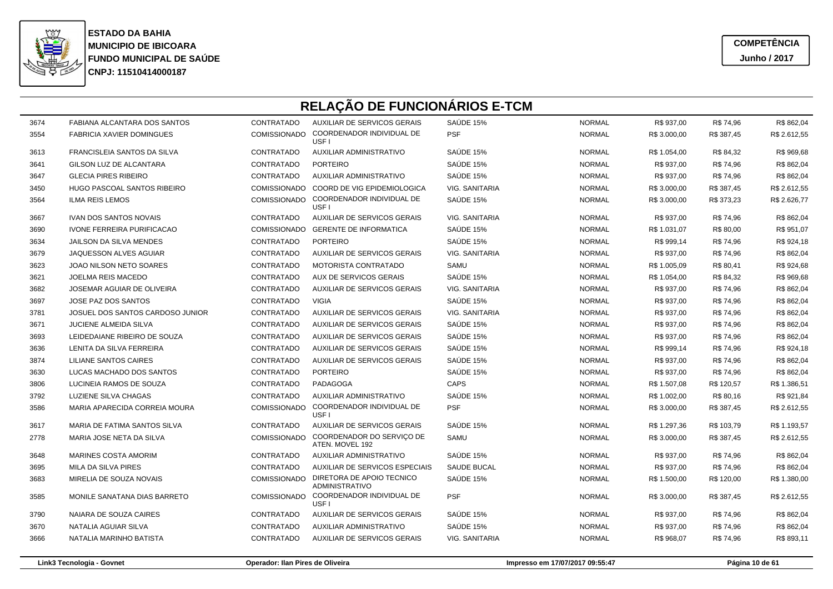

3674

3554

3613

3641

3647

3450

3564

3667

3690

3634

3679

3623

3621

3682

3697

3781

3671

3693

3636

3874

3630

3806

3792

3586

3617

2778

3648

3695

3683

3585

3790

3670

3666

**CNPJ: 11510414000187FUNDO MUNICIPAL DE SAÚDE MUNICIPIO DE IBICOARA ESTADO DA BAHIA**

|   | RELAÇÃO DE FUNCIONÁRIOS E-TCM      |                     |                                                            |                       |               |              |            |              |  |  |
|---|------------------------------------|---------------------|------------------------------------------------------------|-----------------------|---------------|--------------|------------|--------------|--|--|
| 4 | FABIANA ALCANTARA DOS SANTOS       | CONTRATADO          | AUXILIAR DE SERVICOS GERAIS                                | SAUDE 15%             | <b>NORMAL</b> | R\$ 937,00   | R\$ 74,96  | R\$ 862,04   |  |  |
| 4 | <b>FABRICIA XAVIER DOMINGUES</b>   | <b>COMISSIONADO</b> | COORDENADOR INDIVIDUAL DE<br>USF I                         | <b>PSF</b>            | <b>NORMAL</b> | R\$ 3.000,00 | R\$ 387,45 | R\$ 2.612,55 |  |  |
| 3 | FRANCISLEIA SANTOS DA SILVA        | CONTRATADO          | AUXILIAR ADMINISTRATIVO                                    | SAÚDE 15%             | <b>NORMAL</b> | R\$ 1.054,00 | R\$ 84,32  | R\$ 969,68   |  |  |
|   | GILSON LUZ DE ALCANTARA            | CONTRATADO          | <b>PORTEIRO</b>                                            | SAÚDE 15%             | <b>NORMAL</b> | R\$ 937,00   | R\$ 74,96  | R\$ 862,04   |  |  |
|   | <b>GLECIA PIRES RIBEIRO</b>        | CONTRATADO          | AUXILIAR ADMINISTRATIVO                                    | SAÚDE 15%             | <b>NORMAL</b> | R\$ 937,00   | R\$ 74,96  | R\$ 862,04   |  |  |
| 0 | <b>HUGO PASCOAL SANTOS RIBEIRO</b> |                     | COMISSIONADO COORD DE VIG EPIDEMIOLOGICA                   | VIG. SANITARIA        | <b>NORMAL</b> | R\$ 3.000,00 | R\$ 387,45 | R\$ 2.612,55 |  |  |
| 4 | ILMA REIS LEMOS                    |                     | COMISSIONADO COORDENADOR INDIVIDUAL DE<br>USF <sub>I</sub> | SAÚDE 15%             | <b>NORMAL</b> | R\$ 3.000,00 | R\$ 373,23 | R\$ 2.626,77 |  |  |
|   | <b>IVAN DOS SANTOS NOVAIS</b>      | CONTRATADO          | AUXILIAR DE SERVICOS GERAIS                                | VIG. SANITARIA        | <b>NORMAL</b> | R\$ 937,00   | R\$ 74,96  | R\$ 862,04   |  |  |
| 0 | <b>IVONE FERREIRA PURIFICACAO</b>  | <b>COMISSIONADO</b> | <b>GERENTE DE INFORMATICA</b>                              | SAUDE 15%             | <b>NORMAL</b> | R\$ 1.031,07 | R\$ 80,00  | R\$ 951,07   |  |  |
| 4 | <b>JAILSON DA SILVA MENDES</b>     | CONTRATADO          | <b>PORTEIRO</b>                                            | SAÚDE 15%             | <b>NORMAL</b> | R\$ 999,14   | R\$ 74,96  | R\$ 924,18   |  |  |
| 9 | JAQUESSON ALVES AGUIAR             | CONTRATADO          | <b>AUXILIAR DE SERVICOS GERAIS</b>                         | VIG. SANITARIA        | <b>NORMAL</b> | R\$ 937,00   | R\$ 74,96  | R\$ 862,04   |  |  |
| 3 | JOAO NILSON NETO SOARES            | CONTRATADO          | MOTORISTA CONTRATADO                                       | SAMU                  | <b>NORMAL</b> | R\$ 1.005,09 | R\$ 80,41  | R\$ 924,68   |  |  |
|   | JOELMA REIS MACEDO                 | CONTRATADO          | AUX DE SERVICOS GERAIS                                     | SAÚDE 15%             | <b>NORMAL</b> | R\$ 1.054,00 | R\$ 84,32  | R\$ 969,68   |  |  |
| 2 | JOSEMAR AGUIAR DE OLIVEIRA         | CONTRATADO          | AUXILIAR DE SERVICOS GERAIS                                | <b>VIG. SANITARIA</b> | <b>NORMAL</b> | R\$ 937,00   | R\$ 74,96  | R\$ 862,04   |  |  |
|   | JOSE PAZ DOS SANTOS                | CONTRATADO          | <b>VIGIA</b>                                               | SAÚDE 15%             | <b>NORMAL</b> | R\$ 937,00   | R\$ 74,96  | R\$ 862,04   |  |  |
|   | JOSUEL DOS SANTOS CARDOSO JUNIOR   | CONTRATADO          | AUXILIAR DE SERVICOS GERAIS                                | VIG. SANITARIA        | <b>NORMAL</b> | R\$ 937,00   | R\$ 74,96  | R\$ 862,04   |  |  |
|   | JUCIENE ALMEIDA SILVA              | CONTRATADO          | AUXILIAR DE SERVICOS GERAIS                                | SAÚDE 15%             | <b>NORMAL</b> | R\$ 937,00   | R\$74,96   | R\$ 862,04   |  |  |
| 3 | LEIDEDAIANE RIBEIRO DE SOUZA       | CONTRATADO          | AUXILIAR DE SERVICOS GERAIS                                | SAÚDE 15%             | <b>NORMAL</b> | R\$ 937,00   | R\$ 74,96  | R\$ 862,04   |  |  |
| 6 | LENITA DA SILVA FERREIRA           | CONTRATADO          | AUXILIAR DE SERVICOS GERAIS                                | SAÚDE 15%             | <b>NORMAL</b> | R\$ 999,14   | R\$ 74,96  | R\$ 924,18   |  |  |
| 4 | <b>LILIANE SANTOS CAIRES</b>       | CONTRATADO          | AUXILIAR DE SERVICOS GERAIS                                | SAÚDE 15%             | <b>NORMAL</b> | R\$ 937,00   | R\$ 74,96  | R\$ 862,04   |  |  |
| 0 | LUCAS MACHADO DOS SANTOS           | CONTRATADO          | <b>PORTEIRO</b>                                            | SAÚDE 15%             | <b>NORMAL</b> | R\$ 937,00   | R\$ 74,96  | R\$ 862,04   |  |  |
| 6 | LUCINEIA RAMOS DE SOUZA            | CONTRATADO          | PADAGOGA                                                   | CAPS                  | <b>NORMAL</b> | R\$ 1.507,08 | R\$ 120,57 | R\$ 1.386,51 |  |  |
| 2 | LUZIENE SILVA CHAGAS               | CONTRATADO          | <b>AUXILIAR ADMINISTRATIVO</b>                             | SAÚDE 15%             | <b>NORMAL</b> | R\$ 1.002,00 | R\$ 80,16  | R\$ 921,84   |  |  |
| 6 | MARIA APARECIDA CORREIA MOURA      | COMISSIONADO        | COORDENADOR INDIVIDUAL DE<br>USF <sub>1</sub>              | <b>PSF</b>            | <b>NORMAL</b> | R\$ 3.000,00 | R\$ 387,45 | R\$ 2.612,55 |  |  |
|   | MARIA DE FATIMA SANTOS SILVA       | CONTRATADO          | AUXILIAR DE SERVICOS GERAIS                                | SAÚDE 15%             | <b>NORMAL</b> | R\$ 1.297,36 | R\$ 103,79 | R\$ 1.193,57 |  |  |
| 8 | MARIA JOSE NETA DA SILVA           | <b>COMISSIONADO</b> | COORDENADOR DO SERVIÇO DE<br>ATEN. MOVEL 192               | SAMU                  | <b>NORMAL</b> | R\$ 3.000,00 | R\$ 387,45 | R\$ 2.612,55 |  |  |
| 8 | <b>MARINES COSTA AMORIM</b>        | CONTRATADO          | AUXILIAR ADMINISTRATIVO                                    | SAUDE 15%             | <b>NORMAL</b> | R\$ 937,00   | R\$ 74,96  | R\$ 862,04   |  |  |
| 5 | MILA DA SILVA PIRES                | CONTRATADO          | AUXILIAR DE SERVICOS ESPECIAIS                             | SAUDE BUCAL           | <b>NORMAL</b> | R\$ 937,00   | R\$ 74,96  | R\$ 862,04   |  |  |
| 3 | MIRELIA DE SOUZA NOVAIS            | <b>COMISSIONADO</b> | DIRETORA DE APOIO TECNICO<br><b>ADMINISTRATIVO</b>         | SAUDE 15%             | <b>NORMAL</b> | R\$ 1.500,00 | R\$ 120,00 | R\$ 1.380,00 |  |  |
| 5 | MONILE SANATANA DIAS BARRETO       | <b>COMISSIONADO</b> | COORDENADOR INDIVIDUAL DE<br>USF <sub>1</sub>              | <b>PSF</b>            | <b>NORMAL</b> | R\$ 3.000,00 | R\$ 387,45 | R\$ 2.612,55 |  |  |
| O | NAIARA DE SOUZA CAIRES             | CONTRATADO          | AUXILIAR DE SERVICOS GERAIS                                | SAÚDE 15%             | <b>NORMAL</b> | R\$ 937,00   | R\$ 74,96  | R\$ 862,04   |  |  |
|   | NATAI IA AGUIAR SII VA             | CONTRATADO          | AUXILIAR ADMINISTRATIVO                                    | <b>SAUDE 15%</b>      | <b>NORMAL</b> | R\$ 937.00   | R\$ 74.96  | R\$ 862 04   |  |  |

AUXILIAR ADMINISTRATIVO SAÚDE 15%<br>AUXILIAR DE SERVICOS GERAIS VIG. SANITARIA

#### **Link3 Tecnologia - Govnet**

NATALIA MARINHO BATISTA

**Operador: Ilan Pires de Oliveira**

CONTRATADO

CONTRATADO

**Impresso em 17/07/2017 09:55:47 Página 10 de 61**

AUXILIAR DE SERVICOS GERAIS VIG. SANITARIA NORMAL R\$ 968,07 R\$ 74,96 R\$ 893,11

% NORMAL R\$ 937,00 R\$ 74,96 R\$ 862,04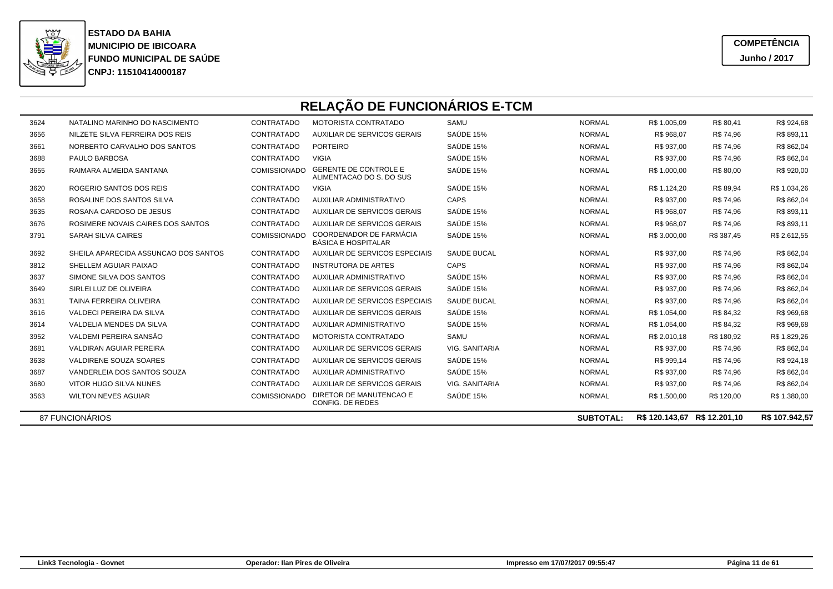

|      | RELAÇÃO DE FUNCIONÁRIOS E-TCM        |                     |                                                          |                       |                  |                              |            |                |  |  |
|------|--------------------------------------|---------------------|----------------------------------------------------------|-----------------------|------------------|------------------------------|------------|----------------|--|--|
| 3624 | NATALINO MARINHO DO NASCIMENTO       | CONTRATADO          | MOTORISTA CONTRATADO                                     | SAMU                  | <b>NORMAL</b>    | R\$ 1.005.09                 | R\$ 80,41  | R\$ 924,68     |  |  |
| 3656 | NILZETE SILVA FERREIRA DOS REIS      | CONTRATADO          | AUXILIAR DE SERVICOS GERAIS                              | SAÚDE 15%             | <b>NORMAL</b>    | R\$ 968.07                   | R\$ 74,96  | R\$ 893,11     |  |  |
| 3661 | NORBERTO CARVALHO DOS SANTOS         | CONTRATADO          | <b>PORTEIRO</b>                                          | SAÚDE 15%             | <b>NORMAL</b>    | R\$ 937.00                   | R\$ 74,96  | R\$ 862,04     |  |  |
| 3688 | PAULO BARBOSA                        | CONTRATADO          | <b>VIGIA</b>                                             | SAÚDE 15%             | <b>NORMAL</b>    | R\$ 937.00                   | R\$ 74,96  | R\$ 862,04     |  |  |
| 3655 | RAIMARA ALMEIDA SANTANA              | <b>COMISSIONADO</b> | <b>GERENTE DE CONTROLE E</b><br>ALIMENTACAO DO S. DO SUS | SAÚDE 15%             | <b>NORMAL</b>    | R\$ 1.000.00                 | R\$ 80,00  | R\$ 920,00     |  |  |
| 3620 | ROGERIO SANTOS DOS REIS              | CONTRATADO          | <b>VIGIA</b>                                             | SAÚDE 15%             | <b>NORMAL</b>    | R\$ 1.124.20                 | R\$ 89,94  | R\$ 1.034,26   |  |  |
| 3658 | ROSALINE DOS SANTOS SILVA            | CONTRATADO          | <b>AUXILIAR ADMINISTRATIVO</b>                           | CAPS                  | <b>NORMAL</b>    | R\$ 937.00                   | R\$ 74,96  | R\$ 862,04     |  |  |
| 3635 | ROSANA CARDOSO DE JESUS              | CONTRATADO          | AUXILIAR DE SERVICOS GERAIS                              | SAÚDE 15%             | <b>NORMAL</b>    | R\$ 968.07                   | R\$ 74,96  | R\$ 893,11     |  |  |
| 3676 | ROSIMERE NOVAIS CAIRES DOS SANTOS    | CONTRATADO          | AUXILIAR DE SERVICOS GERAIS                              | SAÚDE 15%             | <b>NORMAL</b>    | R\$ 968,07                   | R\$ 74,96  | R\$ 893,11     |  |  |
| 3791 | <b>SARAH SILVA CAIRES</b>            | <b>COMISSIONADO</b> | COORDENADOR DE FARMÁCIA<br><b>BÁSICA E HOSPITALAR</b>    | SAÚDE 15%             | <b>NORMAL</b>    | R\$ 3.000.00                 | R\$ 387.45 | R\$ 2.612,55   |  |  |
| 3692 | SHEILA APARECIDA ASSUNCAO DOS SANTOS | CONTRATADO          | AUXILIAR DE SERVICOS ESPECIAIS                           | <b>SAUDE BUCAL</b>    | <b>NORMAL</b>    | R\$ 937,00                   | R\$ 74,96  | R\$ 862,04     |  |  |
| 3812 | SHELLEM AGUIAR PAIXAO                | CONTRATADO          | <b>INSTRUTORA DE ARTES</b>                               | CAPS                  | <b>NORMAL</b>    | R\$ 937.00                   | R\$ 74,96  | R\$ 862,04     |  |  |
| 3637 | SIMONE SILVA DOS SANTOS              | CONTRATADO          | <b>AUXILIAR ADMINISTRATIVO</b>                           | SAÚDE 15%             | <b>NORMAL</b>    | R\$ 937.00                   | R\$ 74,96  | R\$ 862,04     |  |  |
| 3649 | SIRLEI LUZ DE OLIVEIRA               | CONTRATADO          | AUXILIAR DE SERVICOS GERAIS                              | SAÚDE 15%             | <b>NORMAL</b>    | R\$ 937,00                   | R\$ 74,96  | R\$ 862,04     |  |  |
| 3631 | TAINA FERREIRA OLIVEIRA              | CONTRATADO          | AUXILIAR DE SERVICOS ESPECIAIS                           | <b>SAUDE BUCAL</b>    | <b>NORMAL</b>    | R\$ 937.00                   | R\$ 74,96  | R\$ 862,04     |  |  |
| 3616 | VALDECI PEREIRA DA SILVA             | CONTRATADO          | AUXILIAR DE SERVICOS GERAIS                              | SAÚDE 15%             | <b>NORMAL</b>    | R\$ 1.054.00                 | R\$ 84,32  | R\$ 969,68     |  |  |
| 3614 | VALDELIA MENDES DA SILVA             | CONTRATADO          | <b>AUXILIAR ADMINISTRATIVO</b>                           | SAÚDE 15%             | <b>NORMAL</b>    | R\$ 1.054,00                 | R\$ 84,32  | R\$ 969,68     |  |  |
| 3952 | VALDEMI PEREIRA SANSÃO               | CONTRATADO          | MOTORISTA CONTRATADO                                     | SAMU                  | <b>NORMAL</b>    | R\$ 2.010,18                 | R\$ 180,92 | R\$ 1.829,26   |  |  |
| 3681 | <b>VALDIRAN AGUIAR PEREIRA</b>       | CONTRATADO          | AUXILIAR DE SERVICOS GERAIS                              | <b>VIG. SANITARIA</b> | <b>NORMAL</b>    | R\$ 937.00                   | R\$ 74,96  | R\$ 862,04     |  |  |
| 3638 | VALDIRENE SOUZA SOARES               | CONTRATADO          | AUXILIAR DE SERVICOS GERAIS                              | SAÚDE 15%             | <b>NORMAL</b>    | R\$ 999.14                   | R\$ 74,96  | R\$ 924,18     |  |  |
| 3687 | VANDERLEIA DOS SANTOS SOUZA          | CONTRATADO          | <b>AUXILIAR ADMINISTRATIVO</b>                           | SAÚDE 15%             | <b>NORMAL</b>    | R\$ 937.00                   | R\$ 74,96  | R\$ 862,04     |  |  |
| 3680 | VITOR HUGO SILVA NUNES               | CONTRATADO          | AUXILIAR DE SERVICOS GERAIS                              | <b>VIG. SANITARIA</b> | <b>NORMAL</b>    | R\$ 937,00                   | R\$ 74,96  | R\$ 862,04     |  |  |
| 3563 | <b>WILTON NEVES AGUIAR</b>           | <b>COMISSIONADO</b> | DIRETOR DE MANUTENCAO E<br>CONFIG. DE REDES              | SAÚDE 15%             | <b>NORMAL</b>    | R\$ 1.500,00                 | R\$ 120.00 | R\$ 1.380,00   |  |  |
|      | 87 FUNCIONÁRIOS                      |                     |                                                          |                       | <b>SUBTOTAL:</b> | R\$ 120.143.67 R\$ 12.201.10 |            | R\$ 107,942.57 |  |  |

87 FUNCIONÁRIOS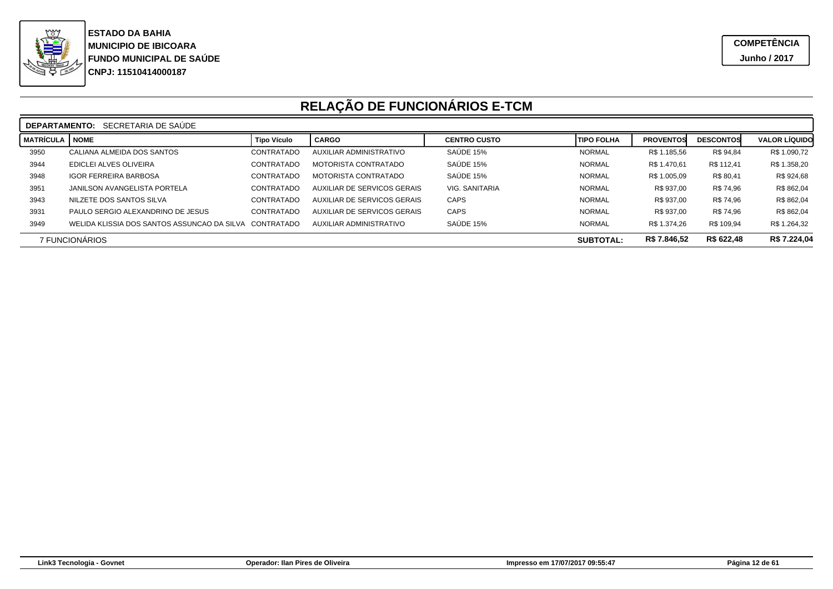

|                                                                  | SECRETARIA DE SAUDE<br><b>DEPARTAMENTO:</b>            |                    |                             |                     |                   |                  |                  |                      |  |
|------------------------------------------------------------------|--------------------------------------------------------|--------------------|-----------------------------|---------------------|-------------------|------------------|------------------|----------------------|--|
| <b>MATRÍCULA</b>                                                 | <b>NOME</b>                                            | <b>Tipo Vículo</b> | <b>CARGO</b>                | <b>CENTRO CUSTO</b> | <b>TIPO FOLHA</b> | <b>PROVENTOS</b> | <b>DESCONTOS</b> | <b>VALOR LÍQUIDO</b> |  |
| 3950                                                             | CALIANA ALMEIDA DOS SANTOS                             | CONTRATADO         | AUXILIAR ADMINISTRATIVO     | SAÚDE 15%           | <b>NORMAL</b>     | R\$ 1.185,56     | R\$ 94,84        | R\$ 1.090,72         |  |
| 3944                                                             | EDICLEI ALVES OLIVEIRA                                 | CONTRATADO         | MOTORISTA CONTRATADO        | SAÚDE 15%           | <b>NORMAL</b>     | R\$ 1.470.61     | R\$ 112.41       | R\$ 1.358,20         |  |
| 3948                                                             | <b>IGOR FERREIRA BARBOSA</b>                           | CONTRATADO         | MOTORISTA CONTRATADO        | SAÚDE 15%           | <b>NORMAL</b>     | R\$ 1.005,09     | R\$ 80,41        | R\$ 924,68           |  |
| 3951                                                             | JANILSON AVANGELISTA PORTELA                           | CONTRATADO         | AUXILIAR DE SERVICOS GERAIS | VIG. SANITARIA      | <b>NORMAL</b>     | R\$ 937,00       | R\$ 74,96        | R\$ 862,04           |  |
| 3943                                                             | NILZETE DOS SANTOS SILVA                               | CONTRATADO         | AUXILIAR DE SERVICOS GERAIS | <b>CAPS</b>         | <b>NORMAL</b>     | R\$ 937,00       | R\$ 74,96        | R\$ 862,04           |  |
| 3931                                                             | PAULO SERGIO ALEXANDRINO DE JESUS                      | CONTRATADO         | AUXILIAR DE SERVICOS GERAIS | <b>CAPS</b>         | <b>NORMAL</b>     | R\$ 937,00       | R\$ 74,96        | R\$ 862,04           |  |
| 3949                                                             | WELIDA KLISSIA DOS SANTOS ASSUNCAO DA SILVA CONTRATADO |                    | AUXILIAR ADMINISTRATIVO     | SAÚDE 15%           | <b>NORMAL</b>     | R\$ 1.374.26     | R\$ 109,94       | R\$ 1.264,32         |  |
| R\$ 622,48<br>R\$ 7.846,52<br>7 FUNCIONARIOS<br><b>SUBTOTAL:</b> |                                                        |                    |                             |                     | R\$ 7.224,04      |                  |                  |                      |  |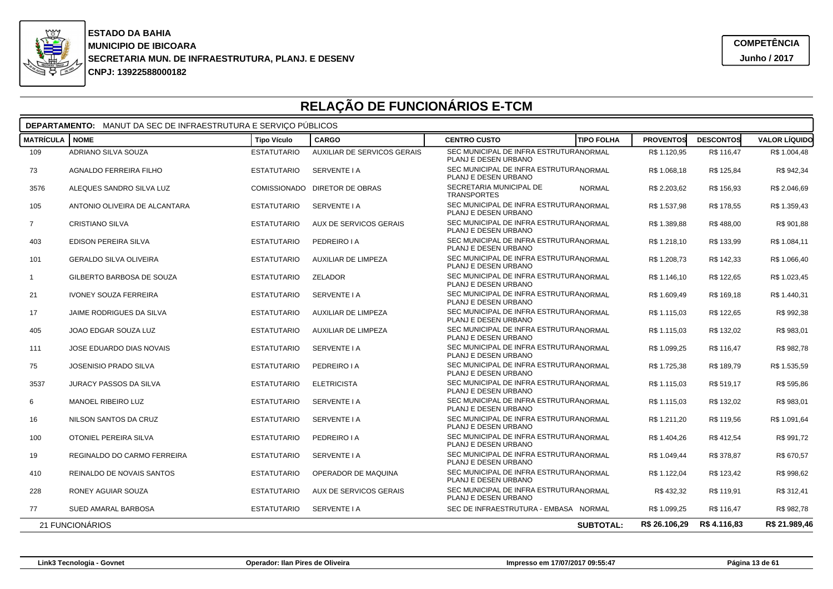

### **RELAÇÃO DE FUNCIONÁRIOS E-TCM**

| <b>DEPARTAMENTO:</b> MANUT DA SEC DE INFRAESTRUTURA E SERVIÇO PÚBLICOS |                               |                    |                               |                                                                |                   |                  |                  |                      |  |  |  |
|------------------------------------------------------------------------|-------------------------------|--------------------|-------------------------------|----------------------------------------------------------------|-------------------|------------------|------------------|----------------------|--|--|--|
| <b>MATRÍCULA</b>                                                       | <b>NOME</b>                   | <b>Tipo Vículo</b> | <b>CARGO</b>                  | <b>CENTRO CUSTO</b>                                            | <b>TIPO FOLHA</b> | <b>PROVENTOS</b> | <b>DESCONTOS</b> | <b>VALOR LÍQUIDO</b> |  |  |  |
| 109                                                                    | ADRIANO SILVA SOUZA           | <b>ESTATUTARIO</b> | AUXILIAR DE SERVICOS GERAIS   | SEC MUNICIPAL DE INFRA ESTRUTURANORMAL<br>PLANJ E DESEN URBANO |                   | R\$ 1.120,95     | R\$ 116.47       | R\$ 1.004,48         |  |  |  |
| 73                                                                     | AGNALDO FERREIRA FILHO        | <b>ESTATUTARIO</b> | SERVENTE I A                  | SEC MUNICIPAL DE INFRA ESTRUTURANORMAL<br>PLANJ E DESEN URBANO |                   | R\$ 1.068,18     | R\$ 125,84       | R\$ 942,34           |  |  |  |
| 3576                                                                   | ALEQUES SANDRO SILVA LUZ      |                    | COMISSIONADO DIRETOR DE OBRAS | SECRETARIA MUNICIPAL DE<br><b>TRANSPORTES</b>                  | <b>NORMAL</b>     | R\$ 2.203,62     | R\$ 156,93       | R\$ 2.046,69         |  |  |  |
| 105                                                                    | ANTONIO OLIVEIRA DE ALCANTARA | <b>ESTATUTARIO</b> | SERVENTE I A                  | SEC MUNICIPAL DE INFRA ESTRUTURANORMAL<br>PLANJ E DESEN URBANO |                   | R\$ 1.537,98     | R\$ 178,55       | R\$ 1.359,43         |  |  |  |
| $\overline{7}$                                                         | CRISTIANO SILVA               | <b>ESTATUTARIO</b> | AUX DE SERVICOS GERAIS        | SEC MUNICIPAL DE INFRA ESTRUTURANORMAL<br>PLANJ E DESEN URBANO |                   | R\$ 1.389,88     | R\$488,00        | R\$ 901,88           |  |  |  |
| 403                                                                    | EDISON PEREIRA SILVA          | <b>ESTATUTARIO</b> | PEDREIRO I A                  | SEC MUNICIPAL DE INFRA ESTRUTURANORMAL<br>PLANJ E DESEN URBANO |                   | R\$ 1.218,10     | R\$ 133,99       | R\$ 1.084,11         |  |  |  |
| 101                                                                    | <b>GERALDO SILVA OLIVEIRA</b> | <b>ESTATUTARIO</b> | AUXILIAR DE LIMPEZA           | SEC MUNICIPAL DE INFRA ESTRUTURANORMAL<br>PLANJ E DESEN URBANO |                   | R\$ 1.208,73     | R\$ 142,33       | R\$ 1.066,40         |  |  |  |
| $\mathbf{1}$                                                           | GILBERTO BARBOSA DE SOUZA     | <b>ESTATUTARIO</b> | <b>ZELADOR</b>                | SEC MUNICIPAL DE INFRA ESTRUTURANORMAL<br>PLANJ E DESEN URBANO |                   | R\$ 1.146,10     | R\$ 122,65       | R\$ 1.023,45         |  |  |  |
| 21                                                                     | <b>IVONEY SOUZA FERREIRA</b>  | <b>ESTATUTARIO</b> | SERVENTE I A                  | SEC MUNICIPAL DE INFRA ESTRUTURANORMAL<br>PLANJ E DESEN URBANO |                   | R\$ 1.609,49     | R\$ 169,18       | R\$ 1.440,31         |  |  |  |
| 17                                                                     | JAIME RODRIGUES DA SILVA      | <b>ESTATUTARIO</b> | AUXILIAR DE LIMPEZA           | SEC MUNICIPAL DE INFRA ESTRUTURANORMAL<br>PLANJ E DESEN URBANO |                   | R\$ 1.115,03     | R\$ 122,65       | R\$ 992,38           |  |  |  |
| 405                                                                    | JOAO EDGAR SOUZA LUZ          | <b>ESTATUTARIO</b> | AUXILIAR DE LIMPEZA           | SEC MUNICIPAL DE INFRA ESTRUTURANORMAL<br>PLANJ E DESEN URBANO |                   | R\$ 1.115,03     | R\$ 132,02       | R\$ 983,01           |  |  |  |
| 111                                                                    | JOSE EDUARDO DIAS NOVAIS      | <b>ESTATUTARIO</b> | SERVENTE I A                  | SEC MUNICIPAL DE INFRA ESTRUTURANORMAL<br>PLANJ E DESEN URBANO |                   | R\$ 1.099,25     | R\$ 116,47       | R\$ 982,78           |  |  |  |
| 75                                                                     | <b>JOSENISIO PRADO SILVA</b>  | <b>ESTATUTARIO</b> | PEDREIRO I A                  | SEC MUNICIPAL DE INFRA ESTRUTURANORMAL<br>PLANJ E DESEN URBANO |                   | R\$ 1.725,38     | R\$ 189,79       | R\$ 1.535,59         |  |  |  |
| 3537                                                                   | <b>JURACY PASSOS DA SILVA</b> | <b>ESTATUTARIO</b> | <b>ELETRICISTA</b>            | SEC MUNICIPAL DE INFRA ESTRUTURANORMAI<br>PLANJ E DESEN URBANO |                   | R\$ 1.115,03     | R\$ 519,17       | R\$ 595,86           |  |  |  |
| 6                                                                      | MANOEL RIBEIRO LUZ            | <b>ESTATUTARIO</b> | SERVENTE I A                  | SEC MUNICIPAL DE INFRA ESTRUTURANORMAL<br>PLANJ E DESEN URBANO |                   | R\$ 1.115,03     | R\$ 132,02       | R\$ 983,01           |  |  |  |
| 16                                                                     | NILSON SANTOS DA CRUZ         | <b>ESTATUTARIO</b> | SERVENTE I A                  | SEC MUNICIPAL DE INFRA ESTRUTURANORMAL<br>PLANJ E DESEN URBANO |                   | R\$ 1.211,20     | R\$ 119,56       | R\$ 1.091,64         |  |  |  |
| 100                                                                    | OTONIEL PEREIRA SILVA         | <b>ESTATUTARIO</b> | PEDREIRO I A                  | SEC MUNICIPAL DE INFRA ESTRUTURANORMAL<br>PLANJ E DESEN URBANO |                   | R\$ 1.404,26     | R\$412,54        | R\$ 991,72           |  |  |  |
| 19                                                                     | REGINALDO DO CARMO FERREIRA   | <b>ESTATUTARIO</b> | SERVENTE I A                  | SEC MUNICIPAL DE INFRA ESTRUTURANORMAL<br>PLANJ E DESEN URBANO |                   | R\$ 1.049,44     | R\$ 378,87       | R\$ 670,57           |  |  |  |
| 410                                                                    | REINALDO DE NOVAIS SANTOS     | <b>ESTATUTARIO</b> | OPERADOR DE MAQUINA           | SEC MUNICIPAL DE INFRA ESTRUTURANORMAL<br>PLANJ E DESEN URBANO |                   | R\$ 1.122,04     | R\$ 123,42       | R\$ 998,62           |  |  |  |
| 228                                                                    | RONEY AGUIAR SOUZA            | <b>ESTATUTARIO</b> | AUX DE SERVICOS GERAIS        | SEC MUNICIPAL DE INFRA ESTRUTURANORMAL<br>PLANJ E DESEN URBANO |                   | R\$432.32        | R\$ 119.91       | R\$ 312,41           |  |  |  |
| 77                                                                     | SUED AMARAL BARBOSA           | <b>ESTATUTARIO</b> | SERVENTE I A                  | SEC DE INFRAESTRUTURA - EMBASA NORMAL                          |                   | R\$ 1.099,25     | R\$ 116,47       | R\$ 982,78           |  |  |  |
|                                                                        | 21 FUNCIONÁRIOS               |                    |                               |                                                                | <b>SUBTOTAL:</b>  | R\$ 26.106,29    | R\$4.116,83      | R\$ 21.989,46        |  |  |  |

**Link3 Tecnologia - Govnet**

**Operador: Ilan Pires de Oliveira**

**Impresso em 17/07/2017 09:55:47 Página 13 de 61**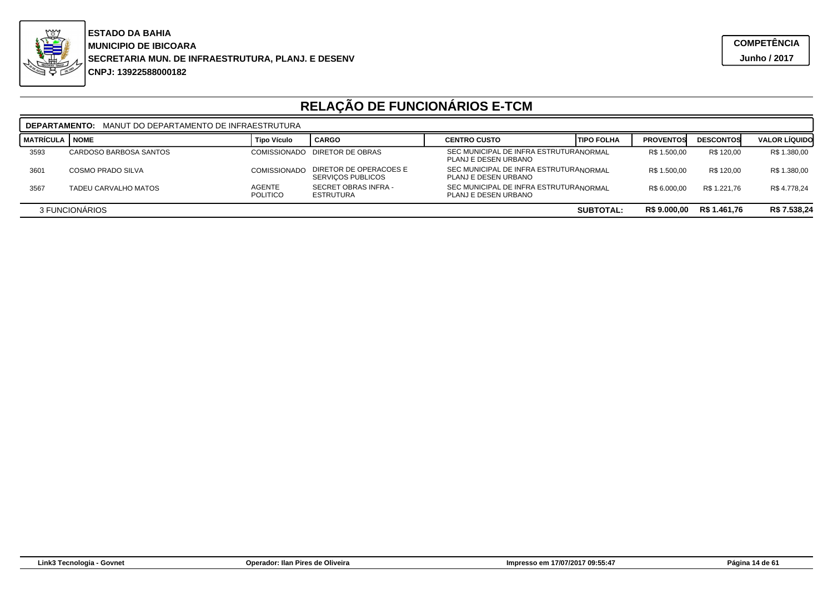

|                                                                    | MANUT DO DEPARTAMENTO DE INFRAESTRUTURA<br><b>DEPARTAMENTO:</b> |                                  |                                                    |                                                                |                   |                  |                  |                      |  |  |
|--------------------------------------------------------------------|-----------------------------------------------------------------|----------------------------------|----------------------------------------------------|----------------------------------------------------------------|-------------------|------------------|------------------|----------------------|--|--|
| I matrícula I                                                      | <b>NOME</b>                                                     | <b>Tipo Vículo</b>               | <b>CARGO</b>                                       | <b>CENTRO CUSTO</b>                                            | <b>TIPO FOLHA</b> | <b>PROVENTOS</b> | <b>DESCONTOS</b> | <b>VALOR LÍQUIDO</b> |  |  |
| 3593                                                               | CARDOSO BARBOSA SANTOS                                          |                                  | COMISSIONADO DIRETOR DE OBRAS                      | SEC MUNICIPAL DE INFRA ESTRUTURANORMAI<br>PLANJ E DESEN URBANO |                   | R\$ 1.500,00     | R\$ 120.00       | R\$ 1.380,00         |  |  |
| 3601                                                               | <b>COSMO PRADO SILVA</b>                                        | <b>COMISSIONADO</b>              | DIRETOR DE OPERACOES E<br><b>SERVICOS PUBLICOS</b> | SEC MUNICIPAL DE INFRA ESTRUTURANORMAI<br>PLANJ E DESEN URBANO |                   | R\$ 1.500,00     | R\$ 120.00       | R\$ 1.380,00         |  |  |
| 3567                                                               | TADEU CARVALHO MATOS                                            | <b>AGENTE</b><br><b>POLITICO</b> | SECRET OBRAS INFRA -<br>ESTRUTURA                  | SEC MUNICIPAL DE INFRA ESTRUTURANORMAI<br>PLANJ E DESEN URBANO |                   | R\$ 6.000.00     | R\$ 1.221.76     | R\$4.778.24          |  |  |
| R\$ 1.461,76<br>R\$ 9.000,00<br>3 FUNCIONARIOS<br><b>SUBTOTAL:</b> |                                                                 |                                  |                                                    |                                                                |                   | R\$ 7.538,24     |                  |                      |  |  |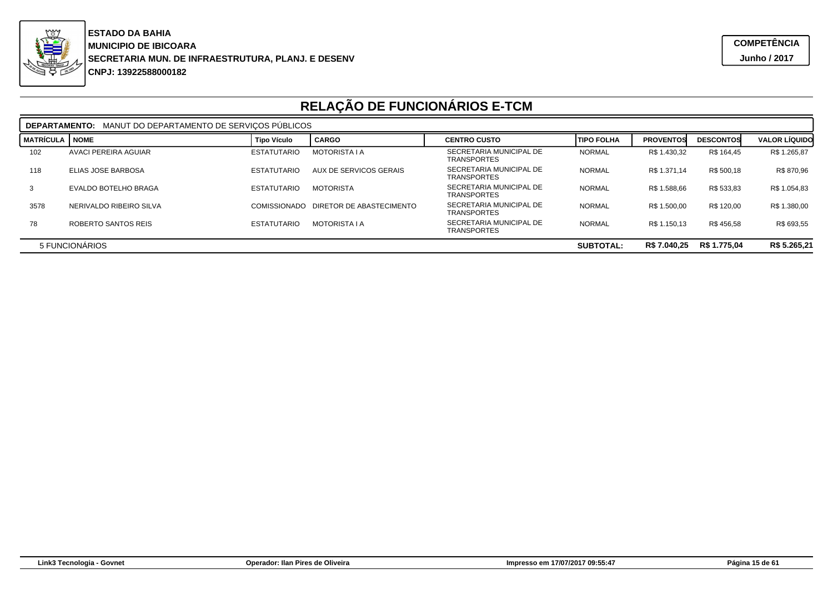

|                  | MANUT DO DEPARTAMENTO DE SERVICOS PÚBLICOS<br><b>DEPARTAMENTO:</b> |                     |                          |                                               |                   |                  |                  |                      |  |  |
|------------------|--------------------------------------------------------------------|---------------------|--------------------------|-----------------------------------------------|-------------------|------------------|------------------|----------------------|--|--|
| <b>MATRÍCULA</b> | <b>NOME</b>                                                        | <b>Tipo Vículo</b>  | <b>CARGO</b>             | <b>CENTRO CUSTO</b>                           | <b>TIPO FOLHA</b> | <b>PROVENTOS</b> | <b>DESCONTOS</b> | <b>VALOR LÍQUIDO</b> |  |  |
| 102              | AVACI PEREIRA AGUIAR                                               | <b>ESTATUTARIO</b>  | <b>MOTORISTA I A</b>     | SECRETARIA MUNICIPAL DE<br><b>TRANSPORTES</b> | <b>NORMAL</b>     | R\$ 1.430,32     | R\$ 164,45       | R\$ 1.265,87         |  |  |
| 118              | ELIAS JOSE BARBOSA                                                 | <b>ESTATUTARIO</b>  | AUX DE SERVICOS GERAIS   | SECRETARIA MUNICIPAL DE<br><b>TRANSPORTES</b> | <b>NORMAL</b>     | R\$ 1.371.14     | R\$ 500.18       | R\$ 870,96           |  |  |
|                  | EVALDO BOTELHO BRAGA                                               | <b>ESTATUTARIO</b>  | <b>MOTORISTA</b>         | SECRETARIA MUNICIPAL DE<br><b>TRANSPORTES</b> | <b>NORMAL</b>     | R\$ 1.588,66     | R\$ 533,83       | R\$ 1.054,83         |  |  |
| 3578             | NERIVALDO RIBEIRO SILVA                                            | <b>COMISSIONADO</b> | DIRETOR DE ABASTECIMENTO | SECRETARIA MUNICIPAL DE<br><b>TRANSPORTES</b> | <b>NORMAL</b>     | R\$ 1.500,00     | R\$ 120.00       | R\$ 1.380,00         |  |  |
| 78               | ROBERTO SANTOS REIS                                                | <b>ESTATUTARIO</b>  | <b>MOTORISTA I A</b>     | SECRETARIA MUNICIPAL DE<br><b>TRANSPORTES</b> | <b>NORMAL</b>     | R\$ 1.150.13     | R\$456.58        | R\$ 693,55           |  |  |
|                  | R\$ 7.040,25<br>R\$ 1.775,04<br>5 FUNCIONÁRIOS<br><b>SUBTOTAL:</b> |                     |                          |                                               |                   |                  | R\$ 5.265,21     |                      |  |  |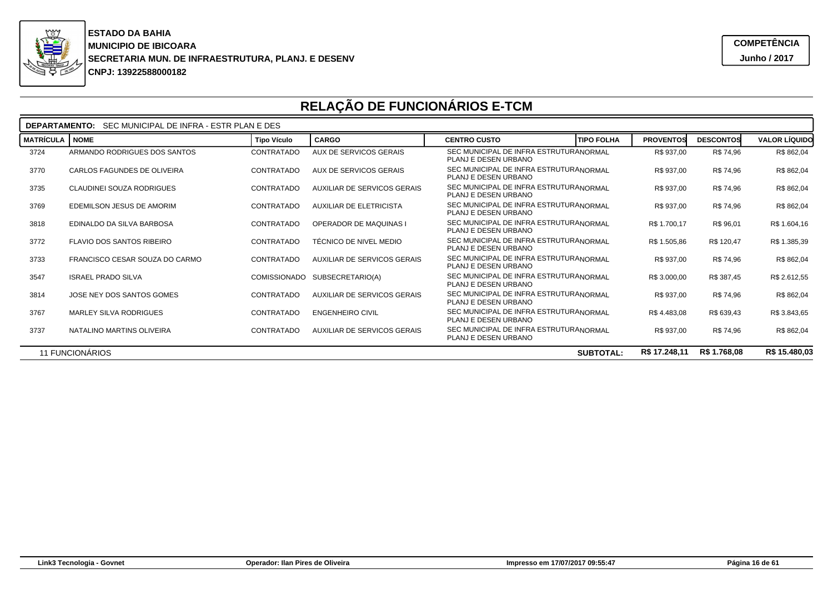

|                  | SEC MUNICIPAL DE INFRA - ESTR PLAN E DES<br><b>DEPARTAMENTO:</b>                      |                     |                                |                                                                |                                       |                  |                      |  |  |  |  |
|------------------|---------------------------------------------------------------------------------------|---------------------|--------------------------------|----------------------------------------------------------------|---------------------------------------|------------------|----------------------|--|--|--|--|
| <b>MATRÍCULA</b> | <b>NOME</b>                                                                           | <b>Tipo Vículo</b>  | <b>CARGO</b>                   | <b>CENTRO CUSTO</b>                                            | <b>TIPO FOLHA</b><br><b>PROVENTOS</b> | <b>DESCONTOS</b> | <b>VALOR LÍQUIDO</b> |  |  |  |  |
| 3724             | ARMANDO RODRIGUES DOS SANTOS                                                          | CONTRATADO          | AUX DE SERVICOS GERAIS         | SEC MUNICIPAL DE INFRA ESTRUTURANORMAL<br>PLANJ E DESEN URBANO | R\$ 937,00                            | R\$ 74,96        | R\$ 862,04           |  |  |  |  |
| 3770             | CARLOS FAGUNDES DE OLIVEIRA                                                           | CONTRATADO          | <b>AUX DE SERVICOS GERAIS</b>  | SEC MUNICIPAL DE INFRA ESTRUTURANORMAL<br>PLANJ E DESEN URBANO | R\$ 937,00                            | R\$ 74,96        | R\$ 862,04           |  |  |  |  |
| 3735             | CLAUDINEI SOUZA RODRIGUES                                                             | CONTRATADO          | AUXILIAR DE SERVICOS GERAIS    | SEC MUNICIPAL DE INFRA ESTRUTURANORMAL<br>PLANJ E DESEN URBANO | R\$ 937,00                            | R\$ 74,96        | R\$ 862,04           |  |  |  |  |
| 3769             | EDEMILSON JESUS DE AMORIM                                                             | CONTRATADO          | <b>AUXILIAR DE ELETRICISTA</b> | SEC MUNICIPAL DE INFRA ESTRUTURANORMAL<br>PLANJ E DESEN URBANO | R\$ 937,00                            | R\$ 74,96        | R\$ 862,04           |  |  |  |  |
| 3818             | EDINALDO DA SILVA BARBOSA                                                             | CONTRATADO          | <b>OPERADOR DE MAQUINAS I</b>  | SEC MUNICIPAL DE INFRA ESTRUTURANORMAL<br>PLANJ E DESEN URBANO | R\$ 1.700,17                          | R\$ 96,01        | R\$ 1.604,16         |  |  |  |  |
| 3772             | <b>FLAVIO DOS SANTOS RIBEIRO</b>                                                      | CONTRATADO          | TÉCNICO DE NIVEL MEDIO         | SEC MUNICIPAL DE INFRA ESTRUTURANORMAL<br>PLANJ E DESEN URBANO | R\$ 1.505,86                          | R\$ 120,47       | R\$ 1.385,39         |  |  |  |  |
| 3733             | FRANCISCO CESAR SOUZA DO CARMO                                                        | CONTRATADO          | AUXILIAR DE SERVICOS GERAIS    | SEC MUNICIPAL DE INFRA ESTRUTURANORMAL<br>PLANJ E DESEN URBANO | R\$ 937,00                            | R\$ 74.96        | R\$ 862,04           |  |  |  |  |
| 3547             | <b>ISRAEL PRADO SILVA</b>                                                             | <b>COMISSIONADO</b> | SUBSECRETARIO(A)               | SEC MUNICIPAL DE INFRA ESTRUTURANORMAL<br>PLANJ E DESEN URBANO | R\$ 3.000,00                          | R\$ 387,45       | R\$ 2.612,55         |  |  |  |  |
| 3814             | JOSE NEY DOS SANTOS GOMES                                                             | <b>CONTRATADO</b>   | AUXILIAR DE SERVICOS GERAIS    | SEC MUNICIPAL DE INFRA ESTRUTURANORMAI<br>PLANJ E DESEN URBANO | R\$ 937,00                            | R\$ 74,96        | R\$ 862,04           |  |  |  |  |
| 3767             | <b>MARLEY SILVA RODRIGUES</b>                                                         | CONTRATADO          | <b>ENGENHEIRO CIVIL</b>        | SEC MUNICIPAL DE INFRA ESTRUTURANORMAL<br>PLANJ E DESEN URBANO | R\$4.483,08                           | R\$ 639,43       | R\$ 3.843,65         |  |  |  |  |
| 3737             | NATALINO MARTINS OLIVEIRA                                                             | CONTRATADO          | AUXILIAR DE SERVICOS GERAIS    | SEC MUNICIPAL DE INFRA ESTRUTURANORMAL<br>PLANJ E DESEN URBANO | R\$ 937.00                            | R\$ 74,96        | R\$ 862,04           |  |  |  |  |
|                  | R\$ 15.480,03<br>11 FUNCIONÁRIOS<br>R\$ 17.248,11<br>R\$ 1.768,08<br><b>SUBTOTAL:</b> |                     |                                |                                                                |                                       |                  |                      |  |  |  |  |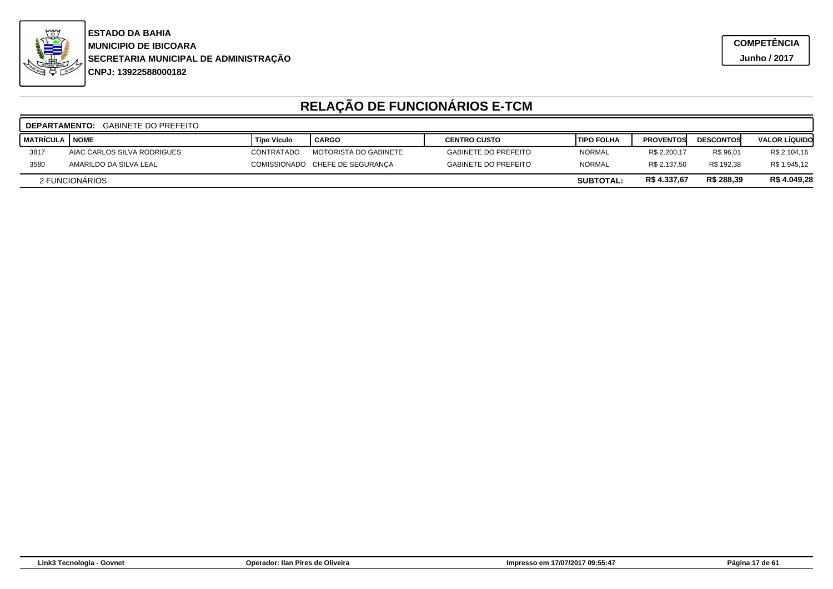

|                                                                 | <b>DEPARTAMENTO:</b> GABINETE DO PREFEITO |                    |                                 |                             |                    |                  |                  |                      |  |  |
|-----------------------------------------------------------------|-------------------------------------------|--------------------|---------------------------------|-----------------------------|--------------------|------------------|------------------|----------------------|--|--|
| <b>MATRÍCULA</b>                                                | <b>NOME</b>                               | <b>Tipo Vículo</b> | <b>CARGO</b>                    | <b>CENTRO CUSTO</b>         | <b>'TIPO FOLHA</b> | <b>PROVENTOS</b> | <b>DESCONTOS</b> | <b>VALOR LIQUIDO</b> |  |  |
| 3817                                                            | AIAC CARLOS SILVA RODRIGUES               | CONTRATADO         | MOTORISTA DO GABINETE           | <b>GABINETE DO PREFEITO</b> | <b>NORMAL</b>      | R\$ 2.200,17     | R\$ 96,01        | R\$ 2.104,16         |  |  |
| 3580                                                            | AMARILDO DA SILVA LEAL                    |                    | COMISSIONADO CHEFE DE SEGURANÇA | <b>GABINETE DO PREFEITO</b> | <b>NORMAL</b>      | R\$ 2.137.50     | R\$ 192.38       | R\$ 1.945,12         |  |  |
| R\$ 288,39<br>R\$4.337,67<br>2 FUNCIONÁRIOS<br><b>SUBTOTAL:</b> |                                           |                    |                                 |                             |                    | R\$4.049,28      |                  |                      |  |  |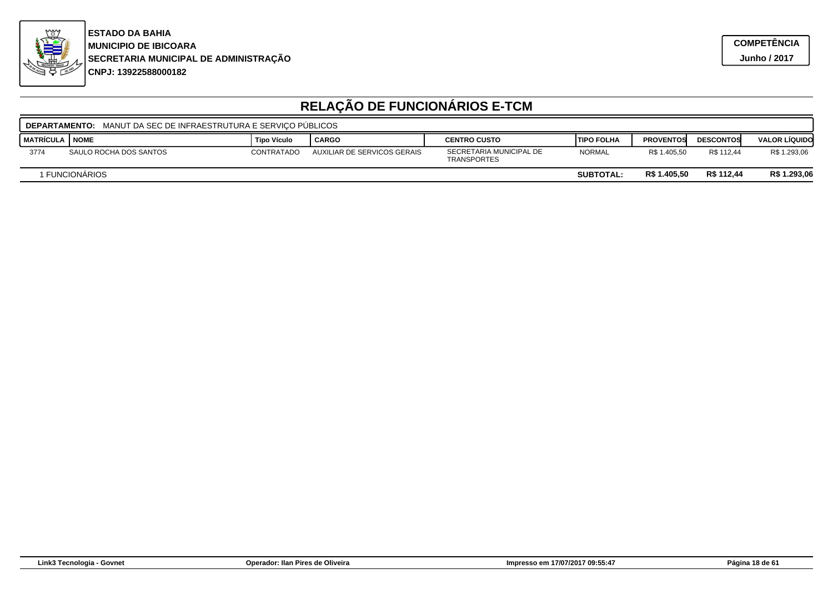

|                                                                  | <b>DEPARTAMENTO:</b> MANUT DA SEC DE INFRAESTRUTURA E SERVICO PUBLICOS |                    |                             |                                               |                    |                  |                  |                      |  |  |
|------------------------------------------------------------------|------------------------------------------------------------------------|--------------------|-----------------------------|-----------------------------------------------|--------------------|------------------|------------------|----------------------|--|--|
| I MATRÍCULA                                                      | I NOME                                                                 | <b>Tipo Vículo</b> | CARGO                       | <b>CENTRO CUSTO</b>                           | <b>ITIPO FOLHA</b> | <b>PROVENTOS</b> | <b>DESCONTOS</b> | <b>VALOR LÍQUIDO</b> |  |  |
| 3774                                                             | SAULO ROCHA DOS SANTOS                                                 | CONTRATADO         | AUXILIAR DE SERVICOS GERAIS | SECRETARIA MUNICIPAL DE<br><b>TRANSPORTES</b> | <b>NORMAL</b>      | R\$ 1.405,50     | R\$ 112.44       | R\$ 1.293,06         |  |  |
| R\$ 112,44<br>R\$ 1.405,50<br>I FUNCIONÀRIOS<br><b>SUBTOTAL:</b> |                                                                        |                    |                             |                                               |                    |                  | R\$ 1.293,06     |                      |  |  |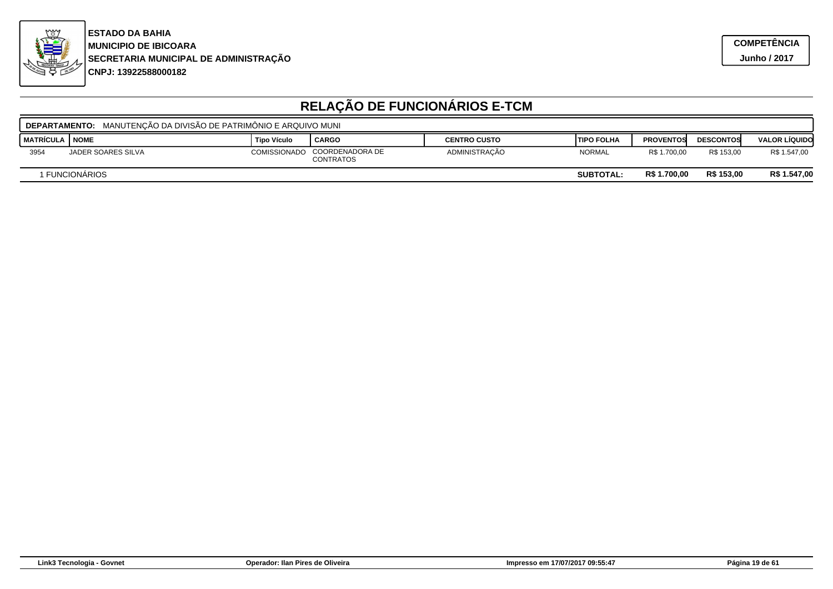

| DEPARTAMENTO: MANUTENÇÃO DA DIVISÃO DE PATRIMÔNIO E ARQUIVO MUNI |                    |                    |                                     |                     |                    |                  |                  |                      |  |
|------------------------------------------------------------------|--------------------|--------------------|-------------------------------------|---------------------|--------------------|------------------|------------------|----------------------|--|
| I MATRÍCULA                                                      | I NOME             | <b>Tipo Vículo</b> | ' CARGO                             | <b>CENTRO CUSTO</b> | <b>ITIPO FOLHA</b> | <b>PROVENTOS</b> | <b>DESCONTOS</b> | <b>VALOR LÍQUIDO</b> |  |
| 3954                                                             | JADER SOARES SILVA | COMISSIONADO       | COORDENADORA DE<br><b>CONTRATOS</b> | ADMINISTRAÇÃO       | <b>NORMAL</b>      | R\$ 1.700,00     | R\$ 153.00       | R\$ 1.547,00         |  |
| R\$ 153.00<br>R\$ 1.700,00<br>I FUNCIONÀRIOS<br><b>SUBTOTAL:</b> |                    |                    |                                     |                     |                    |                  | R\$ 1.547,00     |                      |  |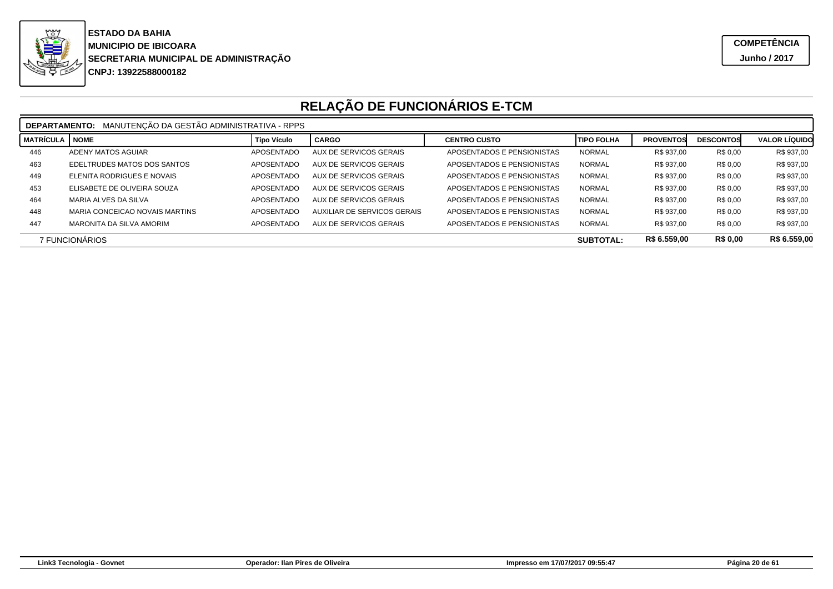

|                                                                       | MANUTENÇÃO DA GESTÃO ADMINISTRATIVA - RPPS<br><b>DEPARTAMENTO:</b> |                    |                               |                            |                   |                  |                  |                      |  |
|-----------------------------------------------------------------------|--------------------------------------------------------------------|--------------------|-------------------------------|----------------------------|-------------------|------------------|------------------|----------------------|--|
| <b>MATRÍCULA</b>                                                      | <b>NOME</b>                                                        | <b>Tipo Vículo</b> | <b>CARGO</b>                  | <b>CENTRO CUSTO</b>        | <b>TIPO FOLHA</b> | <b>PROVENTOS</b> | <b>DESCONTOS</b> | <b>VALOR LÍQUIDO</b> |  |
| 446                                                                   | ADENY MATOS AGUIAR                                                 | APOSENTADO         | AUX DE SERVICOS GERAIS        | APOSENTADOS E PENSIONISTAS | <b>NORMAL</b>     | R\$ 937.00       | R\$ 0,00         | R\$ 937,00           |  |
| 463                                                                   | EDELTRUDES MATOS DOS SANTOS                                        | APOSENTADO         | AUX DE SERVICOS GERAIS        | APOSENTADOS E PENSIONISTAS | <b>NORMAL</b>     | R\$ 937.00       | R\$ 0,00         | R\$ 937,00           |  |
| 449                                                                   | ELENITA RODRIGUES E NOVAIS                                         | APOSENTADO         | AUX DE SERVICOS GERAIS        | APOSENTADOS E PENSIONISTAS | <b>NORMAL</b>     | R\$ 937.00       | R\$ 0,00         | R\$ 937,00           |  |
| 453                                                                   | ELISABETE DE OLIVEIRA SOUZA                                        | APOSENTADO         | AUX DE SERVICOS GERAIS        | APOSENTADOS E PENSIONISTAS | <b>NORMAL</b>     | R\$ 937,00       | R\$ 0,00         | R\$ 937,00           |  |
| 464                                                                   | MARIA ALVES DA SILVA                                               | APOSENTADO         | AUX DE SERVICOS GERAIS        | APOSENTADOS E PENSIONISTAS | <b>NORMAL</b>     | R\$ 937,00       | R\$ 0,00         | R\$ 937,00           |  |
| 448                                                                   | MARIA CONCEICAO NOVAIS MARTINS                                     | APOSENTADO         | AUXILIAR DE SERVICOS GERAIS   | APOSENTADOS E PENSIONISTAS | <b>NORMAL</b>     | R\$ 937.00       | R\$ 0,00         | R\$ 937,00           |  |
| 447                                                                   | MARONITA DA SILVA AMORIM                                           | APOSENTADO         | <b>AUX DE SERVICOS GERAIS</b> | APOSENTADOS E PENSIONISTAS | <b>NORMAL</b>     | R\$ 937.00       | R\$ 0,00         | R\$ 937,00           |  |
| R\$ 6.559,00<br><b>R\$ 0.00</b><br>7 FUNCIONÁRIOS<br><b>SUBTOTAL:</b> |                                                                    |                    |                               |                            |                   | R\$ 6.559,00     |                  |                      |  |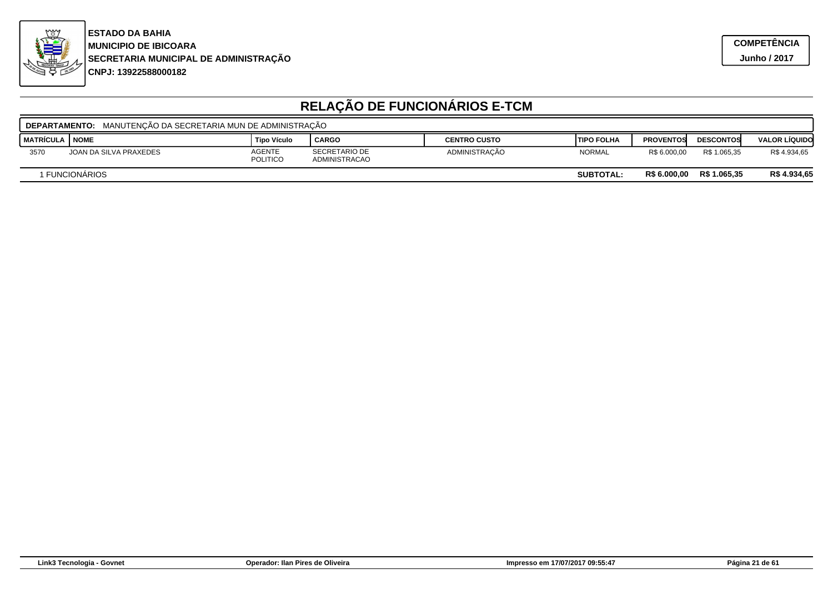

|                                                                           | MANUTENCÃO DA SECRETARIA MUN DE ADMINISTRACÃO<br><b>DEPARTAMENTO:</b> |                           |                                       |                     |                   |                  |                  |                      |  |  |
|---------------------------------------------------------------------------|-----------------------------------------------------------------------|---------------------------|---------------------------------------|---------------------|-------------------|------------------|------------------|----------------------|--|--|
| I MATRÍCULA                                                               | <b>NOME</b>                                                           | <b>Tipo Vículo</b>        | <b>CARGO</b>                          | <b>CENTRO CUSTO</b> | <b>TIPO FOLHA</b> | <b>PROVENTOS</b> | <b>DESCONTOS</b> | <b>VALOR LÍQUIDO</b> |  |  |
| 3570                                                                      | JOAN DA SILVA PRAXEDES                                                | <b>AGENTE</b><br>POLITICO | <b>SECRETARIO DE</b><br>ADMINISTRACAO | ADMINISTRAÇÃO       | <b>NORMAL</b>     | R\$ 6.000.00     | R\$ 1.065.35     | R\$4.934,65          |  |  |
| R\$ 1.065.35<br><b>R\$ 6.000.00</b><br>1 FUNCIONÁRIOS<br><b>SUBTOTAL:</b> |                                                                       |                           |                                       |                     |                   |                  |                  | R\$4.934,65          |  |  |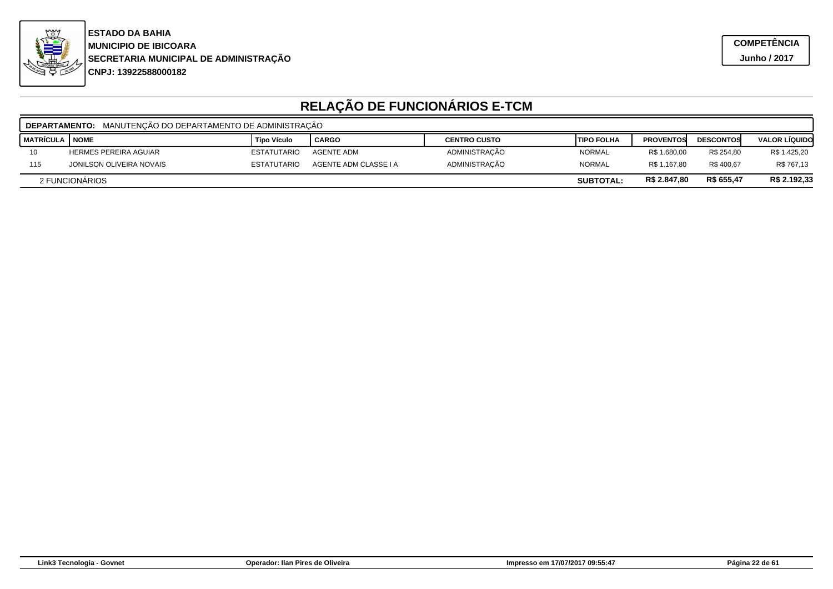

|                                                                  | MANUTENÇÃO DO DEPARTAMENTO DE ADMINISTRAÇÃO<br><b>DEPARTAMENTO:</b> |                    |                       |                     |                    |                  |                  |                      |  |  |
|------------------------------------------------------------------|---------------------------------------------------------------------|--------------------|-----------------------|---------------------|--------------------|------------------|------------------|----------------------|--|--|
| <b>MATRÍCULA I NOME</b>                                          |                                                                     | <b>Tipo Vículo</b> | <b>CARGO</b>          | <b>CENTRO CUSTO</b> | <b>ITIPO FOLHA</b> | <b>PROVENTOS</b> | <b>DESCONTOS</b> | <b>VALOR LIQUIDO</b> |  |  |
| 10                                                               | <b>HERMES PEREIRA AGUIAR</b>                                        | <b>ESTATUTARIO</b> | <b>AGENTE ADM</b>     | ADMINISTRAÇÃO       | <b>NORMAL</b>      | R\$ 1.680,00     | R\$ 254.80       | R\$ 1.425,20         |  |  |
| 115                                                              | JONILSON OLIVEIRA NOVAIS                                            | <b>ESTATUTARIO</b> | AGENTE ADM CLASSE I A | ADMINISTRAÇÃO       | <b>NORMAL</b>      | R\$ 1.167.80     | R\$400.67        | R\$ 767,13           |  |  |
| R\$ 655,47<br>R\$ 2.847,80<br>2 FUNCIONARIOS<br><b>SUBTOTAL:</b> |                                                                     |                    |                       |                     |                    |                  | R\$ 2.192,33     |                      |  |  |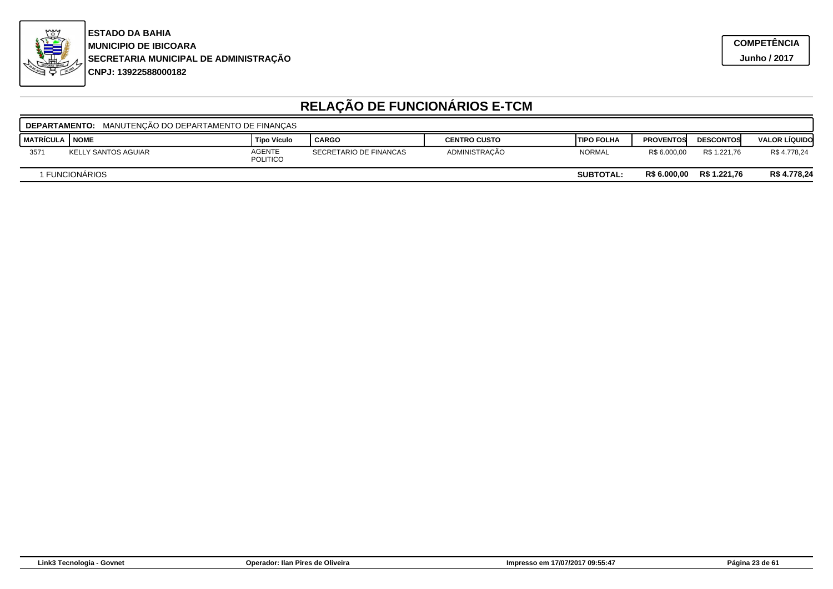

|             | MANUTENCÃO DO DEPARTAMENTO DE FINANCAS<br><b>DEPARTAMENTO:</b> |                                  |                        |                     |                    |                  |                  |                      |  |  |
|-------------|----------------------------------------------------------------|----------------------------------|------------------------|---------------------|--------------------|------------------|------------------|----------------------|--|--|
| I MATRÍCULA | <b>NOME</b>                                                    | <b>Tipo Vículo</b>               | <b>CARGO</b>           | <b>CENTRO CUSTO</b> | <b>ITIPO FOLHA</b> | <b>PROVENTOS</b> | <b>DESCONTOS</b> | <b>VALOR LÍQUIDO</b> |  |  |
| 3571        | KELLY SANTOS AGUIAR                                            | <b>AGENTE</b><br><b>POLITICO</b> | SECRETARIO DE FINANCAS | ADMINISTRAÇÃO       | <b>NORMAL</b>      | R\$ 6.000.00     | R\$ 1.221.76     | R\$4.778,24          |  |  |
|             | 1 FUNCIONÁRIOS                                                 |                                  |                        |                     | <b>SUBTOTAL:</b>   | R\$ 6.000,00     | R\$ 1.221.76     | R\$ 4.778,24         |  |  |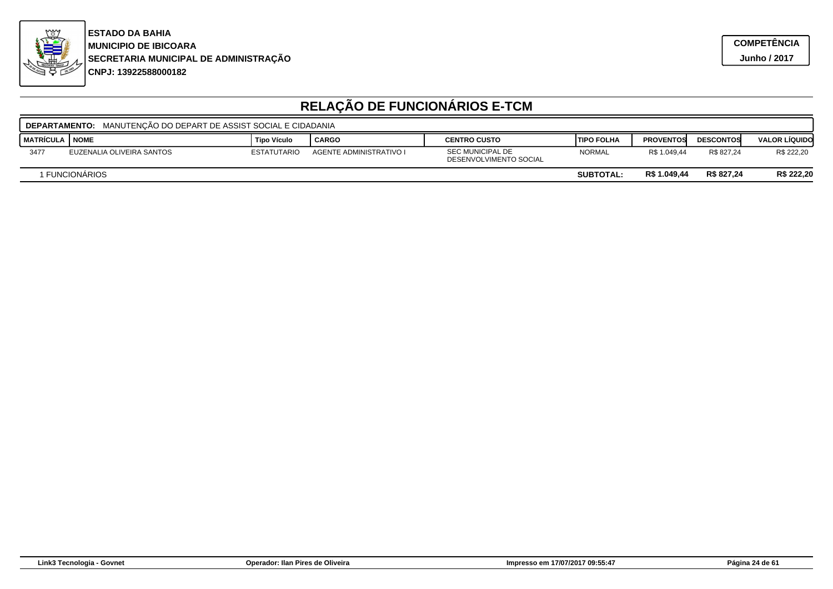

| <b>DEPARTAMENTO:</b> MANUTENCÃO DO DEPART DE ASSIST SOCIAL E CIDADANIA |                           |                    |                         |                                                   |                    |                  |                  |                      |  |
|------------------------------------------------------------------------|---------------------------|--------------------|-------------------------|---------------------------------------------------|--------------------|------------------|------------------|----------------------|--|
| I MATRÍCULA                                                            | I NOME                    | <b>Tipo Vículo</b> | CARGO                   | <b>CENTRO CUSTO</b>                               | <b>ITIPO FOLHA</b> | <b>PROVENTOS</b> | <b>DESCONTOS</b> | <b>VALOR LÍQUIDO</b> |  |
| 3477                                                                   | EUZENALIA OLIVEIRA SANTOS | <b>ESTATUTARIO</b> | AGENTE ADMINISTRATIVO I | <b>SEC MUNICIPAL DE</b><br>DESENVOLVIMENTO SOCIAL | <b>NORMAL</b>      | R\$ 1.049.44     | R\$ 827.24       | R\$ 222,20           |  |
| R\$ 827,24<br>R\$ 1.049.44<br>I FUNCIONÀRIOS<br><b>SUBTOTAL:</b>       |                           |                    |                         |                                                   |                    |                  | R\$ 222,20       |                      |  |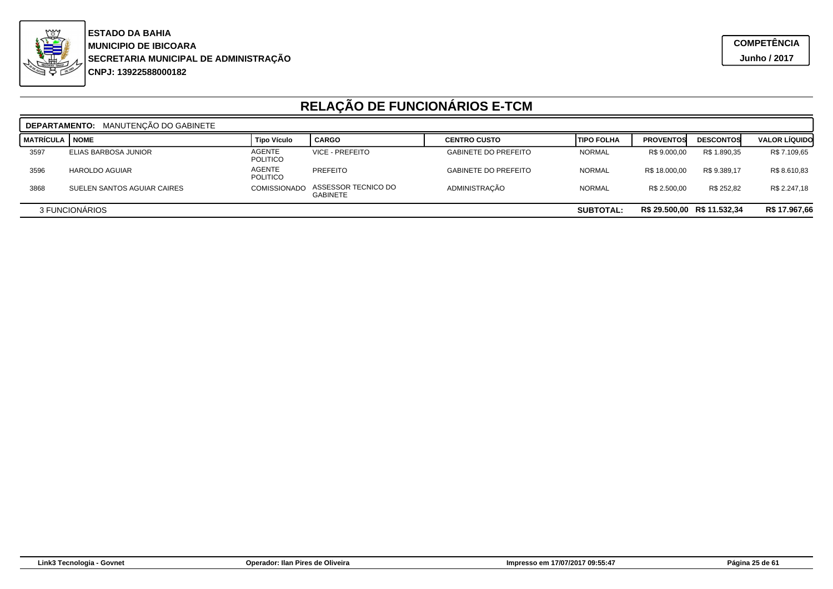

|                                                                   | <b>DEPARTAMENTO: MANUTENCÃO DO GABINETE</b> |                                  |                                        |                             |                   |                  |                  |                      |  |  |  |
|-------------------------------------------------------------------|---------------------------------------------|----------------------------------|----------------------------------------|-----------------------------|-------------------|------------------|------------------|----------------------|--|--|--|
| <b>MATRÍCULA</b>                                                  | I NOME                                      | <b>Tipo Vículo</b>               | <b>CARGO</b>                           | <b>CENTRO CUSTO</b>         | <b>TIPO FOLHA</b> | <b>PROVENTOS</b> | <b>DESCONTOS</b> | <b>VALOR LÍQUIDO</b> |  |  |  |
| 3597                                                              | ELIAS BARBOSA JUNIOR                        | <b>AGENTE</b><br><b>POLITICO</b> | VICE - PREFEITO                        | <b>GABINETE DO PREFEITO</b> | <b>NORMAL</b>     | R\$ 9.000,00     | R\$ 1.890,35     | R\$ 7.109,65         |  |  |  |
| 3596                                                              | HAROLDO AGUIAR                              | <b>AGENTE</b><br><b>POLITICO</b> | PREFEITO                               | <b>GABINETE DO PREFEITO</b> | <b>NORMAL</b>     | R\$ 18,000.00    | R\$ 9.389.17     | R\$ 8.610,83         |  |  |  |
| 3868                                                              | SUELEN SANTOS AGUIAR CAIRES                 | <b>COMISSIONADO</b>              | ASSESSOR TECNICO DO<br><b>GABINETE</b> | ADMINISTRAÇÃO               | <b>NORMAL</b>     | R\$ 2.500.00     | R\$ 252,82       | R\$ 2.247,18         |  |  |  |
| R\$ 29.500,00 R\$ 11.532,34<br>3 FUNCIONARIOS<br><b>SUBTOTAL:</b> |                                             |                                  |                                        |                             |                   |                  | R\$ 17.967,66    |                      |  |  |  |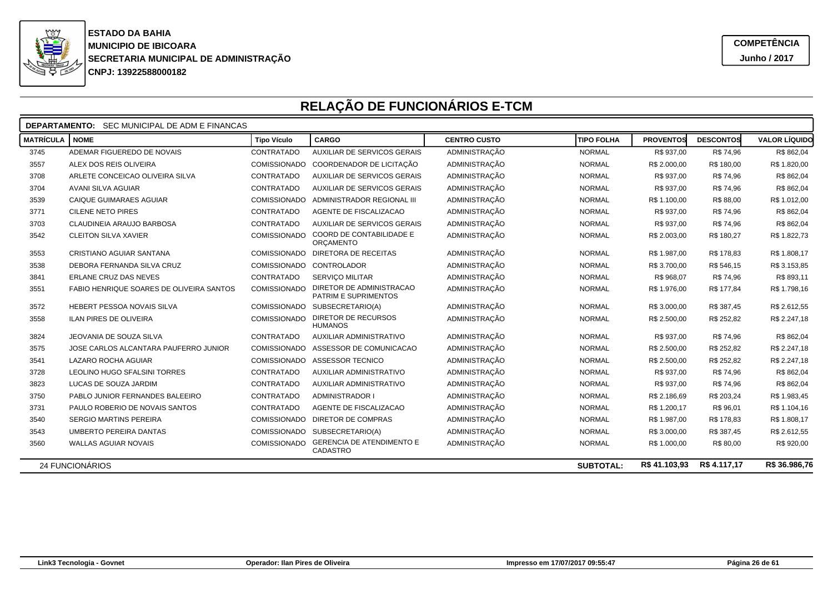

| <b>DEPARTAMENTO:</b><br>SEC MUNICIPAL DE ADM E FINANCAS |                                                 |                          |                                                  |                      |                   |                  |                  |                      |  |  |
|---------------------------------------------------------|-------------------------------------------------|--------------------------|--------------------------------------------------|----------------------|-------------------|------------------|------------------|----------------------|--|--|
| <b>MATRÍCULA</b>                                        | <b>NOME</b>                                     | <b>Tipo Vículo</b>       | <b>CARGO</b>                                     | <b>CENTRO CUSTO</b>  | <b>TIPO FOLHA</b> | <b>PROVENTOS</b> | <b>DESCONTOS</b> | <b>VALOR LÍQUIDO</b> |  |  |
| 3745                                                    | ADEMAR FIGUEREDO DE NOVAIS                      | CONTRATADO               | AUXILIAR DE SERVICOS GERAIS                      | ADMINISTRAÇÃO        | <b>NORMAL</b>     | R\$ 937,00       | R\$ 74,96        | R\$ 862,04           |  |  |
| 3557                                                    | ALEX DOS REIS OLIVEIRA                          | COMISSIONADO             | COORDENADOR DE LICITAÇÃO                         | <b>ADMINISTRAÇÃO</b> | <b>NORMAL</b>     | R\$ 2.000,00     | R\$ 180,00       | R\$ 1.820,00         |  |  |
| 3708                                                    | ARLETE CONCEICAO OLIVEIRA SILVA                 | CONTRATADO               | AUXILIAR DE SERVICOS GERAIS                      | <b>ADMINISTRAÇÃO</b> | <b>NORMAL</b>     | R\$ 937,00       | R\$ 74,96        | R\$ 862,04           |  |  |
| 3704                                                    | AVANI SILVA AGUIAR                              | CONTRATADO               | AUXILIAR DE SERVICOS GERAIS                      | <b>ADMINISTRAÇÃO</b> | <b>NORMAL</b>     | R\$ 937,00       | R\$ 74,96        | R\$ 862,04           |  |  |
| 3539                                                    | CAIQUE GUIMARAES AGUIAR                         | <b>COMISSIONADO</b>      | ADMINISTRADOR REGIONAL III                       | ADMINISTRAÇÃO        | <b>NORMAL</b>     | R\$ 1.100,00     | R\$ 88,00        | R\$ 1.012,00         |  |  |
| 3771                                                    | <b>CILENE NETO PIRES</b>                        | CONTRATADO               | AGENTE DE FISCALIZACAO                           | <b>ADMINISTRAÇÃO</b> | <b>NORMAL</b>     | R\$ 937,00       | R\$ 74,96        | R\$ 862,04           |  |  |
| 3703                                                    | CLAUDINEIA ARAUJO BARBOSA                       | CONTRATADO               | AUXILIAR DE SERVICOS GERAIS                      | ADMINISTRAÇÃO        | <b>NORMAL</b>     | R\$ 937,00       | R\$ 74,96        | R\$ 862,04           |  |  |
| 3542                                                    | <b>CLEITON SILVA XAVIER</b>                     | COMISSIONADO             | <b>COORD DE CONTABILIDADE E</b><br>ORÇAMENTO     | <b>ADMINISTRAÇÃO</b> | <b>NORMAL</b>     | R\$ 2.003,00     | R\$ 180,27       | R\$ 1.822,73         |  |  |
| 3553                                                    | CRISTIANO AGUIAR SANTANA                        | COMISSIONADO             | DIRETORA DE RECEITAS                             | ADMINISTRAÇÃO        | <b>NORMAL</b>     | R\$ 1.987,00     | R\$ 178,83       | R\$ 1.808,17         |  |  |
| 3538                                                    | DEBORA FERNANDA SILVA CRUZ                      | COMISSIONADO CONTROLADOR |                                                  | ADMINISTRAÇÃO        | <b>NORMAL</b>     | R\$ 3.700,00     | R\$ 546,15       | R\$ 3.153,85         |  |  |
| 3841                                                    | ERLANE CRUZ DAS NEVES                           | CONTRATADO               | <b>SERVICO MILITAR</b>                           | <b>ADMINISTRAÇÃO</b> | <b>NORMAL</b>     | R\$ 968,07       | R\$ 74,96        | R\$ 893,11           |  |  |
| 3551                                                    | <b>FABIO HENRIQUE SOARES DE OLIVEIRA SANTOS</b> | <b>COMISSIONADO</b>      | DIRETOR DE ADMINISTRACAO<br>PATRIM E SUPRIMENTOS | ADMINISTRAÇÃO        | <b>NORMAL</b>     | R\$ 1.976,00     | R\$ 177.84       | R\$ 1.798,16         |  |  |
| 3572                                                    | HEBERT PESSOA NOVAIS SILVA                      |                          | COMISSIONADO SUBSECRETARIO(A)                    | <b>ADMINISTRAÇÃO</b> | <b>NORMAL</b>     | R\$ 3.000,00     | R\$ 387,45       | R\$ 2.612,55         |  |  |
| 3558                                                    | <b>ILAN PIRES DE OLIVEIRA</b>                   | <b>COMISSIONADO</b>      | DIRETOR DE RECURSOS<br><b>HUMANOS</b>            | <b>ADMINISTRAÇÃO</b> | <b>NORMAL</b>     | R\$ 2.500,00     | R\$ 252.82       | R\$ 2.247,18         |  |  |
| 3824                                                    | JEOVANIA DE SOUZA SILVA                         | CONTRATADO               | <b>AUXILIAR ADMINISTRATIVO</b>                   | <b>ADMINISTRAÇÃO</b> | <b>NORMAL</b>     | R\$ 937,00       | R\$ 74,96        | R\$ 862,04           |  |  |
| 3575                                                    | JOSE CARLOS ALCANTARA PAUFERRO JUNIOR           | <b>COMISSIONADO</b>      | ASSESSOR DE COMUNICACAO                          | <b>ADMINISTRAÇÃO</b> | <b>NORMAL</b>     | R\$ 2.500,00     | R\$ 252,82       | R\$ 2.247,18         |  |  |
| 3541                                                    | <b>LAZARO ROCHA AGUIAR</b>                      |                          | COMISSIONADO ASSESSOR TECNICO                    | <b>ADMINISTRAÇÃO</b> | <b>NORMAL</b>     | R\$ 2.500,00     | R\$ 252,82       | R\$ 2.247,18         |  |  |
| 3728                                                    | LEOLINO HUGO SFALSINI TORRES                    | CONTRATADO               | AUXILIAR ADMINISTRATIVO                          | ADMINISTRAÇÃO        | <b>NORMAL</b>     | R\$ 937,00       | R\$ 74,96        | R\$ 862,04           |  |  |
| 3823                                                    | LUCAS DE SOUZA JARDIM                           | CONTRATADO               | <b>AUXILIAR ADMINISTRATIVO</b>                   | <b>ADMINISTRAÇÃO</b> | <b>NORMAL</b>     | R\$ 937,00       | R\$ 74,96        | R\$ 862,04           |  |  |
| 3750                                                    | PABLO JUNIOR FERNANDES BALEEIRO                 | CONTRATADO               | <b>ADMINISTRADOR I</b>                           | ADMINISTRAÇÃO        | <b>NORMAL</b>     | R\$ 2.186,69     | R\$ 203,24       | R\$ 1.983,45         |  |  |
| 3731                                                    | PAULO ROBERIO DE NOVAIS SANTOS                  | CONTRATADO               | AGENTE DE FISCALIZACAO                           | <b>ADMINISTRAÇÃO</b> | <b>NORMAL</b>     | R\$ 1.200,17     | R\$ 96,01        | R\$ 1.104,16         |  |  |
| 3540                                                    | SERGIO MARTINS PEREIRA                          | COMISSIONADO             | <b>DIRETOR DE COMPRAS</b>                        | ADMINISTRAÇÃO        | <b>NORMAL</b>     | R\$ 1.987,00     | R\$ 178,83       | R\$ 1.808,17         |  |  |
| 3543                                                    | <b>UMBERTO PEREIRA DANTAS</b>                   | <b>COMISSIONADO</b>      | SUBSECRETARIO(A)                                 | <b>ADMINISTRAÇÃO</b> | <b>NORMAL</b>     | R\$ 3.000,00     | R\$ 387,45       | R\$ 2.612,55         |  |  |
| 3560                                                    | WALLAS AGUIAR NOVAIS                            | COMISSIONADO             | <b>GERENCIA DE ATENDIMENTO E</b><br>CADASTRO     | ADMINISTRAÇÃO        | <b>NORMAL</b>     | R\$ 1.000,00     | R\$ 80,00        | R\$ 920,00           |  |  |
|                                                         | 24 FUNCIONÁRIOS                                 |                          |                                                  |                      | <b>SUBTOTAL:</b>  | R\$41.103.93     | R\$4.117.17      | R\$ 36.986,76        |  |  |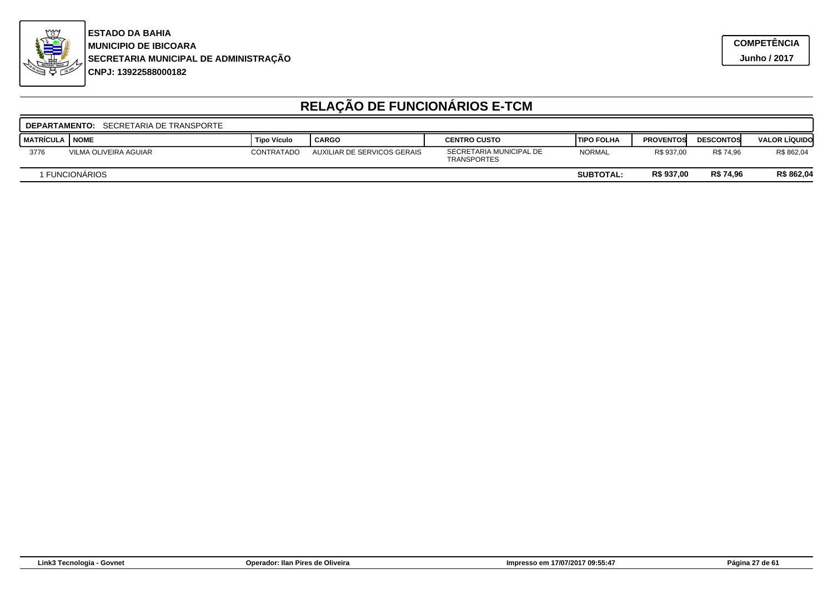

|                    | <b>DEPARTAMENTO: SECRETARIA DE TRANSPORTE</b> |             |                             |                                               |                    |                  |                  |                      |  |  |  |
|--------------------|-----------------------------------------------|-------------|-----------------------------|-----------------------------------------------|--------------------|------------------|------------------|----------------------|--|--|--|
| I MATRÍCULA I NOME |                                               | Tipo Vículo | <b>CARGO</b>                | <b>CENTRO CUSTO</b>                           | <b>ITIPO FOLHA</b> | <b>PROVENTOS</b> | <b>DESCONTOS</b> | <b>VALOR LÍQUIDO</b> |  |  |  |
| 3776               | VILMA OLIVEIRA AGUIAR                         | CONTRATADO  | AUXILIAR DE SERVICOS GERAIS | SECRETARIA MUNICIPAL DE<br><b>TRANSPORTES</b> | <b>NORMAL</b>      | R\$ 937.00       | R\$ 74.96        | R\$ 862,04           |  |  |  |
|                    | <b>FUNCIONARIOS</b>                           |             |                             |                                               | <b>SUBTOTAL:</b>   | R\$ 937,00       | R\$ 74,96        | R\$ 862,04           |  |  |  |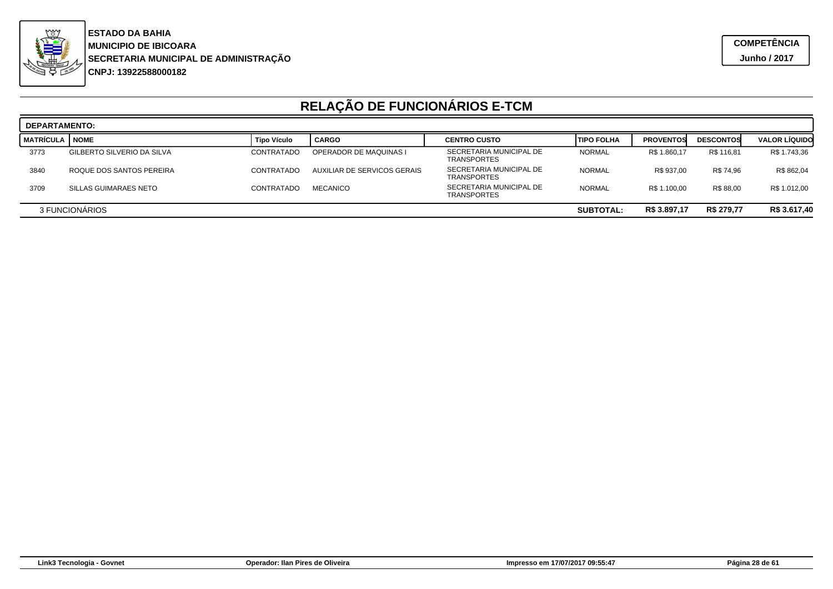

|                                                                  | <b>DEPARTAMENTO:</b>       |                    |                             |                                               |                   |                  |                  |                      |  |  |  |
|------------------------------------------------------------------|----------------------------|--------------------|-----------------------------|-----------------------------------------------|-------------------|------------------|------------------|----------------------|--|--|--|
| <b>MATRÍCULA</b>                                                 | <b>NOME</b>                | <b>Tipo Vículo</b> | <b>CARGO</b>                | <b>CENTRO CUSTO</b>                           | <b>TIPO FOLHA</b> | <b>PROVENTOS</b> | <b>DESCONTOS</b> | <b>VALOR LÍQUIDO</b> |  |  |  |
| 3773                                                             | GILBERTO SILVERIO DA SILVA | CONTRATADO         | OPERADOR DE MAQUINAS I      | SECRETARIA MUNICIPAL DE<br><b>TRANSPORTES</b> | <b>NORMAL</b>     | R\$ 1.860,17     | R\$ 116.81       | R\$ 1.743,36         |  |  |  |
| 3840                                                             | ROQUE DOS SANTOS PEREIRA   | CONTRATADO         | AUXILIAR DE SERVICOS GERAIS | SECRETARIA MUNICIPAL DE<br><b>TRANSPORTES</b> | <b>NORMAL</b>     | R\$ 937,00       | R\$ 74.96        | R\$ 862,04           |  |  |  |
| 3709                                                             | SILLAS GUIMARAES NETO      | CONTRATADO         | <b>MECANICO</b>             | SECRETARIA MUNICIPAL DE<br><b>TRANSPORTES</b> | <b>NORMAL</b>     | R\$ 1.100,00     | R\$ 88.00        | R\$ 1.012,00         |  |  |  |
| R\$ 279,77<br>R\$ 3.897,17<br>3 FUNCIONARIOS<br><b>SUBTOTAL:</b> |                            |                    |                             |                                               |                   | R\$ 3.617,40     |                  |                      |  |  |  |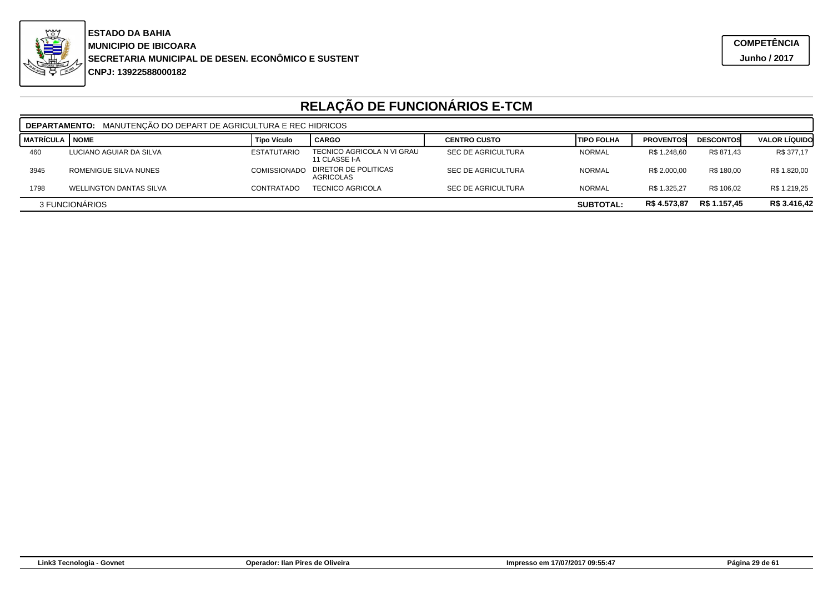

**CNPJ: 13922588000182SECRETARIA MUNICIPAL DE DESEN. ECONÔMICO E SUSTENT MUNICIPIO DE IBICOARA ESTADO DA BAHIA**

|                                                                    | MANUTENÇÃO DO DEPART DE AGRICULTURA E REC HIDRICOS<br><b>DEPARTAMENTO:</b> |                     |                                             |                           |                   |                  |                  |                      |  |  |
|--------------------------------------------------------------------|----------------------------------------------------------------------------|---------------------|---------------------------------------------|---------------------------|-------------------|------------------|------------------|----------------------|--|--|
| <b>MATRÍCULA   NOME</b>                                            |                                                                            | <b>Tipo Vículo</b>  | <b>CARGO</b>                                | <b>CENTRO CUSTO</b>       | <b>TIPO FOLHA</b> | <b>PROVENTOS</b> | <b>DESCONTOS</b> | <b>VALOR LÍQUIDO</b> |  |  |
| 460                                                                | LUCIANO AGUIAR DA SILVA                                                    | <b>ESTATUTARIO</b>  | TECNICO AGRICOLA N VI GRAU<br>11 CLASSE I-A | <b>SEC DE AGRICULTURA</b> | <b>NORMAL</b>     | R\$ 1.248.60     | R\$ 871.43       | R\$ 377,17           |  |  |
| 3945                                                               | ROMENIGUE SILVA NUNES                                                      | <b>COMISSIONADO</b> | DIRETOR DE POLITICAS<br>AGRICOLAS           | <b>SEC DE AGRICULTURA</b> | <b>NORMAL</b>     | R\$ 2.000.00     | R\$ 180.00       | R\$ 1.820,00         |  |  |
| 1798                                                               | <b>WELLINGTON DANTAS SILVA</b>                                             | CONTRATADO          | <b>TECNICO AGRICOLA</b>                     | <b>SEC DE AGRICULTURA</b> | <b>NORMAL</b>     | R\$ 1.325.27     | R\$ 106.02       | R\$ 1.219.25         |  |  |
| R\$ 4.573,87<br>R\$ 1.157,45<br>3 FUNCIONARIOS<br><b>SUBTOTAL:</b> |                                                                            |                     |                                             |                           |                   |                  | R\$ 3.416,42     |                      |  |  |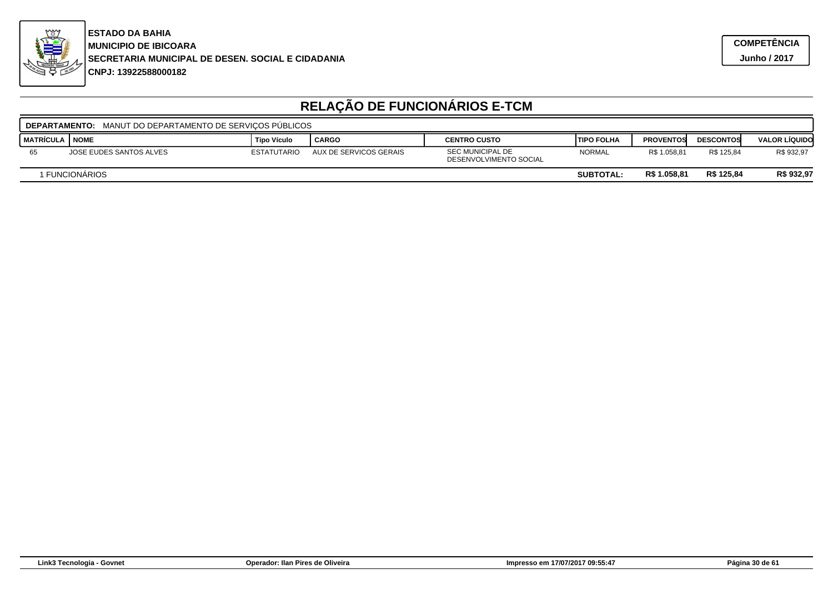

|                    | MANUT DO DEPARTAMENTO DE SERVICOS PÚBLICOS<br><b>DEPARTAMENTO:</b>             |                    |                        |                                                   |                   |                  |                  |                      |  |  |  |
|--------------------|--------------------------------------------------------------------------------|--------------------|------------------------|---------------------------------------------------|-------------------|------------------|------------------|----------------------|--|--|--|
| I MATRÍCULA I NOME |                                                                                | Tipo Vículo        | <b>CARGO</b>           | <b>CENTRO CUSTO</b>                               | <b>TIPO FOLHA</b> | <b>PROVENTOS</b> | <b>DESCONTOS</b> | <b>VALOR LÍQUIDO</b> |  |  |  |
| 65                 | JOSE EUDES SANTOS ALVES                                                        | <b>ESTATUTARIO</b> | AUX DE SERVICOS GERAIS | <b>SEC MUNICIPAL DE</b><br>DESENVOLVIMENTO SOCIAL | <b>NORMAL</b>     | R\$ 1.058,81     | R\$ 125.84       | R\$ 932,97           |  |  |  |
|                    | R\$ 125.84<br>R\$ 932,97<br>R\$ 1.058.81<br>I FUNCIONÀRIOS<br><b>SUBTOTAL:</b> |                    |                        |                                                   |                   |                  |                  |                      |  |  |  |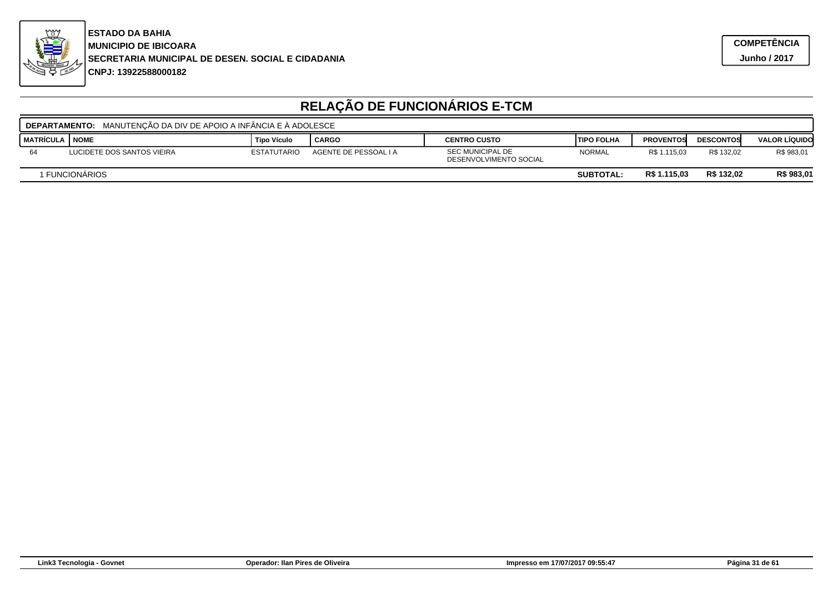

|                    | <b>DEPARTAMENTO:</b> MANUTENCÃO DA DIV DE APOIO A INFÂNCIA E Á ADOLESCE        |                    |                       |                                                   |               |                  |                  |                      |  |  |  |
|--------------------|--------------------------------------------------------------------------------|--------------------|-----------------------|---------------------------------------------------|---------------|------------------|------------------|----------------------|--|--|--|
| I MATRÍCULA I NOME |                                                                                | Tipo Vículo        | CARGO                 | <b>CENTRO CUSTO</b>                               | l TIPO FOLHA  | <b>PROVENTOS</b> | <b>DESCONTOS</b> | <b>VALOR LÍQUIDO</b> |  |  |  |
| 64                 | LUCIDETE DOS SANTOS VIEIRA                                                     | <b>ESTATUTARIO</b> | AGENTE DE PESSOAL I A | <b>SEC MUNICIPAL DE</b><br>DESENVOLVIMENTO SOCIAL | <b>NORMAL</b> | R\$ 1.115,03     | R\$ 132.02       | R\$ 983,01           |  |  |  |
|                    | R\$ 132.02<br>R\$ 1.115,03<br>R\$ 983,01<br>I FUNCIONÀRIOS<br><b>SUBTOTAL:</b> |                    |                       |                                                   |               |                  |                  |                      |  |  |  |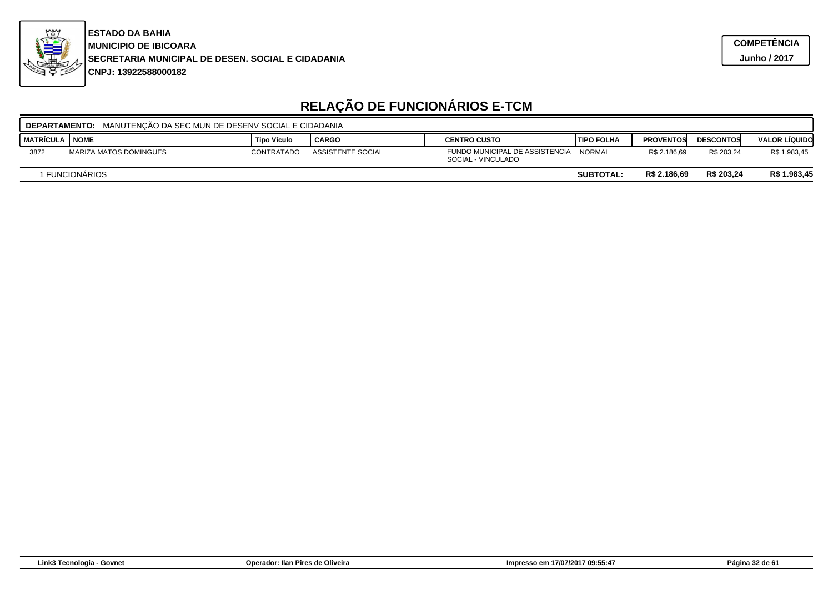

|                    | <b>DEPARTAMENTO: MANUTENCÃO DA SEC MUN DE DESENV SOCIAL E CIDADANIA</b>          |                   |                   |                                                      |               |                  |                  |                      |  |  |  |
|--------------------|----------------------------------------------------------------------------------|-------------------|-------------------|------------------------------------------------------|---------------|------------------|------------------|----------------------|--|--|--|
| <b>I MATRÍCULA</b> | I NOME                                                                           | Tipo Vículo       | <b>CARGO</b>      | <b>CENTRO CUSTO</b>                                  | ITIPO FOLHA   | <b>PROVENTOS</b> | <b>DESCONTOS</b> | <b>VALOR LÍQUIDO</b> |  |  |  |
| 3872               | MARIZA MATOS DOMINGUES                                                           | <b>CONTRATADO</b> | ASSISTENTE SOCIAL | FUNDO MUNICIPAL DE ASSISTENCIA<br>SOCIAL - VINCULADO | <b>NORMAL</b> | R\$ 2.186.69     | R\$ 203.24       | R\$ 1.983,45         |  |  |  |
|                    | R\$ 203.24<br>R\$ 2.186.69<br>R\$ 1.983,45<br>I FUNCIONÀRIOS<br><b>SUBTOTAL:</b> |                   |                   |                                                      |               |                  |                  |                      |  |  |  |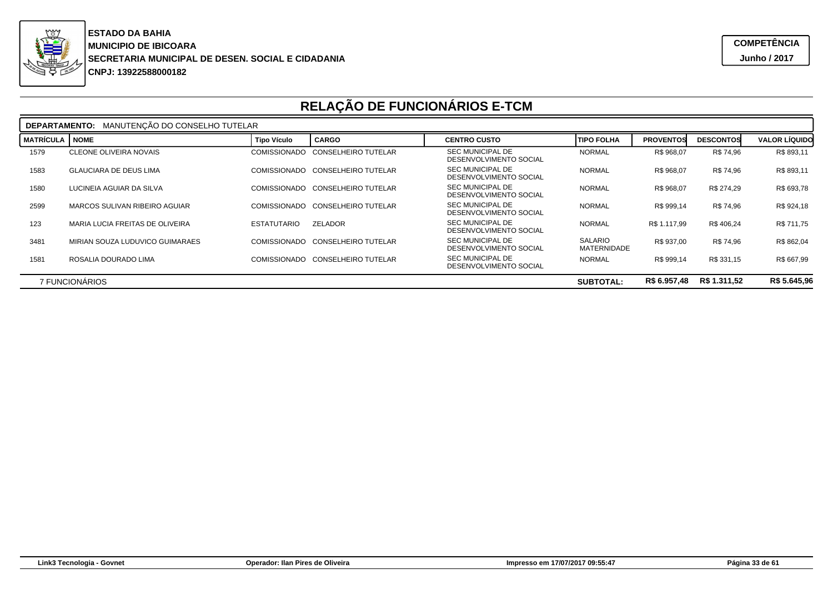

|                  | <b>DEPARTAMENTO: MANUTENÇÃO DO CONSELHO TUTELAR</b>                                |                     |                                  |                                                   |                        |                  |                  |                      |  |  |
|------------------|------------------------------------------------------------------------------------|---------------------|----------------------------------|---------------------------------------------------|------------------------|------------------|------------------|----------------------|--|--|
| <b>MATRÍCULA</b> | <b>NOME</b>                                                                        | <b>Tipo Vículo</b>  | <b>CARGO</b>                     | <b>CENTRO CUSTO</b>                               | <b>TIPO FOLHA</b>      | <b>PROVENTOS</b> | <b>DESCONTOS</b> | <b>VALOR LÍQUIDO</b> |  |  |
| 1579             | <b>CLEONE OLIVEIRA NOVAIS</b>                                                      | <b>COMISSIONADO</b> | <b>CONSELHEIRO TUTELAR</b>       | <b>SEC MUNICIPAL DE</b><br>DESENVOLVIMENTO SOCIAL | <b>NORMAL</b>          | R\$ 968,07       | R\$ 74.96        | R\$ 893,11           |  |  |
| 1583             | <b>GLAUCIARA DE DEUS LIMA</b>                                                      | <b>COMISSIONADO</b> | <b>CONSELHEIRO TUTELAR</b>       | <b>SEC MUNICIPAL DE</b><br>DESENVOLVIMENTO SOCIAL | <b>NORMAL</b>          | R\$ 968,07       | R\$ 74.96        | R\$ 893,11           |  |  |
| 1580             | LUCINEIA AGUIAR DA SILVA                                                           | <b>COMISSIONADO</b> | CONSELHEIRO TUTELAR              | <b>SEC MUNICIPAL DE</b><br>DESENVOLVIMENTO SOCIAL | <b>NORMAL</b>          | R\$ 968,07       | R\$ 274.29       | R\$ 693,78           |  |  |
| 2599             | MARCOS SULIVAN RIBEIRO AGUIAR                                                      | COMISSIONADO        | <b>CONSELHEIRO TUTELAR</b>       | <b>SEC MUNICIPAL DE</b><br>DESENVOLVIMENTO SOCIAL | <b>NORMAL</b>          | R\$ 999,14       | R\$ 74.96        | R\$ 924,18           |  |  |
| 123              | MARIA LUCIA FREITAS DE OLIVEIRA                                                    | <b>ESTATUTARIO</b>  | <b>ZELADOR</b>                   | <b>SEC MUNICIPAL DE</b><br>DESENVOLVIMENTO SOCIAL | <b>NORMAL</b>          | R\$ 1.117.99     | R\$406.24        | R\$ 711,75           |  |  |
| 3481             | MIRIAN SOUZA LUDUVICO GUIMARAES                                                    | COMISSIONADO        | <b>CONSELHEIRO TUTELAR</b>       | <b>SEC MUNICIPAL DE</b><br>DESENVOLVIMENTO SOCIAL | SALARIO<br>MATERNIDADE | R\$ 937,00       | R\$ 74.96        | R\$ 862,04           |  |  |
| 1581             | ROSALIA DOURADO LIMA                                                               |                     | COMISSIONADO CONSELHEIRO TUTELAR | <b>SEC MUNICIPAL DE</b><br>DESENVOLVIMENTO SOCIAL | <b>NORMAL</b>          | R\$ 999,14       | R\$ 331,15       | R\$ 667,99           |  |  |
|                  | R\$ 5.645,96<br>R\$ 1.311.52<br>R\$ 6.957,48<br>7 FUNCIONÁRIOS<br><b>SUBTOTAL:</b> |                     |                                  |                                                   |                        |                  |                  |                      |  |  |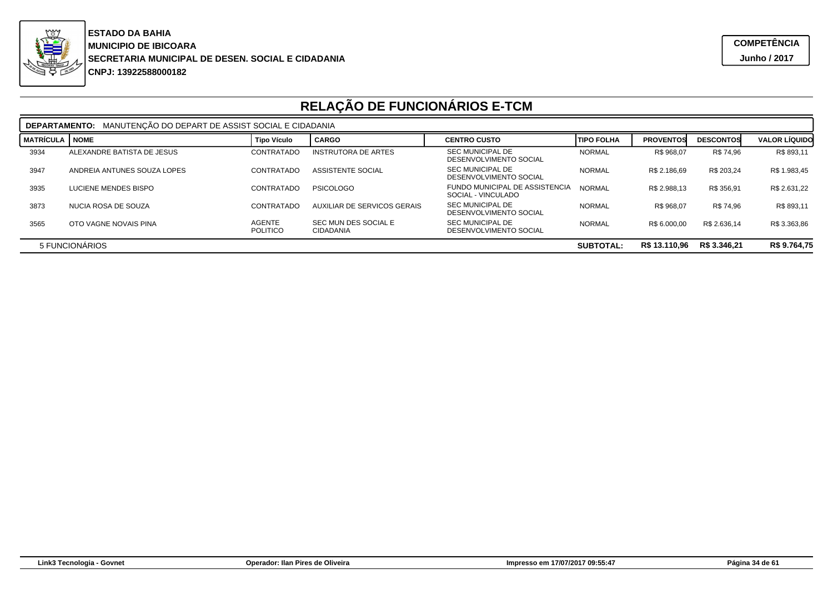

|                                                                                     | MANUTENÇÃO DO DEPART DE ASSIST SOCIAL E CIDADANIA<br><b>DEPARTAMENTO:</b> |                                  |                                          |                                                      |               |                  |                  |                      |  |  |  |
|-------------------------------------------------------------------------------------|---------------------------------------------------------------------------|----------------------------------|------------------------------------------|------------------------------------------------------|---------------|------------------|------------------|----------------------|--|--|--|
| <b>MATRÍCULA</b>                                                                    | <b>NOME</b>                                                               | <b>Tipo Vículo</b>               | <b>CARGO</b>                             | <b>CENTRO CUSTO</b>                                  | I TIPO FOLHA  | <b>PROVENTOS</b> | <b>DESCONTOS</b> | <b>VALOR LÍQUIDO</b> |  |  |  |
| 3934                                                                                | ALEXANDRE BATISTA DE JESUS                                                | CONTRATADO                       | <b>INSTRUTORA DE ARTES</b>               | SEC MUNICIPAL DE<br>DESENVOLVIMENTO SOCIAL           | <b>NORMAL</b> | R\$ 968.07       | R\$ 74.96        | R\$ 893,11           |  |  |  |
| 3947                                                                                | ANDREIA ANTUNES SOUZA LOPES                                               | CONTRATADO                       | ASSISTENTE SOCIAL                        | SEC MUNICIPAL DE<br>DESENVOLVIMENTO SOCIAL           | <b>NORMAL</b> | R\$ 2.186,69     | R\$ 203.24       | R\$ 1.983,45         |  |  |  |
| 3935                                                                                | LUCIENE MENDES BISPO                                                      | CONTRATADO                       | <b>PSICOLOGO</b>                         | FUNDO MUNICIPAL DE ASSISTENCIA<br>SOCIAL - VINCULADO | <b>NORMAL</b> | R\$ 2.988.13     | R\$ 356,91       | R\$ 2.631,22         |  |  |  |
| 3873                                                                                | NUCIA ROSA DE SOUZA                                                       | CONTRATADO                       | AUXILIAR DE SERVICOS GERAIS              | SEC MUNICIPAL DE<br>DESENVOLVIMENTO SOCIAL           | <b>NORMAL</b> | R\$ 968.07       | R\$ 74.96        | R\$ 893,11           |  |  |  |
| 3565                                                                                | OTO VAGNE NOVAIS PINA                                                     | <b>AGENTE</b><br><b>POLITICO</b> | SEC MUN DES SOCIAL E<br><b>CIDADANIA</b> | SEC MUNICIPAL DE<br>DESENVOLVIMENTO SOCIAL           | <b>NORMAL</b> | R\$ 6.000.00     | R\$ 2.636.14     | R\$ 3.363.86         |  |  |  |
| R\$ 9.764,75<br>R\$ 13.110,96<br>R\$ 3.346.21<br>5 FUNCIONÁRIOS<br><b>SUBTOTAL:</b> |                                                                           |                                  |                                          |                                                      |               |                  |                  |                      |  |  |  |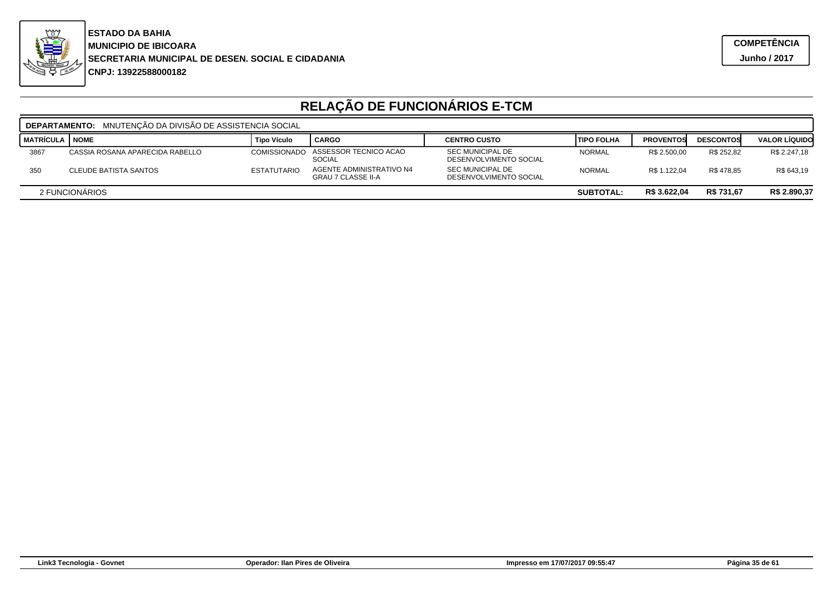

|                  | MNUTENCÃO DA DIVISÃO DE ASSISTENCIA SOCIAL<br><b>DEPARTAMENTO:</b> |                     |                                                              |                                                   |               |                  |                  |                      |  |  |  |
|------------------|--------------------------------------------------------------------|---------------------|--------------------------------------------------------------|---------------------------------------------------|---------------|------------------|------------------|----------------------|--|--|--|
| <b>MATRÍCULA</b> | <b>NOME</b>                                                        | <b>Tipo Vículo</b>  | <b>CARGO</b>                                                 | <b>CENTRO CUSTO</b>                               | ITIPO FOLHA   | <b>PROVENTOS</b> | <b>DESCONTOS</b> | <b>VALOR LIQUIDO</b> |  |  |  |
| 3867             | CASSIA ROSANA APARECIDA RABELLO                                    | <b>COMISSIONADO</b> | ASSESSOR TECNICO ACAO<br>SOCIAL                              | <b>SEC MUNICIPAL DE</b><br>DESENVOLVIMENTO SOCIAL | <b>NORMAL</b> | R\$ 2.500,00     | R\$ 252.82       | R\$ 2.247,18         |  |  |  |
| 350              | <b>CLEUDE BATISTA SANTOS</b>                                       | <b>ESTATUTARIO</b>  | <b>AGENTE ADMINISTRATIVO N4</b><br><b>GRAU 7 CLASSE II-A</b> | <b>SEC MUNICIPAL DE</b><br>DESENVOLVIMENTO SOCIAL | <b>NORMAL</b> | R\$ 1.122,04     | R\$478.85        | R\$ 643,19           |  |  |  |
|                  | R\$ 731,67<br>R\$ 3.622,04<br>2 FUNCIONARIOS<br><b>SUBTOTAL:</b>   |                     |                                                              |                                                   |               |                  |                  | R\$ 2.890,37         |  |  |  |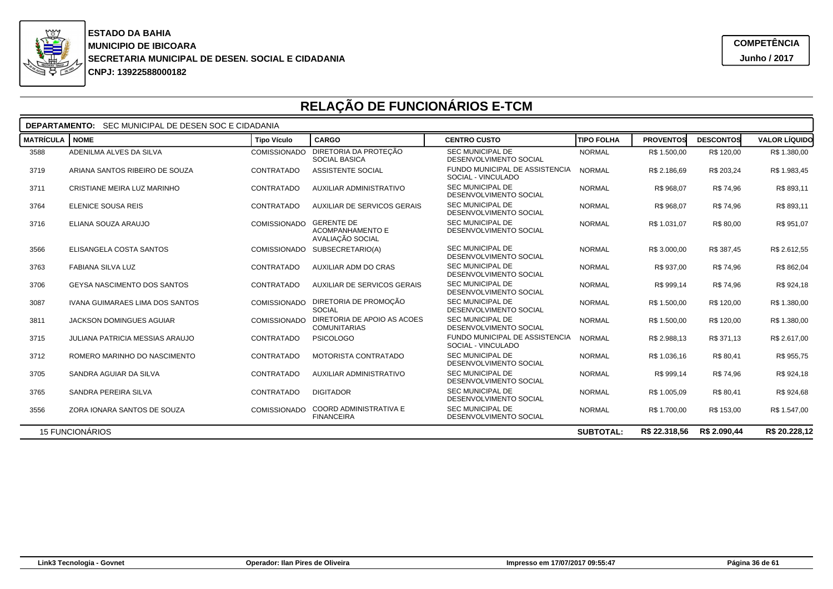

| <b>DEPARTAMENTO:</b> SEC MUNICIPAL DE DESEN SOC E CIDADANIA |                                        |                     |                                                           |                                                      |                   |                  |                  |                      |  |  |
|-------------------------------------------------------------|----------------------------------------|---------------------|-----------------------------------------------------------|------------------------------------------------------|-------------------|------------------|------------------|----------------------|--|--|
| <b>MATRÍCULA</b>                                            | <b>NOME</b>                            | <b>Tipo Vículo</b>  | <b>CARGO</b>                                              | <b>CENTRO CUSTO</b>                                  | <b>TIPO FOLHA</b> | <b>PROVENTOS</b> | <b>DESCONTOS</b> | <b>VALOR LÍQUIDO</b> |  |  |
| 3588                                                        | ADENILMA ALVES DA SILVA                | <b>COMISSIONADO</b> | DIRETORIA DA PROTECÃO<br><b>SOCIAL BASICA</b>             | <b>SEC MUNICIPAL DE</b><br>DESENVOLVIMENTO SOCIAL    | <b>NORMAL</b>     | R\$ 1.500,00     | R\$ 120.00       | R\$ 1.380,00         |  |  |
| 3719                                                        | ARIANA SANTOS RIBEIRO DE SOUZA         | CONTRATADO          | <b>ASSISTENTE SOCIAL</b>                                  | FUNDO MUNICIPAL DE ASSISTENCIA<br>SOCIAL - VINCULADO | <b>NORMAL</b>     | R\$ 2.186.69     | R\$ 203.24       | R\$ 1.983.45         |  |  |
| 3711                                                        | CRISTIANE MEIRA LUZ MARINHO            | CONTRATADO          | <b>AUXILIAR ADMINISTRATIVO</b>                            | <b>SEC MUNICIPAL DE</b><br>DESENVOLVIMENTO SOCIAL    | <b>NORMAL</b>     | R\$ 968,07       | R\$ 74,96        | R\$ 893,11           |  |  |
| 3764                                                        | ELENICE SOUSA REIS                     | CONTRATADO          | <b>AUXILIAR DE SERVICOS GERAIS</b>                        | <b>SEC MUNICIPAL DE</b><br>DESENVOLVIMENTO SOCIAL    | <b>NORMAL</b>     | R\$ 968,07       | R\$ 74,96        | R\$ 893,11           |  |  |
| 3716                                                        | ELIANA SOUZA ARAUJO                    | <b>COMISSIONADO</b> | <b>GERENTE DE</b><br>ACOMPANHAMENTO E<br>AVALIAÇÃO SOCIAL | <b>SEC MUNICIPAL DE</b><br>DESENVOLVIMENTO SOCIAL    | <b>NORMAL</b>     | R\$ 1.031,07     | R\$ 80,00        | R\$ 951,07           |  |  |
| 3566                                                        | ELISANGELA COSTA SANTOS                | <b>COMISSIONADO</b> | SUBSECRETARIO(A)                                          | <b>SEC MUNICIPAL DE</b><br>DESENVOLVIMENTO SOCIAL    | <b>NORMAL</b>     | R\$ 3.000,00     | R\$ 387.45       | R\$ 2.612,55         |  |  |
| 3763                                                        | <b>FABIANA SILVA LUZ</b>               | CONTRATADO          | AUXILIAR ADM DO CRAS                                      | <b>SEC MUNICIPAL DE</b><br>DESENVOLVIMENTO SOCIAL    | <b>NORMAL</b>     | R\$ 937.00       | R\$ 74,96        | R\$ 862,04           |  |  |
| 3706                                                        | <b>GEYSA NASCIMENTO DOS SANTOS</b>     | CONTRATADO          | <b>AUXILIAR DE SERVICOS GERAIS</b>                        | <b>SEC MUNICIPAL DE</b><br>DESENVOLVIMENTO SOCIAL    | <b>NORMAL</b>     | R\$ 999.14       | R\$ 74.96        | R\$ 924,18           |  |  |
| 3087                                                        | <b>IVANA GUIMARAES LIMA DOS SANTOS</b> | <b>COMISSIONADO</b> | DIRETORIA DE PROMOÇÃO<br>SOCIAL                           | <b>SEC MUNICIPAL DE</b><br>DESENVOLVIMENTO SOCIAL    | <b>NORMAL</b>     | R\$ 1.500.00     | R\$ 120.00       | R\$ 1.380.00         |  |  |
| 3811                                                        | <b>JACKSON DOMINGUES AGUIAR</b>        | <b>COMISSIONADO</b> | DIRETORIA DE APOIO AS ACOES<br><b>COMUNITARIAS</b>        | <b>SEC MUNICIPAL DE</b><br>DESENVOLVIMENTO SOCIAL    | <b>NORMAL</b>     | R\$ 1.500,00     | R\$ 120,00       | R\$ 1.380,00         |  |  |
| 3715                                                        | <b>JULIANA PATRICIA MESSIAS ARAUJO</b> | CONTRATADO          | <b>PSICOLOGO</b>                                          | FUNDO MUNICIPAL DE ASSISTENCIA<br>SOCIAL - VINCULADO | <b>NORMAL</b>     | R\$ 2.988,13     | R\$ 371,13       | R\$ 2.617,00         |  |  |
| 3712                                                        | ROMERO MARINHO DO NASCIMENTO           | CONTRATADO          | MOTORISTA CONTRATADO                                      | <b>SEC MUNICIPAL DE</b><br>DESENVOLVIMENTO SOCIAL    | <b>NORMAL</b>     | R\$ 1.036,16     | R\$ 80,41        | R\$ 955,75           |  |  |
| 3705                                                        | SANDRA AGUIAR DA SILVA                 | CONTRATADO          | <b>AUXILIAR ADMINISTRATIVO</b>                            | <b>SEC MUNICIPAL DE</b><br>DESENVOLVIMENTO SOCIAL    | <b>NORMAL</b>     | R\$ 999,14       | R\$ 74.96        | R\$ 924,18           |  |  |
| 3765                                                        | SANDRA PEREIRA SILVA                   | CONTRATADO          | <b>DIGITADOR</b>                                          | <b>SEC MUNICIPAL DE</b><br>DESENVOLVIMENTO SOCIAL    | <b>NORMAL</b>     | R\$ 1.005.09     | R\$ 80.41        | R\$ 924,68           |  |  |
| 3556                                                        | ZORA IONARA SANTOS DE SOUZA            | COMISSIONADO        | COORD ADMINISTRATIVA E<br><b>FINANCEIRA</b>               | <b>SEC MUNICIPAL DE</b><br>DESENVOLVIMENTO SOCIAL    | <b>NORMAL</b>     | R\$ 1.700,00     | R\$ 153,00       | R\$ 1.547,00         |  |  |
|                                                             | <b>15 FUNCIONÁRIOS</b>                 |                     |                                                           |                                                      | <b>SUBTOTAL:</b>  | R\$ 22,318,56    | R\$ 2.090.44     | R\$ 20.228.12        |  |  |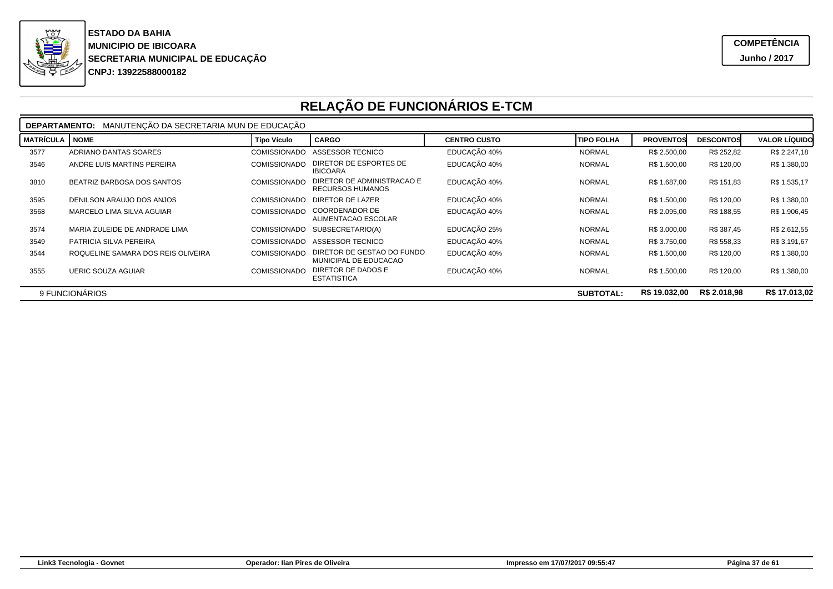

|                  | MANUTENÇÃO DA SECRETARIA MUN DE EDUCAÇÃO<br><b>DEPARTAMENTO:</b>                     |                     |                                                     |                     |                   |                  |                  |                      |  |  |
|------------------|--------------------------------------------------------------------------------------|---------------------|-----------------------------------------------------|---------------------|-------------------|------------------|------------------|----------------------|--|--|
| <b>MATRÍCULA</b> | <b>NOME</b>                                                                          | <b>Tipo Vículo</b>  | <b>CARGO</b>                                        | <b>CENTRO CUSTO</b> | <b>TIPO FOLHA</b> | <b>PROVENTOS</b> | <b>DESCONTOS</b> | <b>VALOR LÍQUIDO</b> |  |  |
| 3577             | ADRIANO DANTAS SOARES                                                                | <b>COMISSIONADO</b> | ASSESSOR TECNICO                                    | EDUCAÇÃO 40%        | <b>NORMAL</b>     | R\$ 2.500,00     | R\$ 252,82       | R\$ 2.247,18         |  |  |
| 3546             | ANDRE LUIS MARTINS PEREIRA                                                           | <b>COMISSIONADO</b> | DIRETOR DE ESPORTES DE<br><b>IBICOARA</b>           | EDUCAÇÃO 40%        | <b>NORMAL</b>     | R\$ 1.500,00     | R\$ 120,00       | R\$ 1.380,00         |  |  |
| 3810             | BEATRIZ BARBOSA DOS SANTOS                                                           | <b>COMISSIONADO</b> | DIRETOR DE ADMINISTRACAO E<br>RECURSOS HUMANOS      | EDUCAÇÃO 40%        | <b>NORMAL</b>     | R\$ 1.687,00     | R\$ 151,83       | R\$ 1.535,17         |  |  |
| 3595             | DENILSON ARAUJO DOS ANJOS                                                            | <b>COMISSIONADO</b> | <b>DIRETOR DE LAZER</b>                             | EDUCAÇÃO 40%        | <b>NORMAL</b>     | R\$ 1.500,00     | R\$ 120,00       | R\$ 1.380,00         |  |  |
| 3568             | MARCELO LIMA SILVA AGUIAR                                                            | <b>COMISSIONADO</b> | <b>COORDENADOR DE</b><br>ALIMENTACAO ESCOLAR        | EDUCAÇÃO 40%        | <b>NORMAL</b>     | R\$ 2.095,00     | R\$ 188,55       | R\$ 1.906,45         |  |  |
| 3574             | MARIA ZULEIDE DE ANDRADE LIMA                                                        | <b>COMISSIONADO</b> | SUBSECRETARIO(A)                                    | EDUCAÇÃO 25%        | <b>NORMAL</b>     | R\$ 3.000,00     | R\$ 387,45       | R\$ 2.612,55         |  |  |
| 3549             | PATRICIA SILVA PEREIRA                                                               | <b>COMISSIONADO</b> | ASSESSOR TECNICO                                    | EDUCAÇÃO 40%        | <b>NORMAL</b>     | R\$ 3.750,00     | R\$ 558,33       | R\$ 3.191,67         |  |  |
| 3544             | ROQUELINE SAMARA DOS REIS OLIVEIRA                                                   | <b>COMISSIONADO</b> | DIRETOR DE GESTAO DO FUNDO<br>MUNICIPAL DE EDUCACAO | EDUCAÇÃO 40%        | <b>NORMAL</b>     | R\$ 1.500,00     | R\$ 120,00       | R\$ 1.380,00         |  |  |
| 3555             | <b>UERIC SOUZA AGUIAR</b>                                                            | <b>COMISSIONADO</b> | DIRETOR DE DADOS E<br><b>ESTATISTICA</b>            | EDUCAÇÃO 40%        | <b>NORMAL</b>     | R\$ 1.500,00     | R\$ 120,00       | R\$ 1.380,00         |  |  |
|                  | R\$ 2.018.98<br>R\$ 17.013,02<br>R\$ 19.032,00<br>9 FUNCIONÁRIOS<br><b>SUBTOTAL:</b> |                     |                                                     |                     |                   |                  |                  |                      |  |  |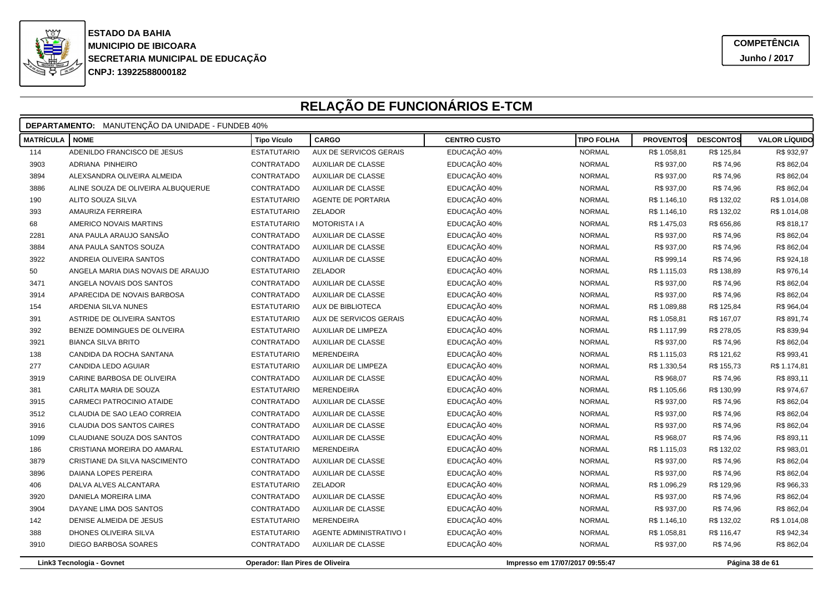

|                  | <b>DEPARTAMENTO:</b> MANUTENÇÃO DA UNIDADE - FUNDEB 40% |                                  |                           |                     |                                 |                  |                  |                      |  |  |
|------------------|---------------------------------------------------------|----------------------------------|---------------------------|---------------------|---------------------------------|------------------|------------------|----------------------|--|--|
| <b>MATRÍCULA</b> | <b>NOME</b>                                             | <b>Tipo Vículo</b>               | <b>CARGO</b>              | <b>CENTRO CUSTO</b> | <b>TIPO FOLHA</b>               | <b>PROVENTOS</b> | <b>DESCONTOS</b> | <b>VALOR LÍQUIDO</b> |  |  |
| 114              | ADENILDO FRANCISCO DE JESUS                             | <b>ESTATUTARIO</b>               | AUX DE SERVICOS GERAIS    | EDUCAÇÃO 40%        | <b>NORMAL</b>                   | R\$ 1.058,81     | R\$ 125,84       | R\$ 932,97           |  |  |
| 3903             | ADRIANA PINHEIRO                                        | CONTRATADO                       | AUXILIAR DE CLASSE        | EDUCAÇÃO 40%        | <b>NORMAL</b>                   | R\$ 937,00       | R\$ 74,96        | R\$ 862,04           |  |  |
| 3894             | ALEXSANDRA OLIVEIRA ALMEIDA                             | CONTRATADO                       | AUXILIAR DE CLASSE        | EDUCAÇÃO 40%        | <b>NORMAL</b>                   | R\$ 937,00       | R\$ 74,96        | R\$ 862,04           |  |  |
| 3886             | ALINE SOUZA DE OLIVEIRA ALBUQUERUE                      | CONTRATADO                       | <b>AUXILIAR DE CLASSE</b> | EDUCAÇÃO 40%        | <b>NORMAL</b>                   | R\$ 937,00       | R\$ 74,96        | R\$ 862,04           |  |  |
| 190              | ALITO SOUZA SILVA                                       | <b>ESTATUTARIO</b>               | AGENTE DE PORTARIA        | EDUCAÇÃO 40%        | <b>NORMAL</b>                   | R\$ 1.146,10     | R\$ 132,02       | R\$ 1.014,08         |  |  |
| 393              | AMAURIZA FERREIRA                                       | <b>ESTATUTARIO</b>               | ZELADOR                   | EDUCAÇÃO 40%        | <b>NORMAL</b>                   | R\$ 1.146,10     | R\$ 132,02       | R\$ 1.014,08         |  |  |
| 68               | AMERICO NOVAIS MARTINS                                  | <b>ESTATUTARIO</b>               | <b>MOTORISTA I A</b>      | EDUCAÇÃO 40%        | <b>NORMAL</b>                   | R\$ 1.475,03     | R\$ 656,86       | R\$ 818,17           |  |  |
| 2281             | ANA PAULA ARAUJO SANSÃO                                 | CONTRATADO                       | <b>AUXILIAR DE CLASSE</b> | EDUCAÇÃO 40%        | <b>NORMAL</b>                   | R\$ 937,00       | R\$ 74,96        | R\$ 862,04           |  |  |
| 3884             | ANA PAULA SANTOS SOUZA                                  | CONTRATADO                       | <b>AUXILIAR DE CLASSE</b> | EDUCAÇÃO 40%        | <b>NORMAL</b>                   | R\$ 937,00       | R\$ 74,96        | R\$ 862,04           |  |  |
| 3922             | ANDREIA OLIVEIRA SANTOS                                 | CONTRATADO                       | AUXILIAR DE CLASSE        | EDUCAÇÃO 40%        | <b>NORMAL</b>                   | R\$ 999,14       | R\$ 74,96        | R\$ 924,18           |  |  |
| 50               | ANGELA MARIA DIAS NOVAIS DE ARAUJO                      | <b>ESTATUTARIO</b>               | ZELADOR                   | EDUCAÇÃO 40%        | <b>NORMAL</b>                   | R\$ 1.115,03     | R\$ 138,89       | R\$ 976,14           |  |  |
| 3471             | ANGELA NOVAIS DOS SANTOS                                | CONTRATADO                       | <b>AUXILIAR DE CLASSE</b> | EDUCAÇÃO 40%        | <b>NORMAL</b>                   | R\$ 937,00       | R\$ 74,96        | R\$ 862,04           |  |  |
| 3914             | APARECIDA DE NOVAIS BARBOSA                             | CONTRATADO                       | <b>AUXILIAR DE CLASSE</b> | EDUCAÇÃO 40%        | <b>NORMAL</b>                   | R\$ 937,00       | R\$ 74,96        | R\$ 862,04           |  |  |
| 154              | ARDENIA SILVA NUNES                                     | <b>ESTATUTARIO</b>               | AUX DE BIBLIOTECA         | EDUCAÇÃO 40%        | <b>NORMAL</b>                   | R\$ 1.089,88     | R\$ 125,84       | R\$ 964,04           |  |  |
| 391              | ASTRIDE DE OLIVEIRA SANTOS                              | <b>ESTATUTARIO</b>               | AUX DE SERVICOS GERAIS    | EDUCAÇÃO 40%        | <b>NORMAL</b>                   | R\$ 1.058,81     | R\$ 167,07       | R\$ 891,74           |  |  |
| 392              | BENIZE DOMINGUES DE OLIVEIRA                            | <b>ESTATUTARIO</b>               | AUXILIAR DE LIMPEZA       | EDUCAÇÃO 40%        | <b>NORMAL</b>                   | R\$ 1.117,99     | R\$ 278,05       | R\$ 839,94           |  |  |
| 3921             | <b>BIANCA SILVA BRITO</b>                               | CONTRATADO                       | AUXILIAR DE CLASSE        | EDUCAÇÃO 40%        | <b>NORMAL</b>                   | R\$ 937,00       | R\$ 74,96        | R\$ 862,04           |  |  |
| 138              | CANDIDA DA ROCHA SANTANA                                | <b>ESTATUTARIO</b>               | <b>MERENDEIRA</b>         | EDUCAÇÃO 40%        | <b>NORMAL</b>                   | R\$ 1.115,03     | R\$ 121,62       | R\$ 993,41           |  |  |
| 277              | CANDIDA LEDO AGUIAR                                     | <b>ESTATUTARIO</b>               | AUXILIAR DE LIMPEZA       | EDUCAÇÃO 40%        | <b>NORMAL</b>                   | R\$ 1.330,54     | R\$ 155,73       | R\$ 1.174,81         |  |  |
| 3919             | CARINE BARBOSA DE OLIVEIRA                              | CONTRATADO                       | <b>AUXILIAR DE CLASSE</b> | EDUCAÇÃO 40%        | <b>NORMAL</b>                   | R\$ 968,07       | R\$ 74,96        | R\$ 893,11           |  |  |
| 381              | CARLITA MARIA DE SOUZA                                  | <b>ESTATUTARIO</b>               | <b>MERENDEIRA</b>         | EDUCAÇÃO 40%        | <b>NORMAL</b>                   | R\$ 1.105,66     | R\$ 130,99       | R\$ 974,67           |  |  |
| 3915             | CARMECI PATROCINIO ATAIDE                               | CONTRATADO                       | <b>AUXILIAR DE CLASSE</b> | EDUCAÇÃO 40%        | <b>NORMAL</b>                   | R\$ 937,00       | R\$ 74,96        | R\$ 862,04           |  |  |
| 3512             | CLAUDIA DE SAO LEAO CORREIA                             | CONTRATADO                       | <b>AUXILIAR DE CLASSE</b> | EDUCAÇÃO 40%        | <b>NORMAL</b>                   | R\$ 937,00       | R\$ 74,96        | R\$ 862,04           |  |  |
| 3916             | <b>CLAUDIA DOS SANTOS CAIRES</b>                        | CONTRATADO                       | <b>AUXILIAR DE CLASSE</b> | EDUCAÇÃO 40%        | <b>NORMAL</b>                   | R\$ 937,00       | R\$ 74,96        | R\$ 862,04           |  |  |
| 1099             | CLAUDIANE SOUZA DOS SANTOS                              | CONTRATADO                       | AUXILIAR DE CLASSE        | EDUCAÇÃO 40%        | <b>NORMAL</b>                   | R\$ 968,07       | R\$ 74,96        | R\$ 893,11           |  |  |
| 186              | CRISTIANA MOREIRA DO AMARAL                             | <b>ESTATUTARIO</b>               | <b>MERENDEIRA</b>         | EDUCAÇÃO 40%        | <b>NORMAL</b>                   | R\$ 1.115,03     | R\$ 132,02       | R\$ 983,01           |  |  |
| 3879             | CRISTIANE DA SILVA NASCIMENTO                           | CONTRATADO                       | <b>AUXILIAR DE CLASSE</b> | EDUCAÇÃO 40%        | <b>NORMAL</b>                   | R\$ 937,00       | R\$ 74,96        | R\$ 862,04           |  |  |
| 3896             | <b>DAIANA LOPES PEREIRA</b>                             | CONTRATADO                       | <b>AUXILIAR DE CLASSE</b> | EDUCAÇÃO 40%        | <b>NORMAL</b>                   | R\$ 937,00       | R\$ 74,96        | R\$ 862,04           |  |  |
| 406              | DALVA ALVES ALCANTARA                                   | <b>ESTATUTARIO</b>               | ZELADOR                   | EDUCAÇÃO 40%        | <b>NORMAL</b>                   | R\$ 1.096,29     | R\$ 129,96       | R\$ 966,33           |  |  |
| 3920             | DANIELA MOREIRA LIMA                                    | CONTRATADO                       | <b>AUXILIAR DE CLASSE</b> | EDUCAÇÃO 40%        | <b>NORMAL</b>                   | R\$ 937,00       | R\$ 74,96        | R\$ 862,04           |  |  |
| 3904             | DAYANE LIMA DOS SANTOS                                  | CONTRATADO                       | <b>AUXILIAR DE CLASSE</b> | EDUCAÇÃO 40%        | <b>NORMAL</b>                   | R\$ 937,00       | R\$ 74,96        | R\$ 862,04           |  |  |
| 142              | DENISE ALMEIDA DE JESUS                                 | <b>ESTATUTARIO</b>               | <b>MERENDEIRA</b>         | EDUCAÇÃO 40%        | <b>NORMAL</b>                   | R\$ 1.146,10     | R\$ 132,02       | R\$ 1.014,08         |  |  |
| 388              | DHONES OLIVEIRA SILVA                                   | <b>ESTATUTARIO</b>               | AGENTE ADMINISTRATIVO I   | EDUCAÇÃO 40%        | <b>NORMAL</b>                   | R\$ 1.058,81     | R\$ 116,47       | R\$ 942,34           |  |  |
| 3910             | DIEGO BARBOSA SOARES                                    | CONTRATADO                       | <b>AUXILIAR DE CLASSE</b> | EDUCAÇÃO 40%        | <b>NORMAL</b>                   | R\$ 937,00       | R\$ 74,96        | R\$ 862,04           |  |  |
|                  | Link3 Tecnologia - Govnet                               | Operador: Ilan Pires de Oliveira |                           |                     | Impresso em 17/07/2017 09:55:47 |                  |                  | Página 38 de 61      |  |  |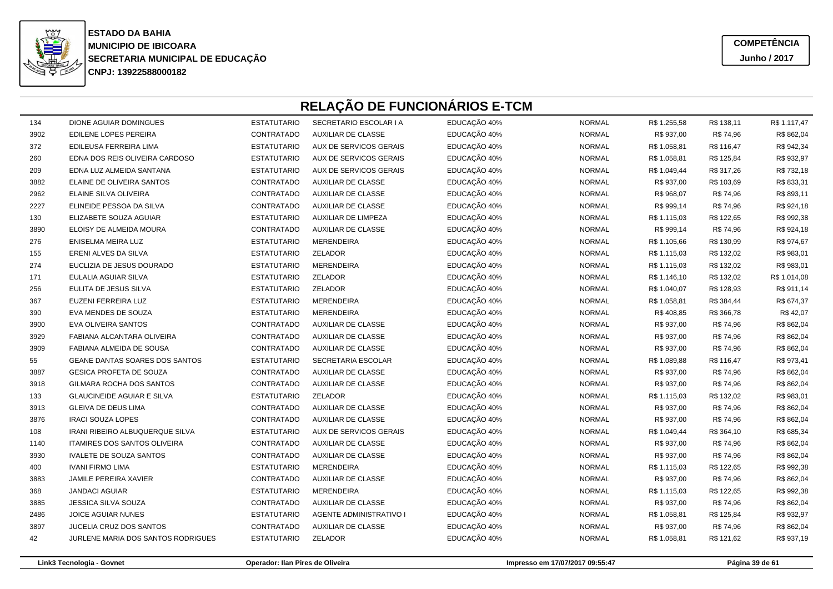

**COMPETÊNCIAJunho / 2017**

## **RELAÇÃO DE FUNCIONÁRIOS E-TCM**

| 134  | <b>DIONE AGUIAR DOMINGUES</b>          | <b>ESTATUTARIO</b> | SECRETARIO ESCOLAR I A         | EDUCAÇÃO 40% | <b>NORMAL</b> | R\$ 1.255,58 | R\$ 138,11 | R\$ 1.117,47 |
|------|----------------------------------------|--------------------|--------------------------------|--------------|---------------|--------------|------------|--------------|
| 3902 | <b>EDILENE LOPES PEREIRA</b>           | CONTRATADO         | <b>AUXILIAR DE CLASSE</b>      | EDUCAÇÃO 40% | <b>NORMAL</b> | R\$ 937,00   | R\$ 74,96  | R\$ 862,04   |
| 372  | EDILEUSA FERREIRA LIMA                 | <b>ESTATUTARIO</b> | AUX DE SERVICOS GERAIS         | EDUCAÇÃO 40% | <b>NORMAL</b> | R\$ 1.058,81 | R\$ 116,47 | R\$ 942,34   |
| 260  | EDNA DOS REIS OLIVEIRA CARDOSO         | <b>ESTATUTARIO</b> | AUX DE SERVICOS GERAIS         | EDUCAÇÃO 40% | <b>NORMAL</b> | R\$ 1.058,81 | R\$ 125,84 | R\$ 932,97   |
| 209  | EDNA LUZ ALMEIDA SANTANA               | <b>ESTATUTARIO</b> | AUX DE SERVICOS GERAIS         | EDUCAÇÃO 40% | <b>NORMAL</b> | R\$ 1.049,44 | R\$ 317,26 | R\$ 732,18   |
| 3882 | ELAINE DE OLIVEIRA SANTOS              | CONTRATADO         | <b>AUXILIAR DE CLASSE</b>      | EDUCAÇÃO 40% | <b>NORMAL</b> | R\$ 937,00   | R\$ 103,69 | R\$ 833,31   |
| 2962 | ELAINE SILVA OLIVEIRA                  | CONTRATADO         | <b>AUXILIAR DE CLASSE</b>      | EDUCAÇÃO 40% | <b>NORMAL</b> | R\$ 968,07   | R\$ 74,96  | R\$ 893,11   |
| 2227 | ELINEIDE PESSOA DA SILVA               | CONTRATADO         | <b>AUXILIAR DE CLASSE</b>      | EDUCAÇÃO 40% | <b>NORMAL</b> | R\$ 999,14   | R\$ 74,96  | R\$ 924,18   |
| 130  | ELIZABETE SOUZA AGUIAR                 | <b>ESTATUTARIO</b> | <b>AUXILIAR DE LIMPEZA</b>     | EDUCAÇÃO 40% | <b>NORMAL</b> | R\$ 1.115,03 | R\$ 122,65 | R\$ 992,38   |
| 3890 | ELOISY DE ALMEIDA MOURA                | CONTRATADO         | <b>AUXILIAR DE CLASSE</b>      | EDUCAÇÃO 40% | <b>NORMAL</b> | R\$ 999,14   | R\$ 74,96  | R\$ 924,18   |
| 276  | ENISELMA MEIRA LUZ                     | <b>ESTATUTARIO</b> | MERENDEIRA                     | EDUCAÇÃO 40% | <b>NORMAL</b> | R\$ 1.105,66 | R\$ 130,99 | R\$ 974,67   |
| 155  | ERENI ALVES DA SILVA                   | <b>ESTATUTARIO</b> | ZELADOR                        | EDUCAÇÃO 40% | <b>NORMAL</b> | R\$ 1.115,03 | R\$ 132,02 | R\$ 983,01   |
| 274  | EUCLIZIA DE JESUS DOURADO              | <b>ESTATUTARIO</b> | MERENDEIRA                     | EDUCAÇÃO 40% | <b>NORMAL</b> | R\$ 1.115,03 | R\$ 132,02 | R\$ 983,01   |
| 171  | EULALIA AGUIAR SILVA                   | <b>ESTATUTARIO</b> | ZELADOR                        | EDUCAÇÃO 40% | <b>NORMAL</b> | R\$ 1.146,10 | R\$ 132,02 | R\$ 1.014,08 |
| 256  | EULITA DE JESUS SILVA                  | <b>ESTATUTARIO</b> | ZELADOR                        | EDUCAÇÃO 40% | <b>NORMAL</b> | R\$ 1.040,07 | R\$ 128,93 | R\$ 911,14   |
| 367  | EUZENI FERREIRA LUZ                    | <b>ESTATUTARIO</b> | <b>MERENDEIRA</b>              | EDUCAÇÃO 40% | <b>NORMAL</b> | R\$ 1.058,81 | R\$ 384,44 | R\$ 674,37   |
| 390  | EVA MENDES DE SOUZA                    | <b>ESTATUTARIO</b> | MERENDEIRA                     | EDUCAÇÃO 40% | <b>NORMAL</b> | R\$408,85    | R\$ 366,78 | R\$42,07     |
| 3900 | EVA OLIVEIRA SANTOS                    | CONTRATADO         | <b>AUXILIAR DE CLASSE</b>      | EDUCAÇÃO 40% | <b>NORMAL</b> | R\$ 937,00   | R\$ 74,96  | R\$ 862,04   |
| 3929 | FABIANA ALCANTARA OLIVEIRA             | CONTRATADO         | <b>AUXILIAR DE CLASSE</b>      | EDUCAÇÃO 40% | <b>NORMAL</b> | R\$ 937,00   | R\$ 74,96  | R\$ 862,04   |
| 3909 | FABIANA ALMEIDA DE SOUSA               | CONTRATADO         | AUXILIAR DE CLASSE             | EDUCAÇÃO 40% | <b>NORMAL</b> | R\$ 937,00   | R\$ 74,96  | R\$ 862,04   |
| 55   | GEANE DANTAS SOARES DOS SANTOS         | <b>ESTATUTARIO</b> | SECRETARIA ESCOLAR             | EDUCAÇÃO 40% | <b>NORMAL</b> | R\$ 1.089,88 | R\$ 116,47 | R\$ 973,41   |
| 3887 | <b>GESICA PROFETA DE SOUZA</b>         | CONTRATADO         | <b>AUXILIAR DE CLASSE</b>      | EDUCAÇÃO 40% | <b>NORMAL</b> | R\$ 937,00   | R\$ 74,96  | R\$ 862,04   |
| 3918 | GILMARA ROCHA DOS SANTOS               | CONTRATADO         | <b>AUXILIAR DE CLASSE</b>      | EDUCAÇÃO 40% | <b>NORMAL</b> | R\$ 937,00   | R\$ 74,96  | R\$ 862,04   |
| 133  | <b>GLAUCINEIDE AGUIAR E SILVA</b>      | <b>ESTATUTARIO</b> | ZELADOR                        | EDUCAÇÃO 40% | <b>NORMAL</b> | R\$ 1.115,03 | R\$ 132,02 | R\$ 983,01   |
| 3913 | GLEIVA DE DEUS LIMA                    | CONTRATADO         | AUXILIAR DE CLASSE             | EDUCAÇÃO 40% | <b>NORMAL</b> | R\$ 937,00   | R\$ 74,96  | R\$ 862,04   |
| 3876 | <b>IRACI SOUZA LOPES</b>               | CONTRATADO         | <b>AUXILIAR DE CLASSE</b>      | EDUCAÇÃO 40% | <b>NORMAL</b> | R\$ 937,00   | R\$ 74,96  | R\$ 862,04   |
| 108  | <b>IRANI RIBEIRO ALBUQUERQUE SILVA</b> | <b>ESTATUTARIO</b> | AUX DE SERVICOS GERAIS         | EDUCAÇÃO 40% | <b>NORMAL</b> | R\$ 1.049,44 | R\$ 364,10 | R\$ 685,34   |
| 1140 | ITAMIRES DOS SANTOS OLIVEIRA           | CONTRATADO         | <b>AUXILIAR DE CLASSE</b>      | EDUCAÇÃO 40% | <b>NORMAL</b> | R\$ 937,00   | R\$ 74,96  | R\$ 862,04   |
| 3930 | IVALETE DE SOUZA SANTOS                | CONTRATADO         | <b>AUXILIAR DE CLASSE</b>      | EDUCAÇÃO 40% | <b>NORMAL</b> | R\$ 937,00   | R\$ 74,96  | R\$ 862,04   |
| 400  | <b>IVANI FIRMO LIMA</b>                | <b>ESTATUTARIO</b> | <b>MERENDEIRA</b>              | EDUCAÇÃO 40% | <b>NORMAL</b> | R\$ 1.115,03 | R\$ 122,65 | R\$ 992,38   |
| 3883 | <b>JAMILE PEREIRA XAVIER</b>           | CONTRATADO         | <b>AUXILIAR DE CLASSE</b>      | EDUCAÇÃO 40% | <b>NORMAL</b> | R\$ 937,00   | R\$ 74,96  | R\$ 862,04   |
| 368  | <b>JANDACI AGUIAR</b>                  | <b>ESTATUTARIO</b> | <b>MERENDEIRA</b>              | EDUCAÇÃO 40% | <b>NORMAL</b> | R\$ 1.115,03 | R\$ 122,65 | R\$ 992,38   |
| 3885 | JESSICA SILVA SOUZA                    | CONTRATADO         | <b>AUXILIAR DE CLASSE</b>      | EDUCAÇÃO 40% | <b>NORMAL</b> | R\$ 937,00   | R\$ 74,96  | R\$ 862,04   |
| 2486 | <b>JOICE AGUIAR NUNES</b>              | <b>ESTATUTARIO</b> | <b>AGENTE ADMINISTRATIVO I</b> | EDUCAÇÃO 40% | <b>NORMAL</b> | R\$ 1.058,81 | R\$ 125,84 | R\$ 932,97   |
| 3897 | JUCELIA CRUZ DOS SANTOS                | CONTRATADO         | <b>AUXILIAR DE CLASSE</b>      | EDUCAÇÃO 40% | <b>NORMAL</b> | R\$ 937,00   | R\$ 74,96  | R\$ 862,04   |
| 42   | JURLENE MARIA DOS SANTOS RODRIGUES     | <b>ESTATUTARIO</b> | ZELADOR                        | EDUCAÇÃO 40% | <b>NORMAL</b> | R\$ 1.058,81 | R\$ 121,62 | R\$ 937,19   |
|      |                                        |                    |                                |              |               |              |            |              |

**Operador: Ilan Pires de Oliveira**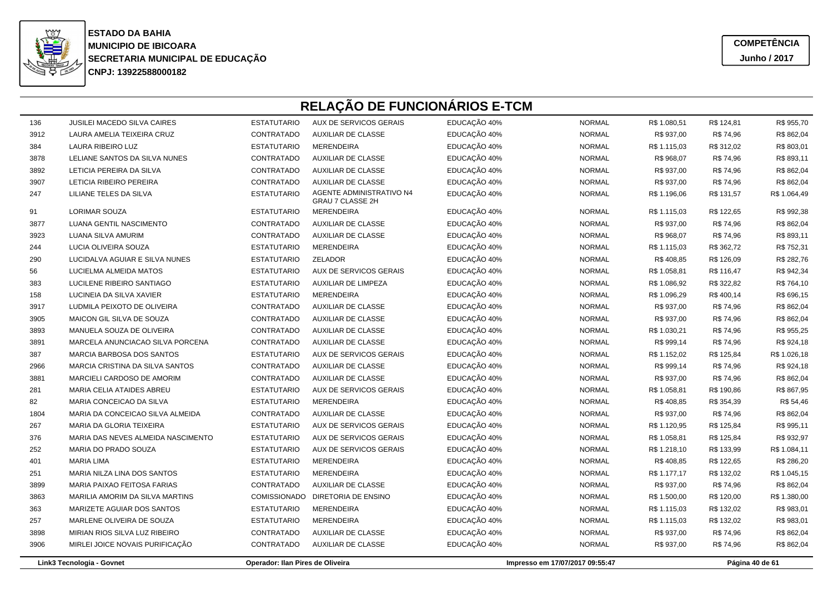

| 136  | <b>JUSILEI MACEDO SILVA CAIRES</b> | <b>ESTATUTARIO</b>               | AUX DE SERVICOS GERAIS                       | EDUCAÇÃO 40% | <b>NORMAL</b>                   | R\$ 1.080,51 | R\$ 124,81 | R\$ 955,70      |  |  |
|------|------------------------------------|----------------------------------|----------------------------------------------|--------------|---------------------------------|--------------|------------|-----------------|--|--|
| 3912 | LAURA AMELIA TEIXEIRA CRUZ         | CONTRATADO                       | <b>AUXILIAR DE CLASSE</b>                    | EDUCAÇÃO 40% | <b>NORMAL</b>                   | R\$ 937,00   | R\$ 74,96  | R\$ 862,04      |  |  |
| 384  | <b>LAURA RIBEIRO LUZ</b>           | <b>ESTATUTARIO</b>               | <b>MERENDEIRA</b>                            | EDUCAÇÃO 40% | <b>NORMAL</b>                   | R\$ 1.115,03 | R\$ 312,02 | R\$803,01       |  |  |
| 3878 | LELIANE SANTOS DA SILVA NUNES      | CONTRATADO                       | <b>AUXILIAR DE CLASSE</b>                    | EDUCAÇÃO 40% | <b>NORMAL</b>                   | R\$ 968,07   | R\$ 74,96  | R\$ 893,11      |  |  |
| 3892 | LETICIA PEREIRA DA SILVA           | CONTRATADO                       | <b>AUXILIAR DE CLASSE</b>                    | EDUCAÇÃO 40% | <b>NORMAL</b>                   | R\$ 937,00   | R\$ 74,96  | R\$ 862,04      |  |  |
| 3907 | LETICIA RIBEIRO PEREIRA            | CONTRATADO                       | <b>AUXILIAR DE CLASSE</b>                    | EDUCAÇÃO 40% | <b>NORMAL</b>                   | R\$ 937,00   | R\$ 74,96  | R\$ 862,04      |  |  |
| 247  | LILIANE TELES DA SILVA             | <b>ESTATUTARIO</b>               | AGENTE ADMINISTRATIVO N4<br>GRAU 7 CLASSE 2H | EDUCAÇÃO 40% | <b>NORMAL</b>                   | R\$ 1.196,06 | R\$ 131,57 | R\$ 1.064,49    |  |  |
| 91   | <b>LORIMAR SOUZA</b>               | <b>ESTATUTARIO</b>               | <b>MERENDEIRA</b>                            | EDUCAÇÃO 40% | <b>NORMAL</b>                   | R\$ 1.115,03 | R\$ 122,65 | R\$ 992,38      |  |  |
| 3877 | LUANA GENTIL NASCIMENTO            | CONTRATADO                       | <b>AUXILIAR DE CLASSE</b>                    | EDUCAÇÃO 40% | <b>NORMAL</b>                   | R\$ 937,00   | R\$ 74,96  | R\$ 862,04      |  |  |
| 3923 | LUANA SILVA AMURIM                 | CONTRATADO                       | <b>AUXILIAR DE CLASSE</b>                    | EDUCAÇÃO 40% | <b>NORMAL</b>                   | R\$ 968,07   | R\$ 74,96  | R\$ 893,11      |  |  |
| 244  | LUCIA OLIVEIRA SOUZA               | <b>ESTATUTARIO</b>               | <b>MERENDEIRA</b>                            | EDUCAÇÃO 40% | <b>NORMAL</b>                   | R\$ 1.115,03 | R\$ 362,72 | R\$752,31       |  |  |
| 290  | LUCIDALVA AGUIAR E SILVA NUNES     | <b>ESTATUTARIO</b>               | <b>ZELADOR</b>                               | EDUCAÇÃO 40% | <b>NORMAL</b>                   | R\$408,85    | R\$ 126,09 | R\$ 282,76      |  |  |
| 56   | LUCIELMA ALMEIDA MATOS             | <b>ESTATUTARIO</b>               | AUX DE SERVICOS GERAIS                       | EDUCAÇÃO 40% | <b>NORMAL</b>                   | R\$ 1.058,81 | R\$ 116,47 | R\$ 942,34      |  |  |
| 383  | LUCILENE RIBEIRO SANTIAGO          | <b>ESTATUTARIO</b>               | AUXILIAR DE LIMPEZA                          | EDUCAÇÃO 40% | <b>NORMAL</b>                   | R\$ 1.086,92 | R\$ 322,82 | R\$764,10       |  |  |
| 158  | LUCINEIA DA SILVA XAVIER           | <b>ESTATUTARIO</b>               | <b>MERENDEIRA</b>                            | EDUCAÇÃO 40% | <b>NORMAL</b>                   | R\$ 1.096,29 | R\$400,14  | R\$ 696,15      |  |  |
| 3917 | LUDMILA PEIXOTO DE OLIVEIRA        | CONTRATADO                       | <b>AUXILIAR DE CLASSE</b>                    | EDUCAÇÃO 40% | <b>NORMAL</b>                   | R\$ 937,00   | R\$ 74,96  | R\$ 862,04      |  |  |
| 3905 | MAICON GIL SILVA DE SOUZA          | CONTRATADO                       | <b>AUXILIAR DE CLASSE</b>                    | EDUCAÇÃO 40% | <b>NORMAL</b>                   | R\$ 937,00   | R\$ 74,96  | R\$862,04       |  |  |
| 3893 | MANUELA SOUZA DE OLIVEIRA          | CONTRATADO                       | <b>AUXILIAR DE CLASSE</b>                    | EDUCAÇÃO 40% | <b>NORMAL</b>                   | R\$ 1.030,21 | R\$ 74,96  | R\$ 955,25      |  |  |
| 3891 | MARCELA ANUNCIACAO SILVA PORCENA   | CONTRATADO                       | <b>AUXILIAR DE CLASSE</b>                    | EDUCAÇÃO 40% | <b>NORMAL</b>                   | R\$ 999,14   | R\$ 74,96  | R\$ 924,18      |  |  |
| 387  | MARCIA BARBOSA DOS SANTOS          | <b>ESTATUTARIO</b>               | AUX DE SERVICOS GERAIS                       | EDUCAÇÃO 40% | <b>NORMAL</b>                   | R\$ 1.152,02 | R\$ 125,84 | R\$ 1.026,18    |  |  |
| 2966 | MARCIA CRISTINA DA SILVA SANTOS    | CONTRATADO                       | <b>AUXILIAR DE CLASSE</b>                    | EDUCAÇÃO 40% | <b>NORMAL</b>                   | R\$ 999,14   | R\$ 74,96  | R\$ 924,18      |  |  |
| 3881 | MARCIELI CARDOSO DE AMORIM         | CONTRATADO                       | <b>AUXILIAR DE CLASSE</b>                    | EDUCAÇÃO 40% | <b>NORMAL</b>                   | R\$ 937,00   | R\$ 74,96  | R\$ 862,04      |  |  |
| 281  | MARIA CELIA ATAIDES ABREU          | <b>ESTATUTARIO</b>               | AUX DE SERVICOS GERAIS                       | EDUCAÇÃO 40% | <b>NORMAL</b>                   | R\$ 1.058,81 | R\$ 190,86 | R\$ 867,95      |  |  |
| 82   | MARIA CONCEICAO DA SILVA           | <b>ESTATUTARIO</b>               | <b>MERENDEIRA</b>                            | EDUCAÇÃO 40% | <b>NORMAL</b>                   | R\$408,85    | R\$ 354,39 | R\$ 54,46       |  |  |
| 1804 | MARIA DA CONCEICAO SILVA ALMEIDA   | CONTRATADO                       | <b>AUXILIAR DE CLASSE</b>                    | EDUCAÇÃO 40% | <b>NORMAL</b>                   | R\$ 937,00   | R\$ 74,96  | R\$ 862,04      |  |  |
| 267  | MARIA DA GLORIA TEIXEIRA           | <b>ESTATUTARIO</b>               | AUX DE SERVICOS GERAIS                       | EDUCAÇÃO 40% | <b>NORMAL</b>                   | R\$ 1.120,95 | R\$ 125,84 | R\$ 995,11      |  |  |
| 376  | MARIA DAS NEVES ALMEIDA NASCIMENTO | <b>ESTATUTARIO</b>               | AUX DE SERVICOS GERAIS                       | EDUCAÇÃO 40% | <b>NORMAL</b>                   | R\$ 1.058,81 | R\$ 125,84 | R\$ 932,97      |  |  |
| 252  | MARIA DO PRADO SOUZA               | <b>ESTATUTARIO</b>               | AUX DE SERVICOS GERAIS                       | EDUCAÇÃO 40% | <b>NORMAL</b>                   | R\$ 1.218,10 | R\$ 133,99 | R\$ 1.084,11    |  |  |
| 401  | <b>MARIA LIMA</b>                  | <b>ESTATUTARIO</b>               | <b>MERENDEIRA</b>                            | EDUCAÇÃO 40% | <b>NORMAL</b>                   | R\$408,85    | R\$ 122,65 | R\$ 286,20      |  |  |
| 251  | MARIA NILZA LINA DOS SANTOS        | <b>ESTATUTARIO</b>               | <b>MERENDEIRA</b>                            | EDUCAÇÃO 40% | <b>NORMAL</b>                   | R\$ 1.177,17 | R\$ 132,02 | R\$ 1.045,15    |  |  |
| 3899 | MARIA PAIXAO FEITOSA FARIAS        | CONTRATADO                       | <b>AUXILIAR DE CLASSE</b>                    | EDUCAÇÃO 40% | <b>NORMAL</b>                   | R\$ 937,00   | R\$ 74,96  | R\$ 862,04      |  |  |
| 3863 | MARILIA AMORIM DA SILVA MARTINS    |                                  | COMISSIONADO DIRETORIA DE ENSINO             | EDUCAÇÃO 40% | <b>NORMAL</b>                   | R\$ 1.500,00 | R\$ 120,00 | R\$ 1.380,00    |  |  |
| 363  | MARIZETE AGUIAR DOS SANTOS         | <b>ESTATUTARIO</b>               | <b>MERENDEIRA</b>                            | EDUCAÇÃO 40% | <b>NORMAL</b>                   | R\$ 1.115,03 | R\$ 132,02 | R\$ 983,01      |  |  |
| 257  | MARLENE OLIVEIRA DE SOUZA          | <b>ESTATUTARIO</b>               | <b>MERENDEIRA</b>                            | EDUCAÇÃO 40% | <b>NORMAL</b>                   | R\$ 1.115,03 | R\$ 132,02 | R\$ 983,01      |  |  |
| 3898 | MIRIAN RIOS SILVA LUZ RIBEIRO      | CONTRATADO                       | <b>AUXILIAR DE CLASSE</b>                    | EDUCAÇÃO 40% | <b>NORMAL</b>                   | R\$ 937,00   | R\$ 74,96  | R\$ 862,04      |  |  |
| 3906 | MIRLEI JOICE NOVAIS PURIFICAÇÃO    | CONTRATADO                       | <b>AUXILIAR DE CLASSE</b>                    | EDUCAÇÃO 40% | <b>NORMAL</b>                   | R\$ 937,00   | R\$74,96   | R\$ 862,04      |  |  |
|      | Link3 Tecnologia - Govnet          | Operador: Ilan Pires de Oliveira |                                              |              | Impresso em 17/07/2017 09:55:47 |              |            | Página 40 de 61 |  |  |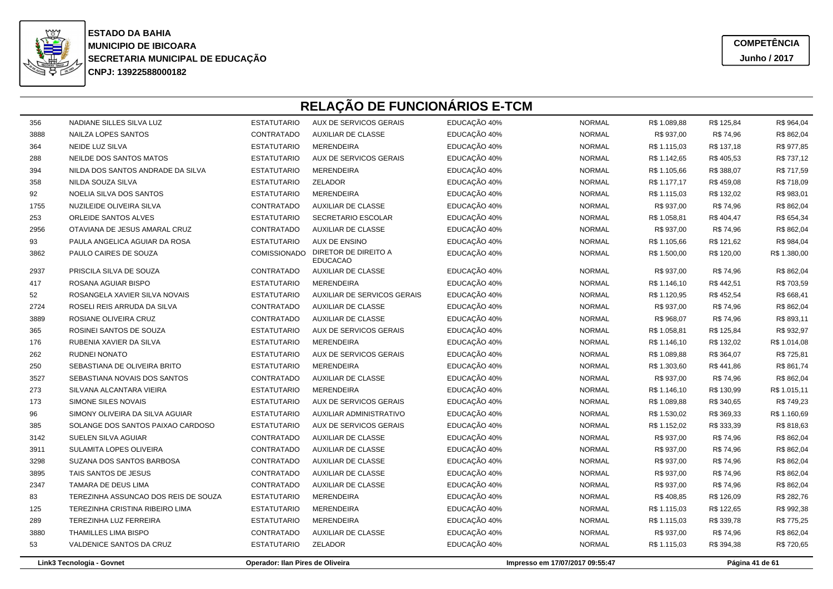

**COMPETÊNCIAJunho / 2017**

| 356  | NADIANE SILLES SILVA LUZ             | <b>ESTATUTARIO</b>               | AUX DE SERVICOS GERAIS                  | EDUCAÇÃO 40% | <b>NORMAL</b>                   | R\$ 1.089,88 | R\$ 125,84 | R\$ 964,04      |
|------|--------------------------------------|----------------------------------|-----------------------------------------|--------------|---------------------------------|--------------|------------|-----------------|
| 3888 | NAILZA LOPES SANTOS                  | CONTRATADO                       | <b>AUXILIAR DE CLASSE</b>               | EDUCAÇÃO 40% | <b>NORMAL</b>                   | R\$ 937,00   | R\$ 74,96  | R\$ 862,04      |
| 364  | NEIDE LUZ SILVA                      | <b>ESTATUTARIO</b>               | <b>MERENDEIRA</b>                       | EDUCAÇÃO 40% | <b>NORMAL</b>                   | R\$ 1.115,03 | R\$ 137,18 | R\$ 977,85      |
| 288  | NEILDE DOS SANTOS MATOS              | <b>ESTATUTARIO</b>               | AUX DE SERVICOS GERAIS                  | EDUCAÇÃO 40% | <b>NORMAL</b>                   | R\$ 1.142,65 | R\$405,53  | R\$ 737,12      |
| 394  | NILDA DOS SANTOS ANDRADE DA SILVA    | <b>ESTATUTARIO</b>               | <b>MERENDEIRA</b>                       | EDUCAÇÃO 40% | <b>NORMAL</b>                   | R\$ 1.105,66 | R\$ 388,07 | R\$ 717,59      |
| 358  | NILDA SOUZA SILVA                    | <b>ESTATUTARIO</b>               | ZELADOR                                 | EDUCAÇÃO 40% | <b>NORMAL</b>                   | R\$ 1.177,17 | R\$459,08  | R\$ 718,09      |
| 92   | NOELIA SILVA DOS SANTOS              | <b>ESTATUTARIO</b>               | <b>MERENDEIRA</b>                       | EDUCAÇÃO 40% | <b>NORMAL</b>                   | R\$ 1.115,03 | R\$ 132,02 | R\$ 983,01      |
| 1755 | NUZILEIDE OLIVEIRA SILVA             | CONTRATADO                       | <b>AUXILIAR DE CLASSE</b>               | EDUCAÇÃO 40% | <b>NORMAL</b>                   | R\$ 937,00   | R\$ 74,96  | R\$ 862,04      |
| 253  | ORLEIDE SANTOS ALVES                 | <b>ESTATUTARIO</b>               | SECRETARIO ESCOLAR                      | EDUCAÇÃO 40% | <b>NORMAL</b>                   | R\$ 1.058,81 | R\$404,47  | R\$ 654,34      |
| 2956 | OTAVIANA DE JESUS AMARAL CRUZ        | CONTRATADO                       | AUXILIAR DE CLASSE                      | EDUCAÇÃO 40% | <b>NORMAL</b>                   | R\$ 937,00   | R\$ 74,96  | R\$ 862,04      |
| 93   | PAULA ANGELICA AGUIAR DA ROSA        | <b>ESTATUTARIO</b>               | <b>AUX DE ENSINO</b>                    | EDUCAÇÃO 40% | <b>NORMAL</b>                   | R\$ 1.105,66 | R\$ 121,62 | R\$ 984,04      |
| 3862 | PAULO CAIRES DE SOUZA                | COMISSIONADO                     | DIRETOR DE DIREITO A<br><b>EDUCACAO</b> | EDUCAÇÃO 40% | <b>NORMAL</b>                   | R\$ 1.500,00 | R\$ 120,00 | R\$ 1.380,00    |
| 2937 | PRISCILA SILVA DE SOUZA              | CONTRATADO                       | <b>AUXILIAR DE CLASSE</b>               | EDUCAÇÃO 40% | <b>NORMAL</b>                   | R\$ 937,00   | R\$ 74,96  | R\$862,04       |
| 417  | ROSANA AGUIAR BISPO                  | <b>ESTATUTARIO</b>               | MERENDEIRA                              | EDUCAÇÃO 40% | <b>NORMAL</b>                   | R\$ 1.146,10 | R\$442,51  | R\$703,59       |
| 52   | ROSANGELA XAVIER SILVA NOVAIS        | <b>ESTATUTARIO</b>               | AUXILIAR DE SERVICOS GERAIS             | EDUCAÇÃO 40% | <b>NORMAL</b>                   | R\$ 1.120,95 | R\$ 452,54 | R\$ 668,41      |
| 2724 | ROSELI REIS ARRUDA DA SILVA          | CONTRATADO                       | <b>AUXILIAR DE CLASSE</b>               | EDUCAÇÃO 40% | <b>NORMAL</b>                   | R\$ 937,00   | R\$ 74,96  | R\$862,04       |
| 3889 | ROSIANE OLIVEIRA CRUZ                | CONTRATADO                       | <b>AUXILIAR DE CLASSE</b>               | EDUCAÇÃO 40% | <b>NORMAL</b>                   | R\$ 968,07   | R\$ 74,96  | R\$ 893,11      |
| 365  | ROSINEI SANTOS DE SOUZA              | <b>ESTATUTARIO</b>               | AUX DE SERVICOS GERAIS                  | EDUCAÇÃO 40% | <b>NORMAL</b>                   | R\$ 1.058,81 | R\$ 125,84 | R\$ 932,97      |
| 176  | RUBENIA XAVIER DA SILVA              | <b>ESTATUTARIO</b>               | <b>MERENDEIRA</b>                       | EDUCAÇÃO 40% | <b>NORMAL</b>                   | R\$ 1.146,10 | R\$ 132,02 | R\$ 1.014,08    |
| 262  | RUDNEI NONATO                        | <b>ESTATUTARIO</b>               | AUX DE SERVICOS GERAIS                  | EDUCAÇÃO 40% | <b>NORMAL</b>                   | R\$ 1.089,88 | R\$ 364,07 | R\$ 725,81      |
| 250  | SEBASTIANA DE OLIVEIRA BRITO         | <b>ESTATUTARIO</b>               | <b>MERENDEIRA</b>                       | EDUCAÇÃO 40% | <b>NORMAL</b>                   | R\$ 1.303,60 | R\$441,86  | R\$ 861,74      |
| 3527 | SEBASTIANA NOVAIS DOS SANTOS         | CONTRATADO                       | <b>AUXILIAR DE CLASSE</b>               | EDUCAÇÃO 40% | <b>NORMAL</b>                   | R\$ 937,00   | R\$ 74,96  | R\$862,04       |
| 273  | SILVANA ALCANTARA VIEIRA             | <b>ESTATUTARIO</b>               | <b>MERENDEIRA</b>                       | EDUCAÇÃO 40% | <b>NORMAL</b>                   | R\$ 1.146,10 | R\$ 130,99 | R\$ 1.015,11    |
| 173  | SIMONE SILES NOVAIS                  | <b>ESTATUTARIO</b>               | AUX DE SERVICOS GERAIS                  | EDUCAÇÃO 40% | <b>NORMAL</b>                   | R\$ 1.089,88 | R\$ 340,65 | R\$ 749,23      |
| 96   | SIMONY OLIVEIRA DA SILVA AGUIAR      | <b>ESTATUTARIO</b>               | AUXILIAR ADMINISTRATIVO                 | EDUCAÇÃO 40% | <b>NORMAL</b>                   | R\$ 1.530,02 | R\$ 369,33 | R\$ 1.160,69    |
| 385  | SOLANGE DOS SANTOS PAIXAO CARDOSO    | <b>ESTATUTARIO</b>               | AUX DE SERVICOS GERAIS                  | EDUCAÇÃO 40% | <b>NORMAL</b>                   | R\$ 1.152,02 | R\$ 333,39 | R\$ 818,63      |
| 3142 | SUELEN SILVA AGUIAR                  | CONTRATADO                       | <b>AUXILIAR DE CLASSE</b>               | EDUCAÇÃO 40% | <b>NORMAL</b>                   | R\$ 937,00   | R\$ 74,96  | R\$ 862,04      |
| 3911 | SULAMITA LOPES OLIVEIRA              | CONTRATADO                       | <b>AUXILIAR DE CLASSE</b>               | EDUCAÇÃO 40% | <b>NORMAL</b>                   | R\$ 937,00   | R\$ 74,96  | R\$ 862,04      |
| 3298 | SUZANA DOS SANTOS BARBOSA            | CONTRATADO                       | <b>AUXILIAR DE CLASSE</b>               | EDUCAÇÃO 40% | <b>NORMAL</b>                   | R\$ 937,00   | R\$ 74,96  | R\$ 862,04      |
| 3895 | TAIS SANTOS DE JESUS                 | CONTRATADO                       | <b>AUXILIAR DE CLASSE</b>               | EDUCAÇÃO 40% | <b>NORMAL</b>                   | R\$ 937,00   | R\$ 74,96  | R\$ 862,04      |
| 2347 | TAMARA DE DEUS LIMA                  | CONTRATADO                       | AUXILIAR DE CLASSE                      | EDUCAÇÃO 40% | <b>NORMAL</b>                   | R\$ 937,00   | R\$ 74,96  | R\$ 862,04      |
| 83   | TEREZINHA ASSUNCAO DOS REIS DE SOUZA | <b>ESTATUTARIO</b>               | <b>MERENDEIRA</b>                       | EDUCAÇÃO 40% | <b>NORMAL</b>                   | R\$408,85    | R\$ 126,09 | R\$ 282,76      |
| 125  | TEREZINHA CRISTINA RIBEIRO LIMA      | <b>ESTATUTARIO</b>               | <b>MERENDEIRA</b>                       | EDUCAÇÃO 40% | <b>NORMAL</b>                   | R\$ 1.115,03 | R\$ 122,65 | R\$ 992,38      |
| 289  | TEREZINHA LUZ FERREIRA               | <b>ESTATUTARIO</b>               | <b>MERENDEIRA</b>                       | EDUCAÇÃO 40% | <b>NORMAL</b>                   | R\$ 1.115,03 | R\$ 339,78 | R\$ 775,25      |
| 3880 | <b>THAMILLES LIMA BISPO</b>          | CONTRATADO                       | AUXILIAR DE CLASSE                      | EDUCAÇÃO 40% | <b>NORMAL</b>                   | R\$ 937,00   | R\$ 74,96  | R\$ 862,04      |
| 53   | VALDENICE SANTOS DA CRUZ             | <b>ESTATUTARIO</b>               | ZELADOR                                 | EDUCAÇÃO 40% | <b>NORMAL</b>                   | R\$ 1.115,03 | R\$ 394,38 | R\$720,65       |
|      | Link3 Tecnologia - Govnet            | Operador: Ilan Pires de Oliveira |                                         |              | Impresso em 17/07/2017 09:55:47 |              |            | Página 41 de 61 |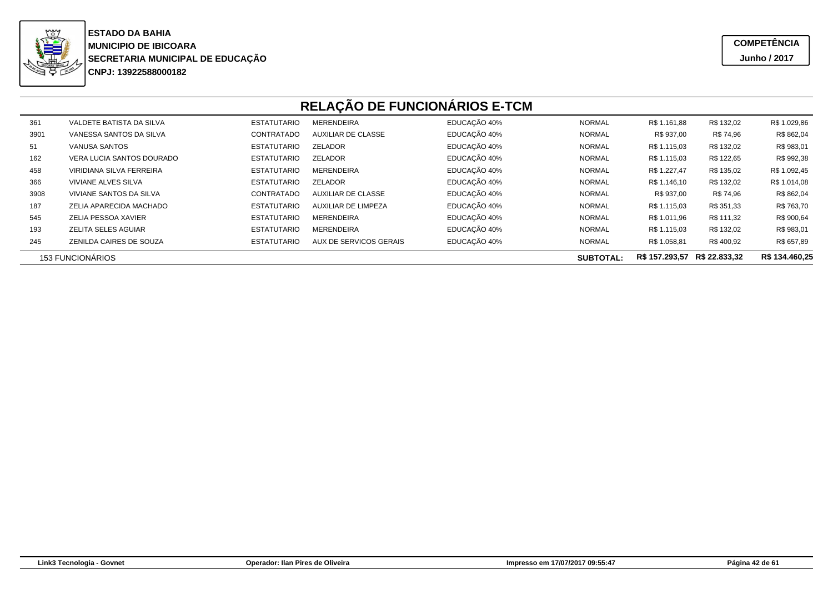

| 361  | VALDETE BATISTA DA SILVA   | <b>ESTATUTARIO</b> | <b>MERENDEIRA</b>         | EDUCAÇÃO 40% | <b>NORMAL</b>    | R\$ 1.161,88   | R\$ 132,02    | R\$ 1.029,86   |
|------|----------------------------|--------------------|---------------------------|--------------|------------------|----------------|---------------|----------------|
| 3901 | VANESSA SANTOS DA SILVA    | CONTRATADO         | AUXILIAR DE CLASSE        | EDUCAÇÃO 40% | <b>NORMAL</b>    | R\$ 937,00     | R\$ 74,96     | R\$ 862,04     |
| 51   | VANUSA SANTOS              | <b>ESTATUTARIO</b> | ZELADOR                   | EDUCAÇÃO 40% | <b>NORMAL</b>    | R\$ 1.115,03   | R\$ 132,02    | R\$ 983,01     |
| 162  | VERA LUCIA SANTOS DOURADO  | <b>ESTATUTARIO</b> | <b>ZELADOR</b>            | EDUCAÇÃO 40% | <b>NORMAL</b>    | R\$ 1.115,03   | R\$ 122,65    | R\$ 992,38     |
| 458  | VIRIDIANA SILVA FERREIRA   | <b>ESTATUTARIO</b> | <b>MERENDEIRA</b>         | EDUCAÇÃO 40% | <b>NORMAL</b>    | R\$ 1.227,47   | R\$ 135,02    | R\$ 1.092,45   |
| 366  | <b>VIVIANE ALVES SILVA</b> | <b>ESTATUTARIO</b> | <b>ZELADOR</b>            | EDUCAÇÃO 40% | <b>NORMAL</b>    | R\$ 1.146,10   | R\$ 132,02    | R\$ 1.014,08   |
| 3908 | VIVIANE SANTOS DA SILVA    | CONTRATADC         | <b>AUXILIAR DE CLASSE</b> | EDUCAÇÃO 40% | <b>NORMAL</b>    | R\$ 937,00     | R\$ 74,96     | R\$ 862,04     |
| 187  | ZELIA APARECIDA MACHADO    | <b>ESTATUTARIO</b> | AUXILIAR DE LIMPEZA       | EDUCAÇÃO 40% | <b>NORMAL</b>    | R\$ 1.115,03   | R\$ 351,33    | R\$ 763,70     |
| 545  | ZELIA PESSOA XAVIER        | <b>ESTATUTARIO</b> | <b>MERENDEIRA</b>         | EDUCAÇÃO 40% | <b>NORMAL</b>    | R\$ 1.011,96   | R\$ 111,32    | R\$ 900,64     |
| 193  | <b>ZELITA SELES AGUIAR</b> | <b>ESTATUTARIO</b> | <b>MERENDEIRA</b>         | EDUCAÇÃO 40% | <b>NORMAL</b>    | R\$ 1.115,03   | R\$ 132,02    | R\$ 983,01     |
| 245  | ZENILDA CAIRES DE SOUZA    | <b>ESTATUTARIO</b> | AUX DE SERVICOS GERAIS    | EDUCAÇÃO 40% | <b>NORMAL</b>    | R\$ 1.058,81   | R\$400,92     | R\$ 657,89     |
|      | <b>153 FUNCIONÁRIOS</b>    |                    |                           |              | <b>SUBTOTAL:</b> | R\$ 157.293,57 | R\$ 22.833.32 | R\$ 134.460,25 |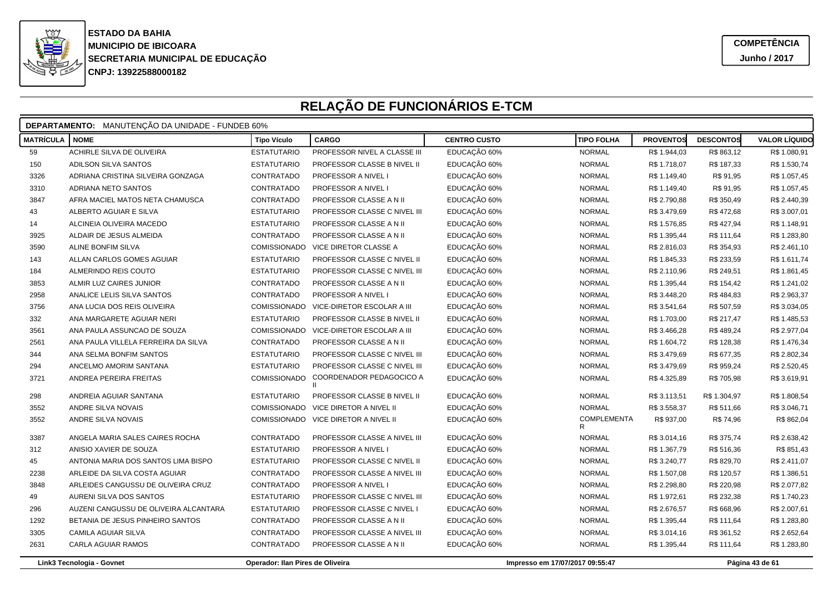

|                  | <b>DEPARTAMENTO:</b> MANUTENÇÃO DA UNIDADE - FUNDEB 60% |                                  |                                          |                     |                                 |                  |                  |                      |  |  |  |
|------------------|---------------------------------------------------------|----------------------------------|------------------------------------------|---------------------|---------------------------------|------------------|------------------|----------------------|--|--|--|
| <b>MATRÍCULA</b> | <b>NOME</b>                                             | <b>Tipo Vículo</b>               | <b>CARGO</b>                             | <b>CENTRO CUSTO</b> | <b>TIPO FOLHA</b>               | <b>PROVENTOS</b> | <b>DESCONTOS</b> | <b>VALOR LÍQUIDO</b> |  |  |  |
| 59               | ACHIRLE SILVA DE OLIVEIRA                               | <b>ESTATUTARIO</b>               | PROFESSOR NIVEL A CLASSE III             | EDUCAÇÃO 60%        | <b>NORMAL</b>                   | R\$ 1.944,03     | R\$863,12        | R\$ 1.080,91         |  |  |  |
| 150              | ADILSON SILVA SANTOS                                    | <b>ESTATUTARIO</b>               | PROFESSOR CLASSE B NIVEL II              | EDUCAÇÃO 60%        | <b>NORMAL</b>                   | R\$ 1.718,07     | R\$ 187,33       | R\$ 1.530,74         |  |  |  |
| 3326             | ADRIANA CRISTINA SILVEIRA GONZAGA                       | CONTRATADO                       | PROFESSOR A NIVEL I                      | EDUCAÇÃO 60%        | <b>NORMAL</b>                   | R\$ 1.149,40     | R\$ 91,95        | R\$ 1.057,45         |  |  |  |
| 3310             | ADRIANA NETO SANTOS                                     | CONTRATADO                       | PROFESSOR A NIVEL I                      | EDUCAÇÃO 60%        | <b>NORMAL</b>                   | R\$ 1.149,40     | R\$ 91,95        | R\$ 1.057,45         |  |  |  |
| 3847             | AFRA MACIEL MATOS NETA CHAMUSCA                         | CONTRATADO                       | PROFESSOR CLASSE A N II                  | EDUCAÇÃO 60%        | <b>NORMAL</b>                   | R\$ 2.790,88     | R\$ 350,49       | R\$ 2.440,39         |  |  |  |
| 43               | ALBERTO AGUIAR E SILVA                                  | <b>ESTATUTARIO</b>               | PROFESSOR CLASSE C NIVEL III             | EDUCAÇÃO 60%        | <b>NORMAL</b>                   | R\$ 3.479,69     | R\$ 472,68       | R\$ 3.007,01         |  |  |  |
| 14               | ALCINEIA OLIVEIRA MACEDO                                | <b>ESTATUTARIO</b>               | PROFESSOR CLASSE A N II                  | EDUCAÇÃO 60%        | <b>NORMAL</b>                   | R\$ 1.576,85     | R\$427,94        | R\$ 1.148,91         |  |  |  |
| 3925             | ALDAIR DE JESUS ALMEIDA                                 | CONTRATADO                       | PROFESSOR CLASSE A N II                  | EDUCAÇÃO 60%        | <b>NORMAL</b>                   | R\$ 1.395,44     | R\$ 111,64       | R\$ 1.283,80         |  |  |  |
| 3590             | ALINE BONFIM SILVA                                      | COMISSIONADO                     | VICE DIRETOR CLASSE A                    | EDUCAÇÃO 60%        | <b>NORMAL</b>                   | R\$ 2.816,03     | R\$ 354,93       | R\$ 2.461,10         |  |  |  |
| 143              | ALLAN CARLOS GOMES AGUIAR                               | <b>ESTATUTARIO</b>               | PROFESSOR CLASSE C NIVEL II              | EDUCAÇÃO 60%        | <b>NORMAL</b>                   | R\$ 1.845,33     | R\$ 233,59       | R\$ 1.611,74         |  |  |  |
| 184              | ALMERINDO REIS COUTO                                    | <b>ESTATUTARIO</b>               | PROFESSOR CLASSE C NIVEL III             | EDUCAÇÃO 60%        | <b>NORMAL</b>                   | R\$ 2.110,96     | R\$ 249,51       | R\$ 1.861,45         |  |  |  |
| 3853             | ALMIR LUZ CAIRES JUNIOR                                 | CONTRATADO                       | PROFESSOR CLASSE A N II                  | EDUCAÇÃO 60%        | <b>NORMAL</b>                   | R\$ 1.395,44     | R\$ 154,42       | R\$ 1.241,02         |  |  |  |
| 2958             | ANALICE LELIS SILVA SANTOS                              | CONTRATADO                       | PROFESSOR A NIVEL I                      | EDUCAÇÃO 60%        | <b>NORMAL</b>                   | R\$ 3.448,20     | R\$484,83        | R\$ 2.963,37         |  |  |  |
| 3756             | ANA LUCIA DOS REIS OLIVEIRA                             | COMISSIONADO                     | VICE-DIRETOR ESCOLAR A III               | EDUCAÇÃO 60%        | <b>NORMAL</b>                   | R\$ 3.541,64     | R\$ 507,59       | R\$ 3.034,05         |  |  |  |
| 332              | ANA MARGARETE AGUIAR NERI                               | <b>ESTATUTARIO</b>               | PROFESSOR CLASSE B NIVEL II              | EDUCAÇÃO 60%        | <b>NORMAL</b>                   | R\$ 1.703,00     | R\$ 217,47       | R\$ 1.485,53         |  |  |  |
| 3561             | ANA PAULA ASSUNCAO DE SOUZA                             | COMISSIONADO                     | VICE-DIRETOR ESCOLAR A III               | EDUCAÇÃO 60%        | <b>NORMAL</b>                   | R\$ 3.466,28     | R\$489,24        | R\$ 2.977,04         |  |  |  |
| 2561             | ANA PAULA VILLELA FERREIRA DA SILVA                     | CONTRATADO                       | PROFESSOR CLASSE A N II                  | EDUCAÇÃO 60%        | <b>NORMAL</b>                   | R\$ 1.604,72     | R\$ 128,38       | R\$ 1.476,34         |  |  |  |
| 344              | ANA SELMA BONFIM SANTOS                                 | <b>ESTATUTARIO</b>               | PROFESSOR CLASSE C NIVEL III             | EDUCAÇÃO 60%        | <b>NORMAL</b>                   | R\$ 3.479,69     | R\$ 677,35       | R\$ 2.802,34         |  |  |  |
| 294              | ANCELMO AMORIM SANTANA                                  | <b>ESTATUTARIO</b>               | PROFESSOR CLASSE C NIVEL III             | EDUCAÇÃO 60%        | <b>NORMAL</b>                   | R\$ 3.479,69     | R\$ 959,24       | R\$ 2.520,45         |  |  |  |
| 3721             | ANDREA PEREIRA FREITAS                                  | <b>COMISSIONADO</b>              | COORDENADOR PEDAGOCICO A<br>$\mathbf{H}$ | EDUCAÇÃO 60%        | <b>NORMAL</b>                   | R\$4.325,89      | R\$705,98        | R\$ 3.619,91         |  |  |  |
| 298              | ANDREIA AGUIAR SANTANA                                  | <b>ESTATUTARIO</b>               | PROFESSOR CLASSE B NIVEL II              | EDUCAÇÃO 60%        | <b>NORMAL</b>                   | R\$ 3.113,51     | R\$ 1.304,97     | R\$ 1.808,54         |  |  |  |
| 3552             | ANDRE SILVA NOVAIS                                      |                                  | COMISSIONADO VICE DIRETOR A NIVEL II     | EDUCAÇÃO 60%        | <b>NORMAL</b>                   | R\$ 3.558,37     | R\$ 511,66       | R\$ 3.046,71         |  |  |  |
| 3552             | ANDRE SILVA NOVAIS                                      |                                  | COMISSIONADO VICE DIRETOR A NIVEL II     | EDUCAÇÃO 60%        | <b>COMPLEMENTA</b><br>R         | R\$ 937,00       | R\$ 74,96        | R\$ 862,04           |  |  |  |
| 3387             | ANGELA MARIA SALES CAIRES ROCHA                         | CONTRATADO                       | PROFESSOR CLASSE A NIVEL III             | EDUCAÇÃO 60%        | <b>NORMAL</b>                   | R\$ 3.014,16     | R\$ 375,74       | R\$ 2.638,42         |  |  |  |
| 312              | ANISIO XAVIER DE SOUZA                                  | <b>ESTATUTARIO</b>               | PROFESSOR A NIVEL I                      | EDUCAÇÃO 60%        | <b>NORMAL</b>                   | R\$ 1.367,79     | R\$ 516,36       | R\$ 851,43           |  |  |  |
| 45               | ANTONIA MARIA DOS SANTOS LIMA BISPO                     | <b>ESTATUTARIO</b>               | PROFESSOR CLASSE C NIVEL II              | EDUCAÇÃO 60%        | <b>NORMAL</b>                   | R\$ 3.240,77     | R\$ 829,70       | R\$ 2.411,07         |  |  |  |
| 2238             | ARLEIDE DA SILVA COSTA AGUIAR                           | CONTRATADO                       | PROFESSOR CLASSE A NIVEL III             | EDUCAÇÃO 60%        | <b>NORMAL</b>                   | R\$ 1.507,08     | R\$ 120,57       | R\$ 1.386,51         |  |  |  |
| 3848             | ARLEIDES CANGUSSU DE OLIVEIRA CRUZ                      | CONTRATADO                       | PROFESSOR A NIVEL I                      | EDUCAÇÃO 60%        | <b>NORMAL</b>                   | R\$ 2.298,80     | R\$ 220,98       | R\$ 2.077,82         |  |  |  |
| 49               | AURENI SILVA DOS SANTOS                                 | <b>ESTATUTARIO</b>               | PROFESSOR CLASSE C NIVEL III             | EDUCAÇÃO 60%        | <b>NORMAL</b>                   | R\$ 1.972,61     | R\$ 232,38       | R\$ 1.740,23         |  |  |  |
| 296              | AUZENI CANGUSSU DE OLIVEIRA ALCANTARA                   | <b>ESTATUTARIO</b>               | PROFESSOR CLASSE C NIVEL I               | EDUCAÇÃO 60%        | <b>NORMAL</b>                   | R\$ 2.676,57     | R\$ 668,96       | R\$ 2.007,61         |  |  |  |
| 1292             | BETANIA DE JESUS PINHEIRO SANTOS                        | CONTRATADO                       | PROFESSOR CLASSE A N II                  | EDUCAÇÃO 60%        | <b>NORMAL</b>                   | R\$ 1.395,44     | R\$ 111,64       | R\$ 1.283,80         |  |  |  |
| 3305             | CAMILA AGUIAR SILVA                                     | CONTRATADO                       | PROFESSOR CLASSE A NIVEL III             | EDUCAÇÃO 60%        | <b>NORMAL</b>                   | R\$ 3.014,16     | R\$ 361,52       | R\$ 2.652,64         |  |  |  |
| 2631             | CARLA AGUIAR RAMOS                                      | CONTRATADO                       | PROFESSOR CLASSE A N II                  | EDUCAÇÃO 60%        | <b>NORMAL</b>                   | R\$ 1.395,44     | R\$ 111,64       | R\$ 1.283,80         |  |  |  |
|                  | Link3 Tecnologia - Govnet                               | Operador: Ilan Pires de Oliveira |                                          |                     | Impresso em 17/07/2017 09:55:47 |                  |                  | Página 43 de 61      |  |  |  |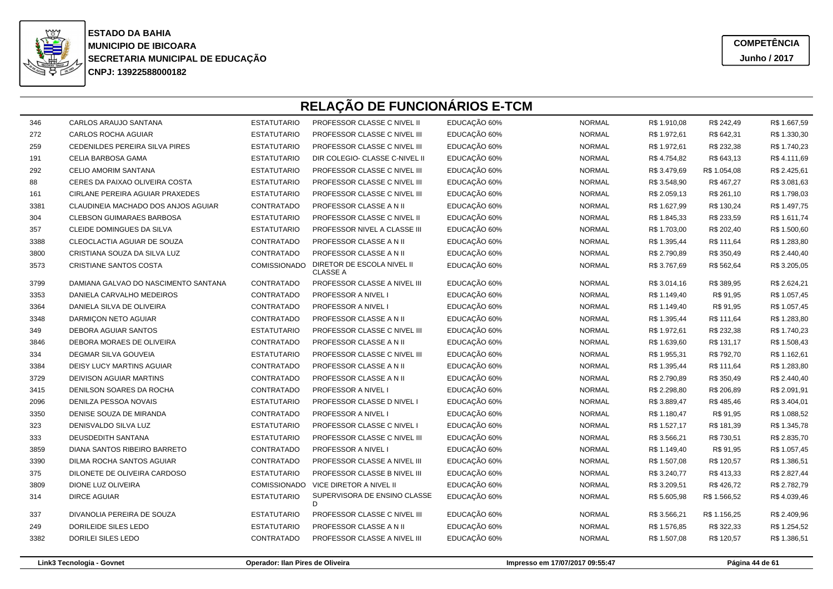

**COMPETÊNCIAJunho / 2017**

| 346  | CARLOS ARAUJO SANTANA                | <b>ESTATUTARIO</b> | PROFESSOR CLASSE C NIVEL II                   | EDUCAÇÃO 60% | <b>NORMAL</b> | R\$ 1.910,08 | R\$ 242,49   | R\$ 1.667,59 |
|------|--------------------------------------|--------------------|-----------------------------------------------|--------------|---------------|--------------|--------------|--------------|
| 272  | CARLOS ROCHA AGUIAR                  | <b>ESTATUTARIO</b> | PROFESSOR CLASSE C NIVEL III                  | EDUCAÇÃO 60% | <b>NORMAL</b> | R\$ 1.972,61 | R\$ 642,31   | R\$ 1.330,30 |
| 259  | CEDENILDES PEREIRA SILVA PIRES       | <b>ESTATUTARIO</b> | PROFESSOR CLASSE C NIVEL III                  | EDUCAÇÃO 60% | <b>NORMAL</b> | R\$ 1.972,61 | R\$ 232,38   | R\$ 1.740,23 |
| 191  | CELIA BARBOSA GAMA                   | <b>ESTATUTARIO</b> | DIR COLEGIO- CLASSE C-NIVEL II                | EDUCAÇÃO 60% | <b>NORMAL</b> | R\$4.754,82  | R\$ 643,13   | R\$4.111,69  |
| 292  | <b>CELIO AMORIM SANTANA</b>          | <b>ESTATUTARIO</b> | PROFESSOR CLASSE C NIVEL III                  | EDUCAÇÃO 60% | <b>NORMAL</b> | R\$ 3.479,69 | R\$ 1.054,08 | R\$ 2.425,61 |
| 88   | CERES DA PAIXAO OLIVEIRA COSTA       | <b>ESTATUTARIO</b> | PROFESSOR CLASSE C NIVEL III                  | EDUCAÇÃO 60% | <b>NORMAL</b> | R\$ 3.548,90 | R\$467,27    | R\$ 3.081,63 |
| 161  | CIRLANE PEREIRA AGUIAR PRAXEDES      | <b>ESTATUTARIO</b> | PROFESSOR CLASSE C NIVEL III                  | EDUCAÇÃO 60% | <b>NORMAL</b> | R\$ 2.059,13 | R\$ 261,10   | R\$ 1.798,03 |
| 3381 | CLAUDINEIA MACHADO DOS ANJOS AGUIAR  | CONTRATADO         | PROFESSOR CLASSE A N II                       | EDUCAÇÃO 60% | <b>NORMAL</b> | R\$ 1.627,99 | R\$ 130,24   | R\$ 1.497,75 |
| 304  | <b>CLEBSON GUIMARAES BARBOSA</b>     | <b>ESTATUTARIO</b> | PROFESSOR CLASSE C NIVEL II                   | EDUCAÇÃO 60% | <b>NORMAL</b> | R\$ 1.845,33 | R\$ 233,59   | R\$ 1.611,74 |
| 357  | CLEIDE DOMINGUES DA SILVA            | <b>ESTATUTARIO</b> | PROFESSOR NIVEL A CLASSE III                  | EDUCAÇÃO 60% | <b>NORMAL</b> | R\$ 1.703,00 | R\$ 202,40   | R\$ 1.500,60 |
| 3388 | CLEOCLACTIA AGUIAR DE SOUZA          | CONTRATADO         | PROFESSOR CLASSE A N II                       | EDUCAÇÃO 60% | <b>NORMAL</b> | R\$ 1.395,44 | R\$ 111,64   | R\$ 1.283,80 |
| 3800 | CRISTIANA SOUZA DA SILVA LUZ         | CONTRATADO         | PROFESSOR CLASSE A N II                       | EDUCAÇÃO 60% | <b>NORMAL</b> | R\$ 2.790,89 | R\$ 350,49   | R\$ 2.440,40 |
| 3573 | CRISTIANE SANTOS COSTA               | COMISSIONADO       | DIRETOR DE ESCOLA NIVEL II<br><b>CLASSE A</b> | EDUCAÇÃO 60% | <b>NORMAL</b> | R\$ 3.767,69 | R\$ 562,64   | R\$ 3.205,05 |
| 3799 | DAMIANA GALVAO DO NASCIMENTO SANTANA | CONTRATADO         | PROFESSOR CLASSE A NIVEL III                  | EDUCAÇÃO 60% | <b>NORMAL</b> | R\$ 3.014,16 | R\$ 389,95   | R\$ 2.624,21 |
| 3353 | DANIELA CARVALHO MEDEIROS            | CONTRATADO         | PROFESSOR A NIVEL I                           | EDUCAÇÃO 60% | <b>NORMAL</b> | R\$ 1.149,40 | R\$ 91,95    | R\$ 1.057,45 |
| 3364 | DANIELA SILVA DE OLIVEIRA            | CONTRATADO         | PROFESSOR A NIVEL I                           | EDUCAÇÃO 60% | <b>NORMAL</b> | R\$ 1.149,40 | R\$ 91,95    | R\$ 1.057,45 |
| 3348 | DARMIÇON NETO AGUIAR                 | CONTRATADO         | PROFESSOR CLASSE A N II                       | EDUCAÇÃO 60% | <b>NORMAL</b> | R\$ 1.395,44 | R\$ 111,64   | R\$ 1.283,80 |
| 349  | DEBORA AGUIAR SANTOS                 | <b>ESTATUTARIO</b> | PROFESSOR CLASSE C NIVEL III                  | EDUCAÇÃO 60% | <b>NORMAL</b> | R\$ 1.972,61 | R\$ 232,38   | R\$ 1.740,23 |
| 3846 | DEBORA MORAES DE OLIVEIRA            | CONTRATADO         | PROFESSOR CLASSE A N II                       | EDUCAÇÃO 60% | <b>NORMAL</b> | R\$ 1.639,60 | R\$ 131,17   | R\$ 1.508,43 |
| 334  | DEGMAR SILVA GOUVEIA                 | <b>ESTATUTARIO</b> | PROFESSOR CLASSE C NIVEL III                  | EDUCAÇÃO 60% | <b>NORMAL</b> | R\$ 1.955,31 | R\$ 792,70   | R\$ 1.162,61 |
| 3384 | DEISY LUCY MARTINS AGUIAR            | CONTRATADO         | PROFESSOR CLASSE A N II                       | EDUCAÇÃO 60% | <b>NORMAL</b> | R\$ 1.395,44 | R\$ 111,64   | R\$ 1.283,80 |
| 3729 | DEIVISON AGUIAR MARTINS              | CONTRATADO         | PROFESSOR CLASSE A N II                       | EDUCAÇÃO 60% | <b>NORMAL</b> | R\$ 2.790,89 | R\$ 350,49   | R\$ 2.440,40 |
| 3415 | DENILSON SOARES DA ROCHA             | CONTRATADO         | PROFESSOR A NIVEL I                           | EDUCAÇÃO 60% | <b>NORMAL</b> | R\$ 2.298,80 | R\$ 206,89   | R\$ 2.091,91 |
| 2096 | DENILZA PESSOA NOVAIS                | <b>ESTATUTARIO</b> | PROFESSOR CLASSE D NIVEL I                    | EDUCAÇÃO 60% | <b>NORMAL</b> | R\$ 3.889,47 | R\$485,46    | R\$ 3.404,01 |
| 3350 | DENISE SOUZA DE MIRANDA              | CONTRATADO         | PROFESSOR A NIVEL I                           | EDUCAÇÃO 60% | <b>NORMAL</b> | R\$ 1.180,47 | R\$ 91,95    | R\$ 1.088,52 |
| 323  | DENISVALDO SILVA LUZ                 | <b>ESTATUTARIO</b> | PROFESSOR CLASSE C NIVEL I                    | EDUCAÇÃO 60% | <b>NORMAL</b> | R\$ 1.527,17 | R\$ 181,39   | R\$ 1.345,78 |
| 333  | DEUSDEDITH SANTANA                   | <b>ESTATUTARIO</b> | PROFESSOR CLASSE C NIVEL III                  | EDUCAÇÃO 60% | <b>NORMAL</b> | R\$ 3.566,21 | R\$730,51    | R\$ 2.835,70 |
| 3859 | DIANA SANTOS RIBEIRO BARRETO         | CONTRATADO         | PROFESSOR A NIVEL I                           | EDUCAÇÃO 60% | <b>NORMAL</b> | R\$ 1.149,40 | R\$ 91,95    | R\$ 1.057,45 |
| 3390 | DILMA ROCHA SANTOS AGUIAR            | CONTRATADO         | PROFESSOR CLASSE A NIVEL III                  | EDUCAÇÃO 60% | <b>NORMAL</b> | R\$ 1.507,08 | R\$ 120,57   | R\$ 1.386,51 |
| 375  | DILONETE DE OLIVEIRA CARDOSO         | <b>ESTATUTARIO</b> | PROFESSOR CLASSE B NIVEL III                  | EDUCAÇÃO 60% | <b>NORMAL</b> | R\$ 3.240,77 | R\$413,33    | R\$ 2.827,44 |
| 3809 | DIONE LUZ OLIVEIRA                   | COMISSIONADO       | VICE DIRETOR A NIVEL II                       | EDUCAÇÃO 60% | <b>NORMAL</b> | R\$ 3.209,51 | R\$426,72    | R\$ 2.782,79 |
| 314  | <b>DIRCE AGUIAR</b>                  | <b>ESTATUTARIO</b> | SUPERVISORA DE ENSINO CLASSE<br>D.            | EDUCAÇÃO 60% | <b>NORMAL</b> | R\$ 5.605,98 | R\$ 1.566,52 | R\$4.039,46  |
| 337  | DIVANOLIA PEREIRA DE SOUZA           | <b>ESTATUTARIO</b> | PROFESSOR CLASSE C NIVEL III                  | EDUCAÇÃO 60% | <b>NORMAL</b> | R\$ 3.566,21 | R\$ 1.156,25 | R\$ 2.409,96 |
| 249  | DORILEIDE SILES LEDO                 | <b>ESTATUTARIO</b> | PROFESSOR CLASSE A N II                       | EDUCAÇÃO 60% | <b>NORMAL</b> | R\$ 1.576,85 | R\$ 322,33   | R\$ 1.254,52 |
| 3382 | DORILEI SILES LEDO                   | CONTRATADO         | PROFESSOR CLASSE A NIVEL III                  | EDUCAÇÃO 60% | <b>NORMAL</b> | R\$ 1.507,08 | R\$ 120,57   | R\$ 1.386,51 |
|      |                                      |                    |                                               |              |               |              |              |              |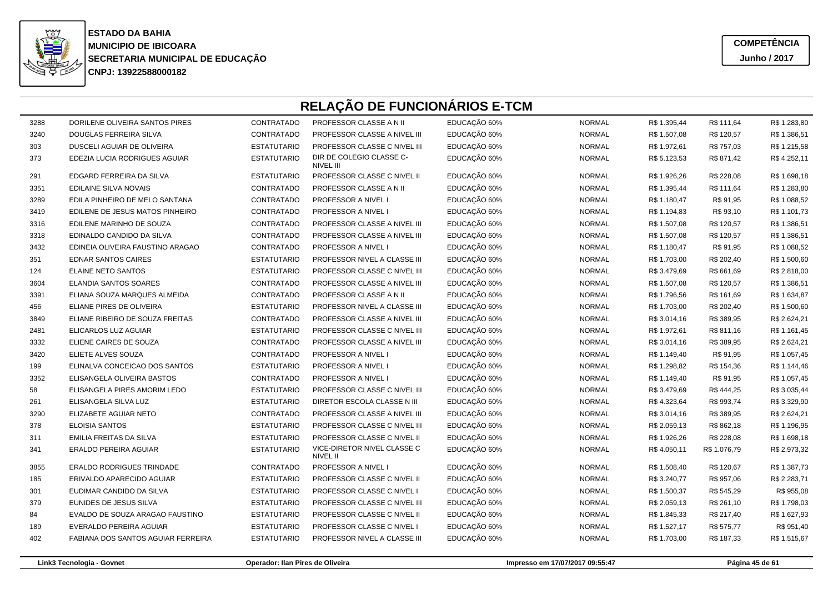

**COMPETÊNCIAJunho / 2017**

|      | RELAÇÃO DE FUNCIONÁRIOS E-TCM      |                    |                                         |              |               |              |              |              |  |  |  |
|------|------------------------------------|--------------------|-----------------------------------------|--------------|---------------|--------------|--------------|--------------|--|--|--|
| 3288 | DORILENE OLIVEIRA SANTOS PIRES     | CONTRATADO         | PROFESSOR CLASSE A N II                 | EDUCAÇÃO 60% | <b>NORMAL</b> | R\$ 1.395,44 | R\$ 111,64   | R\$ 1.283,80 |  |  |  |
| 3240 | DOUGLAS FERREIRA SILVA             | CONTRATADO         | PROFESSOR CLASSE A NIVEL III            | EDUCAÇÃO 60% | <b>NORMAL</b> | R\$ 1.507,08 | R\$ 120,57   | R\$ 1.386,51 |  |  |  |
| 303  | DUSCELI AGUIAR DE OLIVEIRA         | <b>ESTATUTARIO</b> | PROFESSOR CLASSE C NIVEL III            | EDUCAÇÃO 60% | <b>NORMAL</b> | R\$ 1.972,61 | R\$ 757,03   | R\$ 1.215,58 |  |  |  |
| 373  | EDEZIA LUCIA RODRIGUES AGUIAR      | <b>ESTATUTARIO</b> | DIR DE COLEGIO CLASSE C-<br>NIVEL III   | EDUCAÇÃO 60% | <b>NORMAL</b> | R\$ 5.123,53 | R\$ 871,42   | R\$4.252,11  |  |  |  |
| 291  | EDGARD FERREIRA DA SILVA           | <b>ESTATUTARIO</b> | PROFESSOR CLASSE C NIVEL II             | EDUCAÇÃO 60% | <b>NORMAL</b> | R\$ 1.926,26 | R\$ 228,08   | R\$ 1.698,18 |  |  |  |
| 3351 | <b>EDILAINE SILVA NOVAIS</b>       | CONTRATADO         | PROFESSOR CLASSE A N II                 | EDUCAÇÃO 60% | <b>NORMAL</b> | R\$ 1.395,44 | R\$ 111,64   | R\$ 1.283,80 |  |  |  |
| 3289 | EDILA PINHEIRO DE MELO SANTANA     | CONTRATADO         | PROFESSOR A NIVEL I                     | EDUCAÇÃO 60% | <b>NORMAL</b> | R\$ 1.180,47 | R\$ 91,95    | R\$ 1.088,52 |  |  |  |
| 3419 | EDILENE DE JESUS MATOS PINHEIRO    | CONTRATADO         | PROFESSOR A NIVEL I                     | EDUCAÇÃO 60% | <b>NORMAL</b> | R\$ 1.194,83 | R\$ 93,10    | R\$ 1.101,73 |  |  |  |
| 3316 | EDILENE MARINHO DE SOUZA           | CONTRATADO         | PROFESSOR CLASSE A NIVEL III            | EDUCAÇÃO 60% | <b>NORMAL</b> | R\$ 1.507,08 | R\$ 120,57   | R\$ 1.386,51 |  |  |  |
| 3318 | EDINALDO CANDIDO DA SILVA          | CONTRATADO         | PROFESSOR CLASSE A NIVEL III            | EDUCAÇÃO 60% | <b>NORMAL</b> | R\$ 1.507,08 | R\$ 120,57   | R\$ 1.386,51 |  |  |  |
| 3432 | EDINEIA OLIVEIRA FAUSTINO ARAGAO   | CONTRATADO         | PROFESSOR A NIVEL I                     | EDUCAÇÃO 60% | <b>NORMAL</b> | R\$ 1.180,47 | R\$ 91,95    | R\$ 1.088,52 |  |  |  |
| 351  | <b>EDNAR SANTOS CAIRES</b>         | <b>ESTATUTARIO</b> | PROFESSOR NIVEL A CLASSE III            | EDUCAÇÃO 60% | <b>NORMAL</b> | R\$ 1.703,00 | R\$ 202,40   | R\$ 1.500,60 |  |  |  |
| 124  | <b>ELAINE NETO SANTOS</b>          | <b>ESTATUTARIO</b> | PROFESSOR CLASSE C NIVEL III            | EDUCAÇÃO 60% | <b>NORMAL</b> | R\$ 3.479,69 | R\$ 661,69   | R\$ 2.818,00 |  |  |  |
| 3604 | ELANDIA SANTOS SOARES              | CONTRATADO         | PROFESSOR CLASSE A NIVEL III            | EDUCAÇÃO 60% | <b>NORMAL</b> | R\$ 1.507,08 | R\$ 120,57   | R\$ 1.386,51 |  |  |  |
| 3391 | ELIANA SOUZA MARQUES ALMEIDA       | CONTRATADO         | PROFESSOR CLASSE A N II                 | EDUCAÇÃO 60% | <b>NORMAL</b> | R\$ 1.796,56 | R\$ 161,69   | R\$ 1.634,87 |  |  |  |
| 456  | ELIANE PIRES DE OLIVEIRA           | <b>ESTATUTARIO</b> | PROFESSOR NIVEL A CLASSE III            | EDUCAÇÃO 60% | <b>NORMAL</b> | R\$ 1.703,00 | R\$ 202,40   | R\$ 1.500,60 |  |  |  |
| 3849 | ELIANE RIBEIRO DE SOUZA FREITAS    | CONTRATADO         | PROFESSOR CLASSE A NIVEL III            | EDUCAÇÃO 60% | <b>NORMAL</b> | R\$ 3.014,16 | R\$ 389,95   | R\$ 2.624,21 |  |  |  |
| 2481 | ELICARLOS LUZ AGUIAR               | <b>ESTATUTARIO</b> | PROFESSOR CLASSE C NIVEL III            | EDUCAÇÃO 60% | <b>NORMAL</b> | R\$ 1.972,61 | R\$ 811,16   | R\$ 1.161,45 |  |  |  |
| 3332 | ELIENE CAIRES DE SOUZA             | CONTRATADO         | PROFESSOR CLASSE A NIVEL III            | EDUCAÇÃO 60% | <b>NORMAL</b> | R\$ 3.014,16 | R\$ 389,95   | R\$ 2.624,21 |  |  |  |
| 3420 | ELIETE ALVES SOUZA                 | CONTRATADO         | PROFESSOR A NIVEL I                     | EDUCAÇÃO 60% | <b>NORMAL</b> | R\$ 1.149,40 | R\$ 91,95    | R\$ 1.057,45 |  |  |  |
| 199  | ELINALVA CONCEICAO DOS SANTOS      | <b>ESTATUTARIO</b> | PROFESSOR A NIVEL I                     | EDUCAÇÃO 60% | <b>NORMAL</b> | R\$ 1.298,82 | R\$ 154,36   | R\$ 1.144,46 |  |  |  |
| 3352 | ELISANGELA OLIVEIRA BASTOS         | CONTRATADO         | PROFESSOR A NIVEL I                     | EDUCAÇÃO 60% | <b>NORMAL</b> | R\$ 1.149,40 | R\$ 91,95    | R\$ 1.057,45 |  |  |  |
| 58   | ELISANGELA PIRES AMORIM LEDO       | <b>ESTATUTARIO</b> | PROFESSOR CLASSE C NIVEL III            | EDUCAÇÃO 60% | <b>NORMAL</b> | R\$ 3.479,69 | R\$444,25    | R\$ 3.035,44 |  |  |  |
| 261  | ELISANGELA SILVA LUZ               | <b>ESTATUTARIO</b> | DIRETOR ESCOLA CLASSE N III             | EDUCAÇÃO 60% | <b>NORMAL</b> | R\$4.323,64  | R\$ 993,74   | R\$ 3.329,90 |  |  |  |
| 3290 | ELIZABETE AGUIAR NETO              | CONTRATADO         | PROFESSOR CLASSE A NIVEL III            | EDUCAÇÃO 60% | <b>NORMAL</b> | R\$ 3.014,16 | R\$ 389,95   | R\$ 2.624,21 |  |  |  |
| 378  | <b>ELOISIA SANTOS</b>              | <b>ESTATUTARIO</b> | PROFESSOR CLASSE C NIVEL III            | EDUCAÇÃO 60% | <b>NORMAL</b> | R\$ 2.059,13 | R\$ 862,18   | R\$ 1.196,95 |  |  |  |
| 311  | EMILIA FREITAS DA SILVA            | <b>ESTATUTARIO</b> | PROFESSOR CLASSE C NIVEL II             | EDUCAÇÃO 60% | <b>NORMAL</b> | R\$ 1.926,26 | R\$ 228,08   | R\$ 1.698,18 |  |  |  |
| 341  | ERALDO PEREIRA AGUIAR              | <b>ESTATUTARIO</b> | VICE-DIRETOR NIVEL CLASSE C<br>NIVEL II | EDUCAÇÃO 60% | <b>NORMAL</b> | R\$4.050,11  | R\$ 1.076,79 | R\$ 2.973,32 |  |  |  |
| 3855 | <b>ERALDO RODRIGUES TRINDADE</b>   | CONTRATADO         | <b>PROFESSOR A NIVEL I</b>              | EDUCAÇÃO 60% | <b>NORMAL</b> | R\$ 1.508,40 | R\$ 120,67   | R\$ 1.387,73 |  |  |  |
| 185  | ERIVALDO APARECIDO AGUIAR          | <b>ESTATUTARIO</b> | PROFESSOR CLASSE C NIVEL II             | EDUCAÇÃO 60% | <b>NORMAL</b> | R\$ 3.240,77 | R\$ 957,06   | R\$ 2.283,71 |  |  |  |
| 301  | EUDIMAR CANDIDO DA SILVA           | <b>ESTATUTARIO</b> | PROFESSOR CLASSE C NIVEL I              | EDUCAÇÃO 60% | <b>NORMAL</b> | R\$ 1.500,37 | R\$ 545,29   | R\$ 955,08   |  |  |  |
| 379  | EUNIDES DE JESUS SILVA             | <b>ESTATUTARIO</b> | PROFESSOR CLASSE C NIVEL III            | EDUCAÇÃO 60% | <b>NORMAL</b> | R\$ 2.059,13 | R\$ 261,10   | R\$ 1.798,03 |  |  |  |
| 84   | EVALDO DE SOUZA ARAGAO FAUSTINO    | <b>ESTATUTARIO</b> | PROFESSOR CLASSE C NIVEL II             | EDUCAÇÃO 60% | <b>NORMAL</b> | R\$ 1.845,33 | R\$ 217,40   | R\$ 1.627,93 |  |  |  |
| 189  | EVERALDO PEREIRA AGUIAR            | <b>ESTATUTARIO</b> | PROFESSOR CLASSE C NIVEL I              | EDUCAÇÃO 60% | <b>NORMAL</b> | R\$ 1.527,17 | R\$ 575,77   | R\$ 951,40   |  |  |  |
| 402  | FABIANA DOS SANTOS AGUIAR FERREIRA | <b>ESTATUTARIO</b> | PROFESSOR NIVEL A CLASSE III            | EDUCAÇÃO 60% | <b>NORMAL</b> | R\$ 1.703,00 | R\$ 187,33   | R\$ 1.515,67 |  |  |  |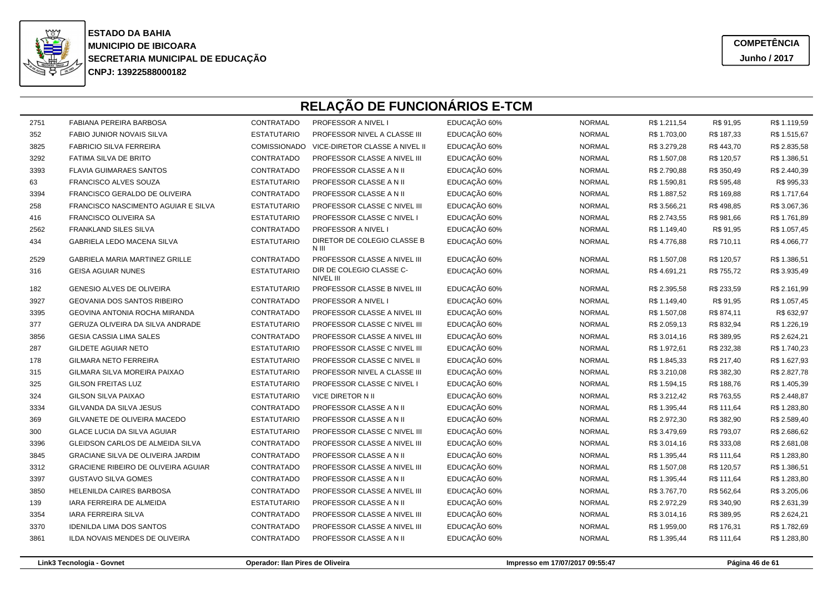

**COMPETÊNCIAJunho / 2017**

# **RELAÇÃO DE FUNCIONÁRIOS E-TCM**

| 2751 | <b>FABIANA PEREIRA BARBOSA</b>           | CONTRATADO          | <b>PROFESSOR A NIVEL I</b>                   | EDUCAÇÃO 60% | <b>NORMAL</b> | R\$ 1.211,54 | R\$ 91,95  | R\$ 1.119,59 |
|------|------------------------------------------|---------------------|----------------------------------------------|--------------|---------------|--------------|------------|--------------|
| 352  | <b>FABIO JUNIOR NOVAIS SILVA</b>         | <b>ESTATUTARIO</b>  | PROFESSOR NIVEL A CLASSE III                 | EDUCAÇÃO 60% | <b>NORMAL</b> | R\$ 1.703,00 | R\$ 187,33 | R\$ 1.515,67 |
| 3825 | <b>FABRICIO SILVA FERREIRA</b>           | <b>COMISSIONADO</b> | VICE-DIRETOR CLASSE A NIVEL II               | EDUCAÇÃO 60% | <b>NORMAL</b> | R\$ 3.279,28 | R\$443,70  | R\$ 2.835,58 |
| 3292 | FATIMA SILVA DE BRITO                    | CONTRATADO          | PROFESSOR CLASSE A NIVEL III                 | EDUCAÇÃO 60% | <b>NORMAL</b> | R\$ 1.507,08 | R\$ 120,57 | R\$ 1.386,51 |
| 3393 | <b>FLAVIA GUIMARAES SANTOS</b>           | <b>CONTRATADO</b>   | PROFESSOR CLASSE A N II                      | EDUCAÇÃO 60% | <b>NORMAL</b> | R\$ 2.790,88 | R\$ 350,49 | R\$ 2.440,39 |
| 63   | FRANCISCO ALVES SOUZA                    | <b>ESTATUTARIO</b>  | PROFESSOR CLASSE A N II                      | EDUCAÇÃO 60% | <b>NORMAL</b> | R\$ 1.590,81 | R\$ 595,48 | R\$ 995,33   |
| 3394 | FRANCISCO GERALDO DE OLIVEIRA            | CONTRATADO          | PROFESSOR CLASSE A N II                      | EDUCAÇÃO 60% | <b>NORMAL</b> | R\$ 1.887,52 | R\$ 169,88 | R\$ 1.717,64 |
| 258  | FRANCISCO NASCIMENTO AGUIAR E SILVA      | <b>ESTATUTARIO</b>  | PROFESSOR CLASSE C NIVEL III                 | EDUCAÇÃO 60% | <b>NORMAL</b> | R\$ 3.566,21 | R\$498,85  | R\$ 3.067,36 |
| 416  | <b>FRANCISCO OLIVEIRA SA</b>             | <b>ESTATUTARIO</b>  | PROFESSOR CLASSE C NIVEL I                   | EDUCAÇÃO 60% | <b>NORMAL</b> | R\$ 2.743,55 | R\$ 981,66 | R\$ 1.761,89 |
| 2562 | <b>FRANKLAND SILES SILVA</b>             | CONTRATADO          | PROFESSOR A NIVEL I                          | EDUCAÇÃO 60% | <b>NORMAL</b> | R\$ 1.149,40 | R\$ 91,95  | R\$ 1.057,45 |
| 434  | GABRIELA LEDO MACENA SILVA               | <b>ESTATUTARIO</b>  | DIRETOR DE COLEGIO CLASSE B<br>N III         | EDUCAÇÃO 60% | <b>NORMAL</b> | R\$4.776,88  | R\$ 710,11 | R\$4.066,77  |
| 2529 | GABRIELA MARIA MARTINEZ GRILLE           | CONTRATADO          | PROFESSOR CLASSE A NIVEL III                 | EDUCAÇÃO 60% | <b>NORMAL</b> | R\$ 1.507,08 | R\$ 120,57 | R\$ 1.386,51 |
| 316  | <b>GEISA AGUIAR NUNES</b>                | <b>ESTATUTARIO</b>  | DIR DE COLEGIO CLASSE C-<br><b>NIVEL III</b> | EDUCAÇÃO 60% | <b>NORMAL</b> | R\$4.691,21  | R\$ 755,72 | R\$ 3.935,49 |
| 182  | GENESIO ALVES DE OLIVEIRA                | <b>ESTATUTARIO</b>  | PROFESSOR CLASSE B NIVEL III                 | EDUCAÇÃO 60% | <b>NORMAL</b> | R\$ 2.395,58 | R\$ 233,59 | R\$ 2.161,99 |
| 3927 | <b>GEOVANIA DOS SANTOS RIBEIRO</b>       | CONTRATADO          | PROFESSOR A NIVEL I                          | EDUCAÇÃO 60% | <b>NORMAL</b> | R\$ 1.149,40 | R\$ 91,95  | R\$ 1.057,45 |
| 3395 | <b>GEOVINA ANTONIA ROCHA MIRANDA</b>     | CONTRATADO          | PROFESSOR CLASSE A NIVEL III                 | EDUCAÇÃO 60% | <b>NORMAL</b> | R\$ 1.507,08 | R\$ 874,11 | R\$ 632,97   |
| 377  | GERUZA OLIVEIRA DA SILVA ANDRADE         | <b>ESTATUTARIO</b>  | PROFESSOR CLASSE C NIVEL III                 | EDUCAÇÃO 60% | <b>NORMAL</b> | R\$ 2.059,13 | R\$ 832,94 | R\$ 1.226,19 |
| 3856 | <b>GESIA CASSIA LIMA SALES</b>           | CONTRATADO          | PROFESSOR CLASSE A NIVEL III                 | EDUCAÇÃO 60% | <b>NORMAL</b> | R\$ 3.014,16 | R\$ 389,95 | R\$ 2.624,21 |
| 287  | GILDETE AGUIAR NETO                      | <b>ESTATUTARIO</b>  | PROFESSOR CLASSE C NIVEL III                 | EDUCAÇÃO 60% | <b>NORMAL</b> | R\$ 1.972,61 | R\$ 232,38 | R\$ 1.740,23 |
| 178  | <b>GILMARA NETO FERREIRA</b>             | <b>ESTATUTARIO</b>  | PROFESSOR CLASSE C NIVEL II                  | EDUCAÇÃO 60% | <b>NORMAL</b> | R\$ 1.845,33 | R\$ 217,40 | R\$ 1.627,93 |
| 315  | GILMARA SILVA MOREIRA PAIXAO             | <b>ESTATUTARIO</b>  | PROFESSOR NIVEL A CLASSE III                 | EDUCAÇÃO 60% | <b>NORMAL</b> | R\$ 3.210,08 | R\$ 382,30 | R\$ 2.827,78 |
| 325  | <b>GILSON FREITAS LUZ</b>                | <b>ESTATUTARIO</b>  | PROFESSOR CLASSE C NIVEL I                   | EDUCAÇÃO 60% | <b>NORMAL</b> | R\$ 1.594,15 | R\$ 188,76 | R\$ 1.405,39 |
| 324  | <b>GILSON SILVA PAIXAO</b>               | <b>ESTATUTARIO</b>  | <b>VICE DIRETOR N II</b>                     | EDUCAÇÃO 60% | <b>NORMAL</b> | R\$ 3.212,42 | R\$ 763,55 | R\$ 2.448,87 |
| 3334 | GILVANDA DA SILVA JESUS                  | CONTRATADO          | PROFESSOR CLASSE A N II                      | EDUCAÇÃO 60% | <b>NORMAL</b> | R\$ 1.395,44 | R\$ 111,64 | R\$ 1.283,80 |
| 369  | GILVANETE DE OLIVEIRA MACEDO             | <b>ESTATUTARIO</b>  | PROFESSOR CLASSE A N II                      | EDUCAÇÃO 60% | <b>NORMAL</b> | R\$ 2.972,30 | R\$ 382,90 | R\$ 2.589,40 |
| 300  | <b>GLACE LUCIA DA SILVA AGUIAR</b>       | <b>ESTATUTARIO</b>  | PROFESSOR CLASSE C NIVEL III                 | EDUCAÇÃO 60% | <b>NORMAL</b> | R\$ 3.479,69 | R\$ 793,07 | R\$ 2.686,62 |
| 3396 | GLEIDSON CARLOS DE ALMEIDA SILVA         | CONTRATADO          | PROFESSOR CLASSE A NIVEL III                 | EDUCAÇÃO 60% | <b>NORMAL</b> | R\$ 3.014,16 | R\$ 333,08 | R\$ 2.681,08 |
| 3845 | <b>GRACIANE SILVA DE OLIVEIRA JARDIM</b> | CONTRATADO          | PROFESSOR CLASSE A N II                      | EDUCAÇÃO 60% | <b>NORMAL</b> | R\$ 1.395,44 | R\$ 111,64 | R\$ 1.283,80 |
| 3312 | GRACIENE RIBEIRO DE OLIVEIRA AGUIAR      | CONTRATADO          | PROFESSOR CLASSE A NIVEL III                 | EDUCAÇÃO 60% | <b>NORMAL</b> | R\$ 1.507,08 | R\$ 120,57 | R\$ 1.386,51 |
| 3397 | <b>GUSTAVO SILVA GOMES</b>               | CONTRATADO          | PROFESSOR CLASSE A N II                      | EDUCAÇÃO 60% | <b>NORMAL</b> | R\$ 1.395,44 | R\$ 111,64 | R\$ 1.283,80 |
| 3850 | <b>HELENILDA CAIRES BARBOSA</b>          | CONTRATADO          | PROFESSOR CLASSE A NIVEL III                 | EDUCAÇÃO 60% | <b>NORMAL</b> | R\$ 3.767,70 | R\$ 562,64 | R\$ 3.205,06 |
| 139  | IARA FERREIRA DE ALMEIDA                 | <b>ESTATUTARIO</b>  | PROFESSOR CLASSE A N II                      | EDUCAÇÃO 60% | <b>NORMAL</b> | R\$ 2.972,29 | R\$ 340,90 | R\$ 2.631,39 |
| 3354 | <b>IARA FERREIRA SILVA</b>               | CONTRATADO          | PROFESSOR CLASSE A NIVEL III                 | EDUCAÇÃO 60% | <b>NORMAL</b> | R\$ 3.014,16 | R\$ 389,95 | R\$ 2.624,21 |
| 3370 | <b>IDENILDA LIMA DOS SANTOS</b>          | CONTRATADO          | PROFESSOR CLASSE A NIVEL III                 | EDUCAÇÃO 60% | <b>NORMAL</b> | R\$ 1.959,00 | R\$ 176,31 | R\$ 1.782,69 |
| 3861 | <b>ILDA NOVAIS MENDES DE OLIVEIRA</b>    | CONTRATADO          | PROFESSOR CLASSE A N II                      | EDUCAÇÃO 60% | <b>NORMAL</b> | R\$ 1.395,44 | R\$ 111,64 | R\$ 1.283,80 |
|      |                                          |                     |                                              |              |               |              |            |              |

**Operador: Ilan Pires de Oliveira**

**Impresso em 17/07/2017 09:55:47 Página 46 de 61**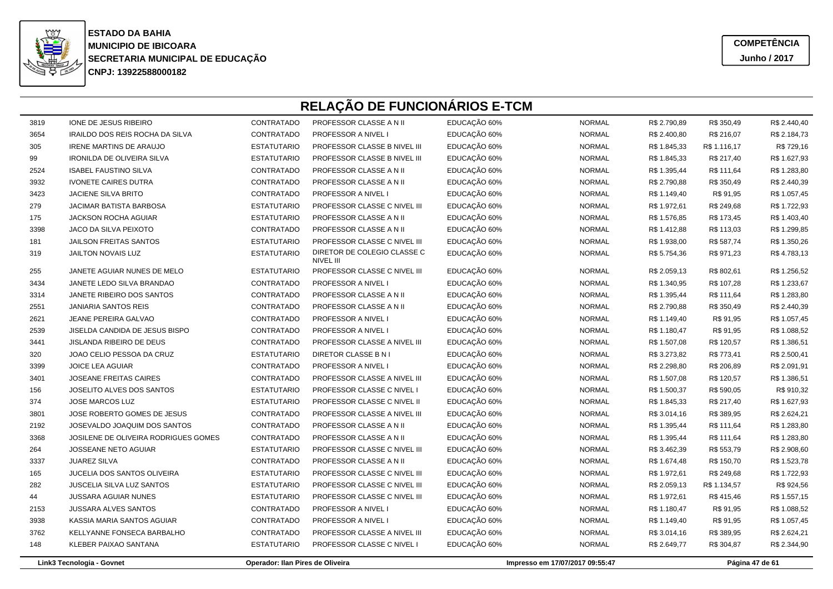

**COMPETÊNCIAJunho / 2017**

| Link3 Tecnologia - Govnet |                                      |                    | Operador: Ilan Pires de Oliveira          |              | Impresso em 17/07/2017 09:55:47 |              |              | Página 47 de 61 |
|---------------------------|--------------------------------------|--------------------|-------------------------------------------|--------------|---------------------------------|--------------|--------------|-----------------|
| 148                       | KLEBER PAIXAO SANTANA                | <b>ESTATUTARIO</b> | PROFESSOR CLASSE C NIVEL I                | EDUCAÇÃO 60% | <b>NORMAL</b>                   | R\$ 2.649,77 | R\$ 304,87   | R\$ 2.344,90    |
| 3762                      | KELLYANNE FONSECA BARBALHO           | <b>CONTRATADO</b>  | PROFESSOR CLASSE A NIVEL III              | EDUCAÇÃO 60% | <b>NORMAL</b>                   | R\$ 3.014,16 | R\$ 389,95   | R\$ 2.624,21    |
| 3938                      | KASSIA MARIA SANTOS AGUIAR           | CONTRATADO         | PROFESSOR A NIVEL I                       | EDUCAÇÃO 60% | <b>NORMAL</b>                   | R\$ 1.149,40 | R\$ 91,95    | R\$ 1.057,45    |
| 2153                      | JUSSARA ALVES SANTOS                 | CONTRATADO         | PROFESSOR A NIVEL I                       | EDUCAÇÃO 60% | <b>NORMAL</b>                   | R\$ 1.180,47 | R\$ 91,95    | R\$ 1.088,52    |
| 44                        | <b>JUSSARA AGUIAR NUNES</b>          | <b>ESTATUTARIO</b> | PROFESSOR CLASSE C NIVEL III              | EDUCAÇÃO 60% | <b>NORMAL</b>                   | R\$ 1.972,61 | R\$ 415,46   | R\$ 1.557,15    |
| 282                       | <b>JUSCELIA SILVA LUZ SANTOS</b>     | <b>ESTATUTARIO</b> | PROFESSOR CLASSE C NIVEL III              | EDUCAÇÃO 60% | <b>NORMAL</b>                   | R\$ 2.059,13 | R\$ 1.134,57 | R\$ 924,56      |
| 165                       | JUCELIA DOS SANTOS OLIVEIRA          | <b>ESTATUTARIO</b> | PROFESSOR CLASSE C NIVEL III              | EDUCAÇÃO 60% | <b>NORMAL</b>                   | R\$ 1.972,61 | R\$ 249,68   | R\$ 1.722,93    |
| 3337                      | <b>JUAREZ SILVA</b>                  | CONTRATADO         | PROFESSOR CLASSE A N II                   | EDUCAÇÃO 60% | <b>NORMAL</b>                   | R\$ 1.674,48 | R\$ 150,70   | R\$ 1.523,78    |
| 264                       | JOSSEANE NETO AGUIAR                 | <b>ESTATUTARIO</b> | PROFESSOR CLASSE C NIVEL III              | EDUCAÇÃO 60% | <b>NORMAL</b>                   | R\$ 3.462,39 | R\$ 553,79   | R\$ 2.908,60    |
| 3368                      | JOSILENE DE OLIVEIRA RODRIGUES GOMES | CONTRATADO         | PROFESSOR CLASSE A N II                   | EDUCAÇÃO 60% | <b>NORMAL</b>                   | R\$ 1.395,44 | R\$ 111,64   | R\$ 1.283,80    |
| 2192                      | JOSEVALDO JOAQUIM DOS SANTOS         | CONTRATADO         | PROFESSOR CLASSE A N II                   | EDUCAÇÃO 60% | <b>NORMAL</b>                   | R\$ 1.395,44 | R\$ 111,64   | R\$ 1.283,80    |
| 3801                      | JOSE ROBERTO GOMES DE JESUS          | CONTRATADO         | PROFESSOR CLASSE A NIVEL III              | EDUCAÇÃO 60% | <b>NORMAL</b>                   | R\$ 3.014,16 | R\$ 389,95   | R\$ 2.624,21    |
| 374                       | <b>JOSE MARCOS LUZ</b>               | <b>ESTATUTARIO</b> | PROFESSOR CLASSE C NIVEL II               | EDUCAÇÃO 60% | <b>NORMAL</b>                   | R\$ 1.845,33 | R\$ 217,40   | R\$ 1.627,93    |
| 156                       | JOSELITO ALVES DOS SANTOS            | <b>ESTATUTARIO</b> | PROFESSOR CLASSE C NIVEL I                | EDUCAÇÃO 60% | <b>NORMAL</b>                   | R\$ 1.500,37 | R\$ 590,05   | R\$ 910,32      |
| 3401                      | JOSEANE FREITAS CAIRES               | CONTRATADO         | PROFESSOR CLASSE A NIVEL III              | EDUCAÇÃO 60% | <b>NORMAL</b>                   | R\$ 1.507,08 | R\$ 120,57   | R\$ 1.386,51    |
| 3399                      | <b>JOICE LEA AGUIAR</b>              | CONTRATADO         | PROFESSOR A NIVEL I                       | EDUCAÇÃO 60% | <b>NORMAL</b>                   | R\$ 2.298,80 | R\$ 206,89   | R\$ 2.091,91    |
| 320                       | JOAO CELIO PESSOA DA CRUZ            | <b>ESTATUTARIO</b> | DIRETOR CLASSE B N I                      | EDUCAÇÃO 60% | <b>NORMAL</b>                   | R\$ 3.273,82 | R\$ 773,41   | R\$ 2.500,41    |
| 3441                      | <b>JISLANDA RIBEIRO DE DEUS</b>      | <b>CONTRATADO</b>  | PROFESSOR CLASSE A NIVEL III              | EDUCAÇÃO 60% | <b>NORMAL</b>                   | R\$ 1.507,08 | R\$ 120,57   | R\$ 1.386,51    |
| 2539                      | JISELDA CANDIDA DE JESUS BISPO       | CONTRATADO         | PROFESSOR A NIVEL I                       | EDUCAÇÃO 60% | <b>NORMAL</b>                   | R\$ 1.180,47 | R\$ 91,95    | R\$ 1.088,52    |
| 2621                      | JEANE PEREIRA GALVAO                 | CONTRATADO         | PROFESSOR A NIVEL I                       | EDUCAÇÃO 60% | <b>NORMAL</b>                   | R\$ 1.149,40 | R\$ 91,95    | R\$ 1.057,45    |
| 2551                      | <b>JANIARIA SANTOS REIS</b>          | CONTRATADO         | PROFESSOR CLASSE A N II                   | EDUCAÇÃO 60% | <b>NORMAL</b>                   | R\$ 2.790,88 | R\$ 350,49   | R\$ 2.440,39    |
| 3314                      | JANETE RIBEIRO DOS SANTOS            | CONTRATADO         | PROFESSOR CLASSE A N II                   | EDUCAÇÃO 60% | <b>NORMAL</b>                   | R\$ 1.395,44 | R\$ 111,64   | R\$ 1.283,80    |
| 3434                      | JANETE LEDO SILVA BRANDAO            | CONTRATADO         | <b>PROFESSOR A NIVEL I</b>                | EDUCAÇÃO 60% | <b>NORMAL</b>                   | R\$ 1.340,95 | R\$ 107,28   | R\$ 1.233,67    |
| 255                       | JANETE AGUIAR NUNES DE MELO          | <b>ESTATUTARIO</b> | NIVEL III<br>PROFESSOR CLASSE C NIVEL III | EDUCAÇÃO 60% | <b>NORMAL</b>                   | R\$ 2.059,13 | R\$ 802,61   | R\$ 1.256,52    |
| 319                       | JAILTON NOVAIS LUZ                   | <b>ESTATUTARIO</b> | DIRETOR DE COLEGIO CLASSE C               | EDUCAÇÃO 60% | <b>NORMAL</b>                   | R\$ 5.754,36 | R\$ 971,23   | R\$4.783,13     |
| 181                       | <b>JAILSON FREITAS SANTOS</b>        | <b>ESTATUTARIO</b> | PROFESSOR CLASSE C NIVEL III              | EDUCAÇÃO 60% | <b>NORMAL</b>                   | R\$ 1.938,00 | R\$ 587,74   | R\$ 1.350,26    |
| 3398                      | JACO DA SILVA PEIXOTO                | CONTRATADO         | PROFESSOR CLASSE A N II                   | EDUCAÇÃO 60% | <b>NORMAL</b>                   | R\$ 1.412,88 | R\$ 113,03   | R\$ 1.299,85    |
| 175                       | <b>JACKSON ROCHA AGUIAR</b>          | <b>ESTATUTARIO</b> | PROFESSOR CLASSE A N II                   | EDUCAÇÃO 60% | <b>NORMAL</b>                   | R\$ 1.576,85 | R\$ 173,45   | R\$ 1.403,40    |
| 279                       | JACIMAR BATISTA BARBOSA              | <b>ESTATUTARIO</b> | PROFESSOR CLASSE C NIVEL III              | EDUCAÇÃO 60% | <b>NORMAL</b>                   | R\$ 1.972,61 | R\$ 249,68   | R\$ 1.722,93    |
| 3423                      | <b>JACIENE SILVA BRITO</b>           | CONTRATADO         | PROFESSOR A NIVEL I                       | EDUCAÇÃO 60% | <b>NORMAL</b>                   | R\$ 1.149,40 | R\$ 91,95    | R\$ 1.057,45    |
| 3932                      | <b>IVONETE CAIRES DUTRA</b>          | CONTRATADO         | PROFESSOR CLASSE A N II                   | EDUCAÇÃO 60% | <b>NORMAL</b>                   | R\$ 2.790,88 | R\$ 350,49   | R\$ 2.440,39    |
| 2524                      | <b>ISABEL FAUSTINO SILVA</b>         | CONTRATADO         | PROFESSOR CLASSE A N II                   | EDUCAÇÃO 60% | <b>NORMAL</b>                   | R\$ 1.395,44 | R\$ 111,64   | R\$ 1.283,80    |
| 99                        | <b>IRONILDA DE OLIVEIRA SILVA</b>    | <b>ESTATUTARIO</b> | PROFESSOR CLASSE B NIVEL III              | EDUCAÇÃO 60% | <b>NORMAL</b>                   | R\$ 1.845,33 | R\$ 217,40   | R\$ 1.627,93    |
| 305                       | <b>IRENE MARTINS DE ARAUJO</b>       | <b>ESTATUTARIO</b> | PROFESSOR CLASSE B NIVEL III              | EDUCAÇÃO 60% | <b>NORMAL</b>                   | R\$ 1.845,33 | R\$ 1.116,17 | R\$ 729,16      |
| 3654                      | IRAILDO DOS REIS ROCHA DA SILVA      | CONTRATADO         | <b>PROFESSOR A NIVEL I</b>                | EDUCAÇÃO 60% | <b>NORMAL</b>                   | R\$ 2.400,80 | R\$ 216,07   | R\$ 2.184,73    |
| 3819                      | <b>IONE DE JESUS RIBEIRO</b>         | CONTRATADO         | PROFESSOR CLASSE A N II                   | EDUCAÇÃO 60% | <b>NORMAL</b>                   | R\$ 2.790,89 | R\$ 350,49   | R\$ 2.440,40    |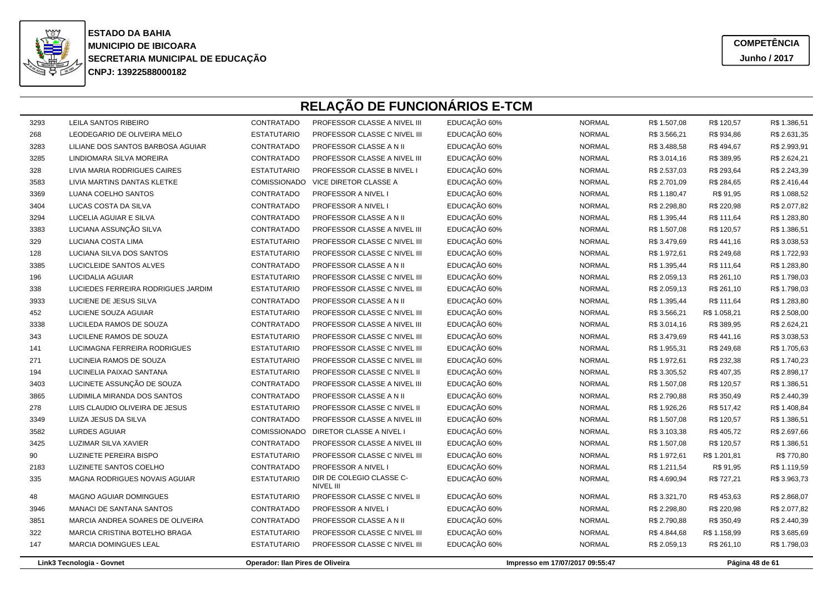

| 3293 | LEILA SANTOS RIBEIRO               | CONTRATADO                       | PROFESSOR CLASSE A NIVEL III          | EDUCAÇÃO 60% | <b>NORMAL</b>                   | R\$ 1.507,08 | R\$ 120,57   | R\$ 1.386,51    |
|------|------------------------------------|----------------------------------|---------------------------------------|--------------|---------------------------------|--------------|--------------|-----------------|
| 268  | LEODEGARIO DE OLIVEIRA MELO        | <b>ESTATUTARIO</b>               | PROFESSOR CLASSE C NIVEL III          | EDUCAÇÃO 60% | <b>NORMAL</b>                   | R\$ 3.566,21 | R\$ 934,86   | R\$ 2.631,35    |
| 3283 | LILIANE DOS SANTOS BARBOSA AGUIAR  | CONTRATADO                       | PROFESSOR CLASSE A N II               | EDUCAÇÃO 60% | <b>NORMAL</b>                   | R\$ 3.488,58 | R\$494,67    | R\$ 2.993,91    |
| 3285 | LINDIOMARA SILVA MOREIRA           | <b>CONTRATADO</b>                | PROFESSOR CLASSE A NIVEL III          | EDUCAÇÃO 60% | <b>NORMAL</b>                   | R\$ 3.014,16 | R\$ 389,95   | R\$ 2.624,21    |
| 328  | LIVIA MARIA RODRIGUES CAIRES       | <b>ESTATUTARIO</b>               | PROFESSOR CLASSE B NIVEL I            | EDUCAÇÃO 60% | <b>NORMAL</b>                   | R\$ 2.537,03 | R\$ 293,64   | R\$ 2.243,39    |
| 3583 | LIVIA MARTINS DANTAS KLETKE        | COMISSIONADO                     | VICE DIRETOR CLASSE A                 | EDUCAÇÃO 60% | <b>NORMAL</b>                   | R\$ 2.701,09 | R\$ 284,65   | R\$ 2.416,44    |
| 3369 | LUANA COELHO SANTOS                | CONTRATADO                       | PROFESSOR A NIVEL I                   | EDUCAÇÃO 60% | <b>NORMAL</b>                   | R\$ 1.180,47 | R\$ 91,95    | R\$ 1.088,52    |
| 3404 | LUCAS COSTA DA SILVA               | CONTRATADO                       | PROFESSOR A NIVEL I                   | EDUCAÇÃO 60% | <b>NORMAL</b>                   | R\$ 2.298,80 | R\$ 220,98   | R\$ 2.077,82    |
| 3294 | LUCELIA AGUIAR E SILVA             | CONTRATADO                       | PROFESSOR CLASSE A N II               | EDUCAÇÃO 60% | <b>NORMAL</b>                   | R\$ 1.395,44 | R\$ 111,64   | R\$ 1.283,80    |
| 3383 | LUCIANA ASSUNÇÃO SILVA             | CONTRATADO                       | PROFESSOR CLASSE A NIVEL III          | EDUCAÇÃO 60% | <b>NORMAL</b>                   | R\$ 1.507,08 | R\$ 120,57   | R\$ 1.386,51    |
| 329  | LUCIANA COSTA LIMA                 | <b>ESTATUTARIO</b>               | PROFESSOR CLASSE C NIVEL III          | EDUCAÇÃO 60% | <b>NORMAL</b>                   | R\$ 3.479,69 | R\$441,16    | R\$ 3.038,53    |
| 128  | LUCIANA SILVA DOS SANTOS           | <b>ESTATUTARIO</b>               | PROFESSOR CLASSE C NIVEL III          | EDUCAÇÃO 60% | <b>NORMAL</b>                   | R\$ 1.972,61 | R\$ 249,68   | R\$ 1.722,93    |
| 3385 | LUCICLEIDE SANTOS ALVES            | CONTRATADO                       | PROFESSOR CLASSE A N II               | EDUCAÇÃO 60% | <b>NORMAL</b>                   | R\$ 1.395,44 | R\$ 111,64   | R\$ 1.283,80    |
| 196  | <b>LUCIDALIA AGUIAR</b>            | <b>ESTATUTARIO</b>               | PROFESSOR CLASSE C NIVEL III          | EDUCAÇÃO 60% | <b>NORMAL</b>                   | R\$ 2.059,13 | R\$ 261,10   | R\$ 1.798,03    |
| 338  | LUCIEDES FERREIRA RODRIGUES JARDIM | <b>ESTATUTARIO</b>               | PROFESSOR CLASSE C NIVEL III          | EDUCAÇÃO 60% | <b>NORMAL</b>                   | R\$ 2.059,13 | R\$ 261,10   | R\$ 1.798,03    |
| 3933 | LUCIENE DE JESUS SILVA             | CONTRATADO                       | PROFESSOR CLASSE A N II               | EDUCAÇÃO 60% | <b>NORMAL</b>                   | R\$ 1.395,44 | R\$ 111,64   | R\$ 1.283,80    |
| 452  | LUCIENE SOUZA AGUIAR               | <b>ESTATUTARIO</b>               | PROFESSOR CLASSE C NIVEL III          | EDUCAÇÃO 60% | <b>NORMAL</b>                   | R\$ 3.566,21 | R\$ 1.058,21 | R\$ 2.508,00    |
| 3338 | LUCILEDA RAMOS DE SOUZA            | CONTRATADO                       | PROFESSOR CLASSE A NIVEL III          | EDUCAÇÃO 60% | <b>NORMAL</b>                   | R\$ 3.014,16 | R\$ 389,95   | R\$ 2.624,21    |
| 343  | LUCILENE RAMOS DE SOUZA            | <b>ESTATUTARIO</b>               | PROFESSOR CLASSE C NIVEL III          | EDUCAÇÃO 60% | <b>NORMAL</b>                   | R\$ 3.479,69 | R\$441,16    | R\$ 3.038,53    |
| 141  | LUCIMAGNA FERREIRA RODRIGUES       | <b>ESTATUTARIO</b>               | PROFESSOR CLASSE C NIVEL III          | EDUCAÇÃO 60% | <b>NORMAL</b>                   | R\$ 1.955,31 | R\$ 249,68   | R\$ 1.705,63    |
| 271  | LUCINEIA RAMOS DE SOUZA            | <b>ESTATUTARIO</b>               | PROFESSOR CLASSE C NIVEL III          | EDUCAÇÃO 60% | <b>NORMAL</b>                   | R\$ 1.972,61 | R\$ 232,38   | R\$ 1.740,23    |
| 194  | LUCINELIA PAIXAO SANTANA           | <b>ESTATUTARIO</b>               | PROFESSOR CLASSE C NIVEL II           | EDUCAÇÃO 60% | <b>NORMAL</b>                   | R\$ 3.305,52 | R\$407,35    | R\$ 2.898,17    |
| 3403 | LUCINETE ASSUNÇÃO DE SOUZA         | CONTRATADO                       | PROFESSOR CLASSE A NIVEL III          | EDUCAÇÃO 60% | <b>NORMAL</b>                   | R\$ 1.507,08 | R\$ 120,57   | R\$ 1.386,51    |
| 3865 | LUDIMILA MIRANDA DOS SANTOS        | CONTRATADO                       | PROFESSOR CLASSE A N II               | EDUCAÇÃO 60% | <b>NORMAL</b>                   | R\$ 2.790,88 | R\$ 350,49   | R\$ 2.440,39    |
| 278  | LUIS CLAUDIO OLIVEIRA DE JESUS     | <b>ESTATUTARIO</b>               | PROFESSOR CLASSE C NIVEL II           | EDUCAÇÃO 60% | <b>NORMAL</b>                   | R\$ 1.926,26 | R\$ 517,42   | R\$ 1.408,84    |
| 3349 | LUIZA JESUS DA SILVA               | CONTRATADO                       | PROFESSOR CLASSE A NIVEL III          | EDUCAÇÃO 60% | <b>NORMAL</b>                   | R\$ 1.507,08 | R\$ 120,57   | R\$ 1.386,51    |
| 3582 | <b>LURDES AGUIAR</b>               | <b>COMISSIONADO</b>              | DIRETOR CLASSE A NIVEL I              | EDUCAÇÃO 60% | <b>NORMAL</b>                   | R\$ 3.103,38 | R\$ 405,72   | R\$ 2.697,66    |
| 3425 | LUZIMAR SILVA XAVIER               | CONTRATADO                       | PROFESSOR CLASSE A NIVEL III          | EDUCAÇÃO 60% | <b>NORMAL</b>                   | R\$ 1.507,08 | R\$ 120,57   | R\$ 1.386,51    |
| 90   | LUZINETE PEREIRA BISPO             | <b>ESTATUTARIO</b>               | PROFESSOR CLASSE C NIVEL III          | EDUCAÇÃO 60% | <b>NORMAL</b>                   | R\$ 1.972,61 | R\$ 1.201,81 | R\$ 770,80      |
| 2183 | LUZINETE SANTOS COELHO             | CONTRATADO                       | PROFESSOR A NIVEL I                   | EDUCAÇÃO 60% | <b>NORMAL</b>                   | R\$ 1.211,54 | R\$ 91,95    | R\$ 1.119,59    |
| 335  | MAGNA RODRIGUES NOVAIS AGUIAR      | <b>ESTATUTARIO</b>               | DIR DE COLEGIO CLASSE C-<br>NIVEL III | EDUCAÇÃO 60% | <b>NORMAL</b>                   | R\$4.690,94  | R\$ 727,21   | R\$ 3.963,73    |
| 48   | MAGNO AGUIAR DOMINGUES             | <b>ESTATUTARIO</b>               | PROFESSOR CLASSE C NIVEL II           | EDUCAÇÃO 60% | <b>NORMAL</b>                   | R\$ 3.321,70 | R\$453,63    | R\$ 2.868,07    |
| 3946 | MANACI DE SANTANA SANTOS           | <b>CONTRATADO</b>                | PROFESSOR A NIVEL I                   | EDUCAÇÃO 60% | <b>NORMAL</b>                   | R\$ 2.298,80 | R\$ 220,98   | R\$ 2.077,82    |
| 3851 | MARCIA ANDREA SOARES DE OLIVEIRA   | CONTRATADO                       | PROFESSOR CLASSE A N II               | EDUCAÇÃO 60% | <b>NORMAL</b>                   | R\$ 2.790,88 | R\$ 350,49   | R\$ 2.440,39    |
| 322  | MARCIA CRISTINA BOTELHO BRAGA      | <b>ESTATUTARIO</b>               | PROFESSOR CLASSE C NIVEL III          | EDUCAÇÃO 60% | <b>NORMAL</b>                   | R\$4.844,68  | R\$ 1.158,99 | R\$ 3.685,69    |
| 147  | MARCIA DOMINGUES LEAL              | <b>ESTATUTARIO</b>               | PROFESSOR CLASSE C NIVEL III          | EDUCAÇÃO 60% | <b>NORMAL</b>                   | R\$ 2.059,13 | R\$ 261,10   | R\$ 1.798,03    |
|      | Link3 Tecnologia - Govnet          | Operador: Ilan Pires de Oliveira |                                       |              | Impresso em 17/07/2017 09:55:47 |              |              | Página 48 de 61 |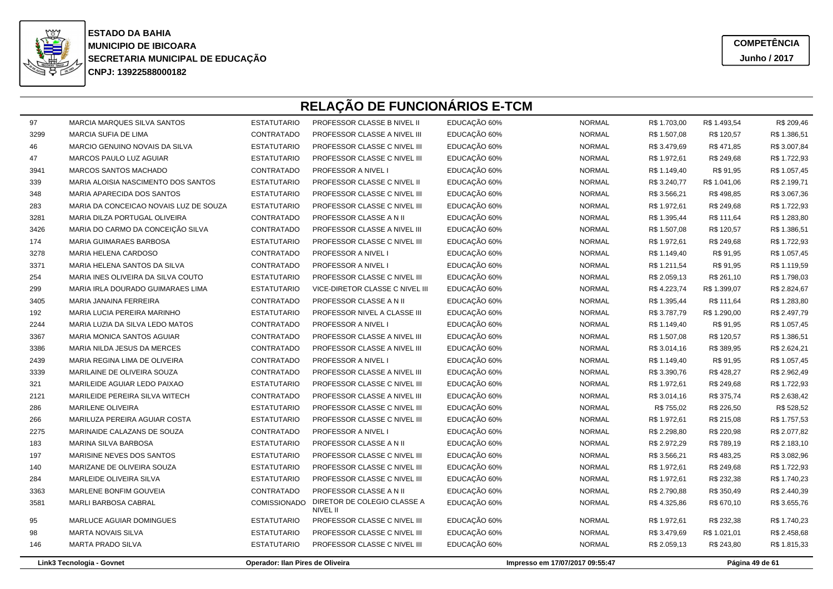

**COMPETÊNCIAJunho / 2017**

| 97   | <b>MARCIA MARQUES SILVA SANTOS</b>     | <b>ESTATUTARIO</b>               | PROFESSOR CLASSE B NIVEL II             | EDUCAÇÃO 60% | <b>NORMAL</b>                   | R\$ 1.703,00 | R\$ 1.493,54 | R\$ 209,46      |
|------|----------------------------------------|----------------------------------|-----------------------------------------|--------------|---------------------------------|--------------|--------------|-----------------|
| 3299 | <b>MARCIA SUFIA DE LIMA</b>            | CONTRATADO                       | PROFESSOR CLASSE A NIVEL III            | EDUCAÇÃO 60% | <b>NORMAL</b>                   | R\$ 1.507,08 | R\$ 120,57   | R\$ 1.386,51    |
| 46   | MARCIO GENUINO NOVAIS DA SILVA         | <b>ESTATUTARIO</b>               | PROFESSOR CLASSE C NIVEL III            | EDUCAÇÃO 60% | <b>NORMAL</b>                   | R\$ 3.479,69 | R\$471,85    | R\$ 3.007,84    |
| 47   | MARCOS PAULO LUZ AGUIAR                | <b>ESTATUTARIO</b>               | PROFESSOR CLASSE C NIVEL III            | EDUCAÇÃO 60% | <b>NORMAL</b>                   | R\$ 1.972,61 | R\$ 249,68   | R\$ 1.722,93    |
| 3941 | <b>MARCOS SANTOS MACHADO</b>           | CONTRATADO                       | <b>PROFESSOR A NIVEL I</b>              | EDUCAÇÃO 60% | <b>NORMAL</b>                   | R\$ 1.149,40 | R\$ 91,95    | R\$ 1.057,45    |
| 339  | MARIA ALOISIA NASCIMENTO DOS SANTOS    | <b>ESTATUTARIO</b>               | PROFESSOR CLASSE C NIVEL II             | EDUCAÇÃO 60% | <b>NORMAL</b>                   | R\$ 3.240,77 | R\$ 1.041,06 | R\$ 2.199,71    |
| 348  | MARIA APARECIDA DOS SANTOS             | <b>ESTATUTARIO</b>               | PROFESSOR CLASSE C NIVEL III            | EDUCAÇÃO 60% | <b>NORMAL</b>                   | R\$ 3.566,21 | R\$498,85    | R\$ 3.067,36    |
| 283  | MARIA DA CONCEICAO NOVAIS LUZ DE SOUZA | <b>ESTATUTARIO</b>               | PROFESSOR CLASSE C NIVEL III            | EDUCAÇÃO 60% | <b>NORMAL</b>                   | R\$ 1.972,61 | R\$ 249,68   | R\$ 1.722,93    |
| 3281 | MARIA DILZA PORTUGAL OLIVEIRA          | CONTRATADO                       | PROFESSOR CLASSE A N II                 | EDUCAÇÃO 60% | <b>NORMAL</b>                   | R\$ 1.395,44 | R\$ 111,64   | R\$ 1.283,80    |
| 3426 | MARIA DO CARMO DA CONCEIÇÃO SILVA      | CONTRATADO                       | PROFESSOR CLASSE A NIVEL III            | EDUCAÇÃO 60% | <b>NORMAL</b>                   | R\$ 1.507,08 | R\$ 120,57   | R\$ 1.386,51    |
| 174  | MARIA GUIMARAES BARBOSA                | <b>ESTATUTARIO</b>               | PROFESSOR CLASSE C NIVEL III            | EDUCAÇÃO 60% | <b>NORMAL</b>                   | R\$ 1.972,61 | R\$ 249,68   | R\$ 1.722,93    |
| 3278 | MARIA HELENA CARDOSO                   | CONTRATADO                       | PROFESSOR A NIVEL I                     | EDUCAÇÃO 60% | <b>NORMAL</b>                   | R\$ 1.149,40 | R\$ 91,95    | R\$ 1.057,45    |
| 3371 | MARIA HELENA SANTOS DA SILVA           | CONTRATADO                       | PROFESSOR A NIVEL I                     | EDUCAÇÃO 60% | <b>NORMAL</b>                   | R\$ 1.211,54 | R\$ 91,95    | R\$ 1.119,59    |
| 254  | MARIA INES OLIVEIRA DA SILVA COUTO     | <b>ESTATUTARIO</b>               | PROFESSOR CLASSE C NIVEL III            | EDUCAÇÃO 60% | <b>NORMAL</b>                   | R\$ 2.059,13 | R\$ 261,10   | R\$ 1.798,03    |
| 299  | MARIA IRLA DOURADO GUIMARAES LIMA      | <b>ESTATUTARIO</b>               | VICE-DIRETOR CLASSE C NIVEL III         | EDUCAÇÃO 60% | <b>NORMAL</b>                   | R\$4.223,74  | R\$ 1.399,07 | R\$ 2.824,67    |
| 3405 | MARIA JANAINA FERREIRA                 | CONTRATADO                       | PROFESSOR CLASSE A N II                 | EDUCAÇÃO 60% | <b>NORMAL</b>                   | R\$ 1.395,44 | R\$ 111,64   | R\$ 1.283,80    |
| 192  | <b>MARIA LUCIA PEREIRA MARINHO</b>     | <b>ESTATUTARIO</b>               | PROFESSOR NIVEL A CLASSE III            | EDUCAÇÃO 60% | <b>NORMAL</b>                   | R\$ 3.787,79 | R\$ 1.290,00 | R\$ 2.497,79    |
| 2244 | MARIA LUZIA DA SILVA LEDO MATOS        | CONTRATADO                       | <b>PROFESSOR A NIVEL I</b>              | EDUCAÇÃO 60% | <b>NORMAL</b>                   | R\$ 1.149,40 | R\$ 91,95    | R\$ 1.057,45    |
| 3367 | <b>MARIA MONICA SANTOS AGUIAR</b>      | CONTRATADO                       | PROFESSOR CLASSE A NIVEL III            | EDUCAÇÃO 60% | <b>NORMAL</b>                   | R\$ 1.507,08 | R\$ 120,57   | R\$ 1.386,51    |
| 3386 | MARIA NILDA JESUS DA MERCES            | CONTRATADO                       | PROFESSOR CLASSE A NIVEL III            | EDUCAÇÃO 60% | <b>NORMAL</b>                   | R\$ 3.014,16 | R\$ 389,95   | R\$ 2.624,21    |
| 2439 | MARIA REGINA LIMA DE OLIVEIRA          | <b>CONTRATADO</b>                | PROFESSOR A NIVEL I                     | EDUCAÇÃO 60% | <b>NORMAL</b>                   | R\$ 1.149,40 | R\$ 91,95    | R\$ 1.057,45    |
| 3339 | MARILAINE DE OLIVEIRA SOUZA            | CONTRATADO                       | PROFESSOR CLASSE A NIVEL III            | EDUCAÇÃO 60% | <b>NORMAL</b>                   | R\$ 3.390,76 | R\$428,27    | R\$ 2.962,49    |
| 321  | MARILEIDE AGUIAR LEDO PAIXAO           | <b>ESTATUTARIO</b>               | PROFESSOR CLASSE C NIVEL III            | EDUCAÇÃO 60% | <b>NORMAL</b>                   | R\$ 1.972,61 | R\$ 249,68   | R\$ 1.722,93    |
| 2121 | MARILEIDE PEREIRA SILVA WITECH         | CONTRATADO                       | PROFESSOR CLASSE A NIVEL III            | EDUCAÇÃO 60% | <b>NORMAL</b>                   | R\$ 3.014,16 | R\$ 375,74   | R\$ 2.638,42    |
| 286  | <b>MARILENE OLIVEIRA</b>               | <b>ESTATUTARIO</b>               | PROFESSOR CLASSE C NIVEL III            | EDUCAÇÃO 60% | <b>NORMAL</b>                   | R\$ 755,02   | R\$ 226,50   | R\$ 528,52      |
| 266  | MARILUZA PEREIRA AGUIAR COSTA          | <b>ESTATUTARIO</b>               | PROFESSOR CLASSE C NIVEL III            | EDUCAÇÃO 60% | <b>NORMAL</b>                   | R\$ 1.972,61 | R\$ 215,08   | R\$ 1.757,53    |
| 2275 | MARINAIDE CALAZANS DE SOUZA            | CONTRATADO                       | PROFESSOR A NIVEL I                     | EDUCAÇÃO 60% | <b>NORMAL</b>                   | R\$ 2.298,80 | R\$ 220,98   | R\$ 2.077,82    |
| 183  | MARINA SILVA BARBOSA                   | <b>ESTATUTARIO</b>               | PROFESSOR CLASSE A N II                 | EDUCAÇÃO 60% | <b>NORMAL</b>                   | R\$ 2.972,29 | R\$ 789,19   | R\$ 2.183,10    |
| 197  | MARISINE NEVES DOS SANTOS              | <b>ESTATUTARIO</b>               | PROFESSOR CLASSE C NIVEL III            | EDUCAÇÃO 60% | <b>NORMAL</b>                   | R\$ 3.566,21 | R\$483,25    | R\$ 3.082,96    |
| 140  | MARIZANE DE OLIVEIRA SOUZA             | <b>ESTATUTARIO</b>               | PROFESSOR CLASSE C NIVEL III            | EDUCAÇÃO 60% | <b>NORMAL</b>                   | R\$ 1.972,61 | R\$ 249,68   | R\$ 1.722,93    |
| 284  | MARLEIDE OLIVEIRA SILVA                | <b>ESTATUTARIO</b>               | PROFESSOR CLASSE C NIVEL III            | EDUCAÇÃO 60% | <b>NORMAL</b>                   | R\$ 1.972,61 | R\$ 232,38   | R\$ 1.740,23    |
| 3363 | MARLENE BONFIM GOUVEIA                 | CONTRATADO                       | PROFESSOR CLASSE A N II                 | EDUCAÇÃO 60% | <b>NORMAL</b>                   | R\$ 2.790,88 | R\$ 350,49   | R\$ 2.440,39    |
| 3581 | MARLI BARBOSA CABRAL                   | <b>COMISSIONADO</b>              | DIRETOR DE COLEGIO CLASSE A<br>NIVEL II | EDUCAÇÃO 60% | <b>NORMAL</b>                   | R\$4.325,86  | R\$ 670,10   | R\$ 3.655,76    |
| 95   | MARLUCE AGUIAR DOMINGUES               | <b>ESTATUTARIO</b>               | PROFESSOR CLASSE C NIVEL III            | EDUCAÇÃO 60% | <b>NORMAL</b>                   | R\$ 1.972,61 | R\$ 232,38   | R\$ 1.740,23    |
| 98   | <b>MARTA NOVAIS SILVA</b>              | <b>ESTATUTARIO</b>               | PROFESSOR CLASSE C NIVEL III            | EDUCAÇÃO 60% | <b>NORMAL</b>                   | R\$ 3.479,69 | R\$ 1.021,01 | R\$ 2.458,68    |
| 146  | <b>MARTA PRADO SILVA</b>               | <b>ESTATUTARIO</b>               | PROFESSOR CLASSE C NIVEL III            | EDUCAÇÃO 60% | <b>NORMAL</b>                   | R\$ 2.059,13 | R\$ 243,80   | R\$ 1.815,33    |
|      | Link3 Tecnologia - Govnet              | Operador: Ilan Pires de Oliveira |                                         |              | Impresso em 17/07/2017 09:55:47 |              |              | Página 49 de 61 |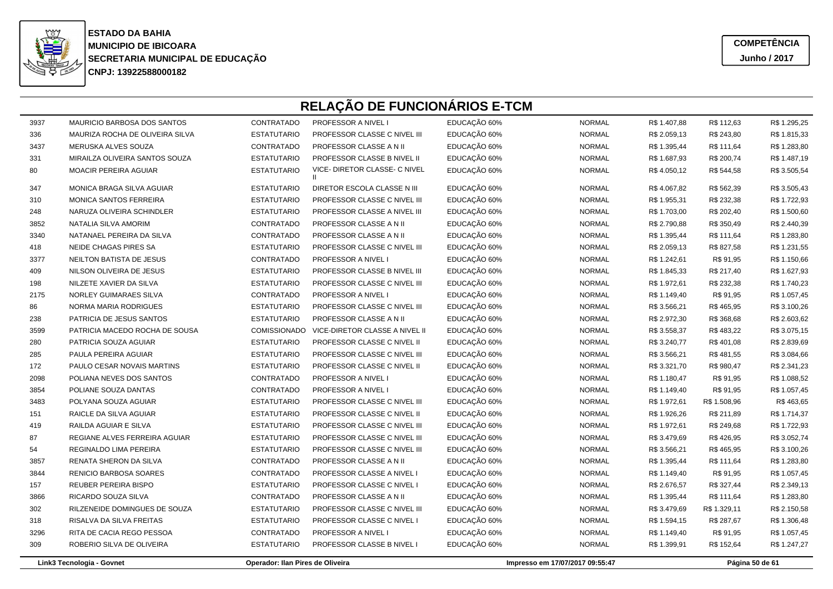

**COMPETÊNCIAJunho / 2017**

| 3937 | <b>MAURICIO BARBOSA DOS SANTOS</b> | CONTRATADO                       | <b>PROFESSOR A NIVEL I</b>                    | EDUCAÇÃO 60%                    | <b>NORMAL</b>   | R\$ 1.407,88 | R\$ 112,63   | R\$ 1.295,25 |  |
|------|------------------------------------|----------------------------------|-----------------------------------------------|---------------------------------|-----------------|--------------|--------------|--------------|--|
| 336  | MAURIZA ROCHA DE OLIVEIRA SILVA    | <b>ESTATUTARIO</b>               | PROFESSOR CLASSE C NIVEL III                  | EDUCAÇÃO 60%                    | <b>NORMAL</b>   | R\$ 2.059,13 | R\$ 243,80   | R\$ 1.815,33 |  |
| 3437 | MERUSKA ALVES SOUZA                | CONTRATADO                       | PROFESSOR CLASSE A N II                       | EDUCAÇÃO 60%                    | <b>NORMAL</b>   | R\$ 1.395,44 | R\$ 111,64   | R\$ 1.283,80 |  |
| 331  | MIRAILZA OLIVEIRA SANTOS SOUZA     | <b>ESTATUTARIO</b>               | PROFESSOR CLASSE B NIVEL II                   | EDUCAÇÃO 60%                    | <b>NORMAL</b>   | R\$ 1.687,93 | R\$ 200,74   | R\$ 1.487,19 |  |
| 80   | <b>MOACIR PEREIRA AGUIAR</b>       | <b>ESTATUTARIO</b>               | VICE- DIRETOR CLASSE- C NIVEL<br>$\mathbf{H}$ | EDUCAÇÃO 60%                    | <b>NORMAL</b>   | R\$4.050,12  | R\$ 544,58   | R\$ 3.505,54 |  |
| 347  | MONICA BRAGA SILVA AGUIAR          | <b>ESTATUTARIO</b>               | DIRETOR ESCOLA CLASSE N III                   | EDUCAÇÃO 60%                    | <b>NORMAL</b>   | R\$4.067,82  | R\$ 562,39   | R\$ 3.505,43 |  |
| 310  | <b>MONICA SANTOS FERREIRA</b>      | <b>ESTATUTARIO</b>               | PROFESSOR CLASSE C NIVEL III                  | EDUCAÇÃO 60%                    | <b>NORMAL</b>   | R\$ 1.955,31 | R\$ 232,38   | R\$ 1.722,93 |  |
| 248  | NARUZA OLIVEIRA SCHINDLER          | <b>ESTATUTARIO</b>               | PROFESSOR CLASSE A NIVEL III                  | EDUCAÇÃO 60%                    | <b>NORMAL</b>   | R\$ 1.703,00 | R\$ 202,40   | R\$ 1.500,60 |  |
| 3852 | NATALIA SILVA AMORIM               | CONTRATADO                       | PROFESSOR CLASSE A N II                       | EDUCAÇÃO 60%                    | <b>NORMAL</b>   | R\$ 2.790,88 | R\$ 350,49   | R\$ 2.440,39 |  |
| 3340 | NATANAEL PEREIRA DA SILVA          | CONTRATADO                       | PROFESSOR CLASSE A N II                       | EDUCAÇÃO 60%                    | <b>NORMAL</b>   | R\$ 1.395,44 | R\$ 111,64   | R\$ 1.283,80 |  |
| 418  | NEIDE CHAGAS PIRES SA              | <b>ESTATUTARIO</b>               | PROFESSOR CLASSE C NIVEL III                  | EDUCAÇÃO 60%                    | <b>NORMAL</b>   | R\$ 2.059,13 | R\$ 827,58   | R\$ 1.231,55 |  |
| 3377 | NEILTON BATISTA DE JESUS           | CONTRATADO                       | PROFESSOR A NIVEL I                           | EDUCAÇÃO 60%                    | <b>NORMAL</b>   | R\$ 1.242,61 | R\$ 91,95    | R\$ 1.150,66 |  |
| 409  | NILSON OLIVEIRA DE JESUS           | <b>ESTATUTARIO</b>               | PROFESSOR CLASSE B NIVEL III                  | EDUCAÇÃO 60%                    | <b>NORMAL</b>   | R\$ 1.845,33 | R\$ 217,40   | R\$ 1.627,93 |  |
| 198  | NILZETE XAVIER DA SILVA            | <b>ESTATUTARIO</b>               | PROFESSOR CLASSE C NIVEL III                  | EDUCAÇÃO 60%                    | <b>NORMAL</b>   | R\$ 1.972,61 | R\$ 232,38   | R\$ 1.740,23 |  |
| 2175 | NORLEY GUIMARAES SILVA             | CONTRATADO                       | PROFESSOR A NIVEL I                           | EDUCAÇÃO 60%                    | <b>NORMAL</b>   | R\$ 1.149,40 | R\$ 91,95    | R\$ 1.057,45 |  |
| 86   | NORMA MARIA RODRIGUES              | <b>ESTATUTARIO</b>               | PROFESSOR CLASSE C NIVEL III                  | EDUCAÇÃO 60%                    | <b>NORMAL</b>   | R\$ 3.566,21 | R\$465,95    | R\$ 3.100,26 |  |
| 238  | PATRICIA DE JESUS SANTOS           | <b>ESTATUTARIO</b>               | PROFESSOR CLASSE A N II                       | EDUCAÇÃO 60%                    | <b>NORMAL</b>   | R\$ 2.972,30 | R\$ 368,68   | R\$ 2.603,62 |  |
| 3599 | PATRICIA MACEDO ROCHA DE SOUSA     | <b>COMISSIONADO</b>              | VICE-DIRETOR CLASSE A NIVEL II                | EDUCAÇÃO 60%                    | <b>NORMAL</b>   | R\$ 3.558,37 | R\$483,22    | R\$ 3.075,15 |  |
| 280  | PATRICIA SOUZA AGUIAR              | <b>ESTATUTARIO</b>               | PROFESSOR CLASSE C NIVEL II                   | EDUCAÇÃO 60%                    | <b>NORMAL</b>   | R\$ 3.240,77 | R\$401,08    | R\$ 2.839,69 |  |
| 285  | PAULA PEREIRA AGUIAR               | <b>ESTATUTARIO</b>               | PROFESSOR CLASSE C NIVEL III                  | EDUCAÇÃO 60%                    | <b>NORMAL</b>   | R\$ 3.566,21 | R\$481,55    | R\$ 3.084,66 |  |
| 172  | PAULO CESAR NOVAIS MARTINS         | <b>ESTATUTARIO</b>               | PROFESSOR CLASSE C NIVEL II                   | EDUCAÇÃO 60%                    | <b>NORMAL</b>   | R\$ 3.321,70 | R\$ 980,47   | R\$ 2.341,23 |  |
| 2098 | POLIANA NEVES DOS SANTOS           | CONTRATADO                       | PROFESSOR A NIVEL I                           | EDUCAÇÃO 60%                    | <b>NORMAL</b>   | R\$ 1.180,47 | R\$ 91,95    | R\$ 1.088,52 |  |
| 3854 | POLIANE SOUZA DANTAS               | CONTRATADO                       | PROFESSOR A NIVEL I                           | EDUCAÇÃO 60%                    | <b>NORMAL</b>   | R\$ 1.149,40 | R\$ 91,95    | R\$ 1.057,45 |  |
| 3483 | POLYANA SOUZA AGUIAR               | <b>ESTATUTARIO</b>               | PROFESSOR CLASSE C NIVEL III                  | EDUCAÇÃO 60%                    | <b>NORMAL</b>   | R\$ 1.972,61 | R\$ 1.508,96 | R\$463,65    |  |
| 151  | RAICLE DA SILVA AGUIAR             | <b>ESTATUTARIO</b>               | PROFESSOR CLASSE C NIVEL II                   | EDUCAÇÃO 60%                    | <b>NORMAL</b>   | R\$ 1.926,26 | R\$ 211,89   | R\$ 1.714,37 |  |
| 419  | RAILDA AGUIAR E SILVA              | <b>ESTATUTARIO</b>               | PROFESSOR CLASSE C NIVEL III                  | EDUCAÇÃO 60%                    | <b>NORMAL</b>   | R\$ 1.972,61 | R\$ 249,68   | R\$ 1.722,93 |  |
| 87   | REGIANE ALVES FERREIRA AGUIAR      | <b>ESTATUTARIO</b>               | PROFESSOR CLASSE C NIVEL III                  | EDUCAÇÃO 60%                    | <b>NORMAL</b>   | R\$ 3.479,69 | R\$426,95    | R\$ 3.052,74 |  |
| 54   | REGINALDO LIMA PEREIRA             | <b>ESTATUTARIO</b>               | PROFESSOR CLASSE C NIVEL III                  | EDUCAÇÃO 60%                    | <b>NORMAL</b>   | R\$ 3.566,21 | R\$465,95    | R\$ 3.100,26 |  |
| 3857 | RENATA SHERON DA SILVA             | CONTRATADO                       | PROFESSOR CLASSE A N II                       | EDUCAÇÃO 60%                    | <b>NORMAL</b>   | R\$ 1.395,44 | R\$ 111,64   | R\$ 1.283,80 |  |
| 3844 | RENICIO BARBOSA SOARES             | CONTRATADO                       | PROFESSOR CLASSE A NIVEL I                    | EDUCAÇÃO 60%                    | <b>NORMAL</b>   | R\$ 1.149,40 | R\$ 91,95    | R\$ 1.057,45 |  |
| 157  | REUBER PEREIRA BISPO               | <b>ESTATUTARIO</b>               | PROFESSOR CLASSE C NIVEL I                    | EDUCAÇÃO 60%                    | <b>NORMAL</b>   | R\$ 2.676,57 | R\$ 327,44   | R\$ 2.349,13 |  |
| 3866 | RICARDO SOUZA SILVA                | CONTRATADO                       | PROFESSOR CLASSE A N II                       | EDUCAÇÃO 60%                    | <b>NORMAL</b>   | R\$ 1.395,44 | R\$ 111,64   | R\$ 1.283,80 |  |
| 302  | RILZENEIDE DOMINGUES DE SOUZA      | <b>ESTATUTARIO</b>               | PROFESSOR CLASSE C NIVEL III                  | EDUCAÇÃO 60%                    | <b>NORMAL</b>   | R\$ 3.479,69 | R\$ 1.329,11 | R\$ 2.150,58 |  |
| 318  | RISALVA DA SILVA FREITAS           | <b>ESTATUTARIO</b>               | PROFESSOR CLASSE C NIVEL I                    | EDUCAÇÃO 60%                    | <b>NORMAL</b>   | R\$ 1.594,15 | R\$ 287,67   | R\$ 1.306,48 |  |
| 3296 | RITA DE CACIA REGO PESSOA          | CONTRATADO                       | PROFESSOR A NIVEL I                           | EDUCAÇÃO 60%                    | <b>NORMAL</b>   | R\$ 1.149,40 | R\$ 91,95    | R\$ 1.057,45 |  |
| 309  | ROBERIO SILVA DE OLIVEIRA          | <b>ESTATUTARIO</b>               | PROFESSOR CLASSE B NIVEL I                    | EDUCAÇÃO 60%                    | <b>NORMAL</b>   | R\$ 1.399,91 | R\$ 152,64   | R\$ 1.247,27 |  |
|      | Link3 Tecnologia - Govnet          | Operador: Ilan Pires de Oliveira |                                               | Impresso em 17/07/2017 09:55:47 | Página 50 de 61 |              |              |              |  |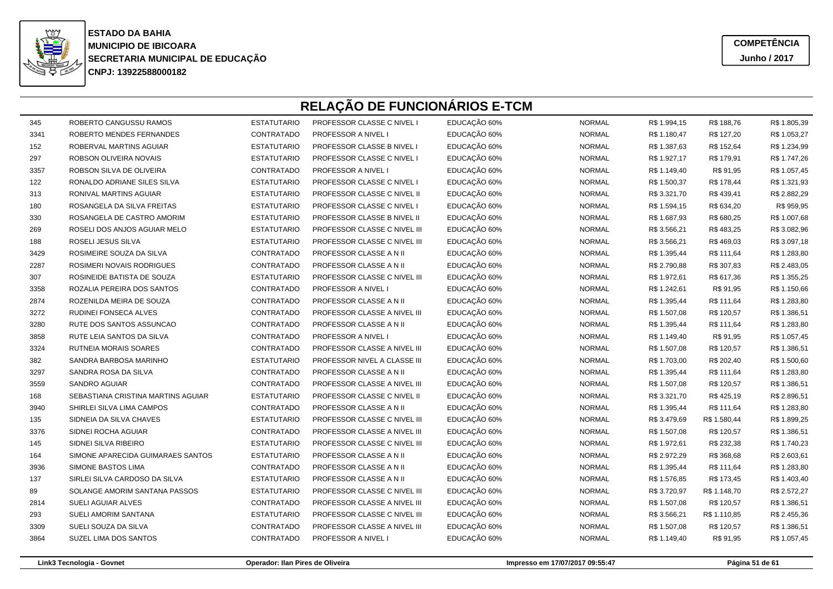

**COMPETÊNCIAJunho / 2017**

| 345  | ROBERTO CANGUSSU RAMOS             | <b>ESTATUTARIO</b> | PROFESSOR CLASSE C NIVEL I        | EDUCAÇÃO 60% | <b>NORMAL</b> | R\$ 1.994,15 | R\$ 188,76   | R\$ 1.805,39 |
|------|------------------------------------|--------------------|-----------------------------------|--------------|---------------|--------------|--------------|--------------|
| 3341 | ROBERTO MENDES FERNANDES           | CONTRATADO         | <b>PROFESSOR A NIVEL I</b>        | EDUCAÇÃO 60% | <b>NORMAL</b> | R\$ 1.180,47 | R\$ 127,20   | R\$ 1.053,27 |
| 152  | ROBERVAL MARTINS AGUIAR            | <b>ESTATUTARIO</b> | PROFESSOR CLASSE B NIVEL I        | EDUCAÇÃO 60% | <b>NORMAL</b> | R\$ 1.387,63 | R\$ 152,64   | R\$ 1.234,99 |
| 297  | ROBSON OLIVEIRA NOVAIS             | <b>ESTATUTARIO</b> | <b>PROFESSOR CLASSE C NIVEL I</b> | EDUCAÇÃO 60% | <b>NORMAL</b> | R\$ 1.927,17 | R\$ 179,91   | R\$ 1.747,26 |
| 3357 | ROBSON SILVA DE OLIVEIRA           | CONTRATADO         | PROFESSOR A NIVEL I               | EDUCAÇÃO 60% | <b>NORMAL</b> | R\$ 1.149,40 | R\$ 91,95    | R\$ 1.057,45 |
| 122  | RONALDO ADRIANE SILES SILVA        | <b>ESTATUTARIO</b> | PROFESSOR CLASSE C NIVEL I        | EDUCAÇÃO 60% | <b>NORMAL</b> | R\$ 1.500,37 | R\$ 178,44   | R\$ 1.321,93 |
| 313  | RONIVAL MARTINS AGUIAR             | <b>ESTATUTARIO</b> | PROFESSOR CLASSE C NIVEL II       | EDUCAÇÃO 60% | <b>NORMAL</b> | R\$ 3.321,70 | R\$439,41    | R\$ 2.882,29 |
| 180  | ROSANGELA DA SILVA FREITAS         | <b>ESTATUTARIO</b> | PROFESSOR CLASSE C NIVEL I        | EDUCAÇÃO 60% | <b>NORMAL</b> | R\$ 1.594,15 | R\$ 634,20   | R\$ 959,95   |
| 330  | ROSANGELA DE CASTRO AMORIM         | <b>ESTATUTARIO</b> | PROFESSOR CLASSE B NIVEL II       | EDUCAÇÃO 60% | <b>NORMAL</b> | R\$ 1.687,93 | R\$ 680,25   | R\$ 1.007,68 |
| 269  | ROSELI DOS ANJOS AGUIAR MELO       | <b>ESTATUTARIO</b> | PROFESSOR CLASSE C NIVEL III      | EDUCAÇÃO 60% | <b>NORMAL</b> | R\$ 3.566,21 | R\$483,25    | R\$ 3.082,96 |
| 188  | ROSELI JESUS SILVA                 | <b>ESTATUTARIO</b> | PROFESSOR CLASSE C NIVEL III      | EDUCAÇÃO 60% | <b>NORMAL</b> | R\$ 3.566,21 | R\$469,03    | R\$ 3.097,18 |
| 3429 | ROSIMEIRE SOUZA DA SILVA           | CONTRATADO         | PROFESSOR CLASSE A N II           | EDUCAÇÃO 60% | <b>NORMAL</b> | R\$ 1.395,44 | R\$ 111,64   | R\$ 1.283,80 |
| 2287 | ROSIMERI NOVAIS RODRIGUES          | CONTRATADO         | PROFESSOR CLASSE A N II           | EDUCAÇÃO 60% | <b>NORMAL</b> | R\$ 2.790,88 | R\$ 307,83   | R\$ 2.483,05 |
| 307  | ROSINEIDE BATISTA DE SOUZA         | <b>ESTATUTARIO</b> | PROFESSOR CLASSE C NIVEL III      | EDUCAÇÃO 60% | <b>NORMAL</b> | R\$ 1.972,61 | R\$ 617,36   | R\$ 1.355,25 |
| 3358 | ROZALIA PEREIRA DOS SANTOS         | CONTRATADO         | <b>PROFESSOR A NIVEL I</b>        | EDUCAÇÃO 60% | <b>NORMAL</b> | R\$ 1.242,61 | R\$ 91,95    | R\$ 1.150,66 |
| 2874 | ROZENILDA MEIRA DE SOUZA           | CONTRATADO         | PROFESSOR CLASSE A N II           | EDUCAÇÃO 60% | <b>NORMAL</b> | R\$ 1.395,44 | R\$ 111,64   | R\$ 1.283,80 |
| 3272 | RUDINEI FONSECA ALVES              | CONTRATADO         | PROFESSOR CLASSE A NIVEL III      | EDUCAÇÃO 60% | <b>NORMAL</b> | R\$ 1.507,08 | R\$ 120,57   | R\$ 1.386,51 |
| 3280 | RUTE DOS SANTOS ASSUNCAO           | CONTRATADO         | PROFESSOR CLASSE A N II           | EDUCAÇÃO 60% | <b>NORMAL</b> | R\$ 1.395,44 | R\$ 111,64   | R\$ 1.283,80 |
| 3858 | RUTE LEIA SANTOS DA SILVA          | CONTRATADO         | PROFESSOR A NIVEL I               | EDUCAÇÃO 60% | <b>NORMAL</b> | R\$ 1.149,40 | R\$ 91,95    | R\$ 1.057,45 |
| 3324 | RUTNEIA MORAIS SOARES              | CONTRATADO         | PROFESSOR CLASSE A NIVEL III      | EDUCAÇÃO 60% | <b>NORMAL</b> | R\$ 1.507,08 | R\$ 120,57   | R\$ 1.386,51 |
| 382  | SANDRA BARBOSA MARINHO             | <b>ESTATUTARIO</b> | PROFESSOR NIVEL A CLASSE III      | EDUCAÇÃO 60% | <b>NORMAL</b> | R\$ 1.703,00 | R\$ 202,40   | R\$ 1.500,60 |
| 3297 | SANDRA ROSA DA SILVA               | CONTRATADO         | PROFESSOR CLASSE A N II           | EDUCAÇÃO 60% | <b>NORMAL</b> | R\$ 1.395,44 | R\$ 111,64   | R\$ 1.283,80 |
| 3559 | <b>SANDRO AGUIAR</b>               | CONTRATADO         | PROFESSOR CLASSE A NIVEL III      | EDUCAÇÃO 60% | <b>NORMAL</b> | R\$ 1.507,08 | R\$ 120,57   | R\$ 1.386,51 |
| 168  | SEBASTIANA CRISTINA MARTINS AGUIAR | <b>ESTATUTARIO</b> | PROFESSOR CLASSE C NIVEL II       | EDUCAÇÃO 60% | <b>NORMAL</b> | R\$ 3.321,70 | R\$425,19    | R\$ 2.896,51 |
| 3940 | SHIRLEI SILVA LIMA CAMPOS          | CONTRATADO         | PROFESSOR CLASSE A N II           | EDUCAÇÃO 60% | <b>NORMAL</b> | R\$ 1.395,44 | R\$ 111,64   | R\$ 1.283,80 |
| 135  | SIDNEIA DA SILVA CHAVES            | <b>ESTATUTARIO</b> | PROFESSOR CLASSE C NIVEL III      | EDUCAÇÃO 60% | <b>NORMAL</b> | R\$ 3.479,69 | R\$ 1.580,44 | R\$ 1.899,25 |
| 3376 | SIDNEI ROCHA AGUIAR                | CONTRATADO         | PROFESSOR CLASSE A NIVEL III      | EDUCAÇÃO 60% | <b>NORMAL</b> | R\$ 1.507,08 | R\$ 120,57   | R\$ 1.386,51 |
| 145  | SIDNEI SILVA RIBEIRO               | <b>ESTATUTARIO</b> | PROFESSOR CLASSE C NIVEL III      | EDUCAÇÃO 60% | <b>NORMAL</b> | R\$ 1.972,61 | R\$ 232,38   | R\$ 1.740,23 |
| 164  | SIMONE APARECIDA GUIMARAES SANTOS  | <b>ESTATUTARIO</b> | PROFESSOR CLASSE A N II           | EDUCAÇÃO 60% | <b>NORMAL</b> | R\$ 2.972,29 | R\$ 368,68   | R\$ 2.603,61 |
| 3936 | SIMONE BASTOS LIMA                 | CONTRATADO         | PROFESSOR CLASSE A N II           | EDUCAÇÃO 60% | <b>NORMAL</b> | R\$ 1.395,44 | R\$ 111,64   | R\$ 1.283,80 |
| 137  | SIRLEI SILVA CARDOSO DA SILVA      | <b>ESTATUTARIO</b> | PROFESSOR CLASSE A N II           | EDUCAÇÃO 60% | <b>NORMAL</b> | R\$ 1.576,85 | R\$ 173,45   | R\$ 1.403,40 |
| 89   | SOLANGE AMORIM SANTANA PASSOS      | <b>ESTATUTARIO</b> | PROFESSOR CLASSE C NIVEL III      | EDUCAÇÃO 60% | <b>NORMAL</b> | R\$ 3.720,97 | R\$ 1.148,70 | R\$ 2.572,27 |
| 2814 | SUELI AGUIAR ALVES                 | CONTRATADO         | PROFESSOR CLASSE A NIVEL III      | EDUCAÇÃO 60% | <b>NORMAL</b> | R\$ 1.507,08 | R\$ 120,57   | R\$ 1.386,51 |
| 293  | SUELI AMORIM SANTANA               | <b>ESTATUTARIO</b> | PROFESSOR CLASSE C NIVEL III      | EDUCAÇÃO 60% | <b>NORMAL</b> | R\$ 3.566,21 | R\$ 1.110,85 | R\$ 2.455,36 |
| 3309 | SUELI SOUZA DA SILVA               | CONTRATADO         | PROFESSOR CLASSE A NIVEL III      | EDUCAÇÃO 60% | <b>NORMAL</b> | R\$ 1.507,08 | R\$ 120,57   | R\$ 1.386,51 |
| 3864 | SUZEL LIMA DOS SANTOS              | CONTRATADO         | PROFESSOR A NIVEL I               | EDUCAÇÃO 60% | <b>NORMAL</b> | R\$ 1.149,40 | R\$ 91,95    | R\$ 1.057,45 |
|      |                                    |                    |                                   |              |               |              |              |              |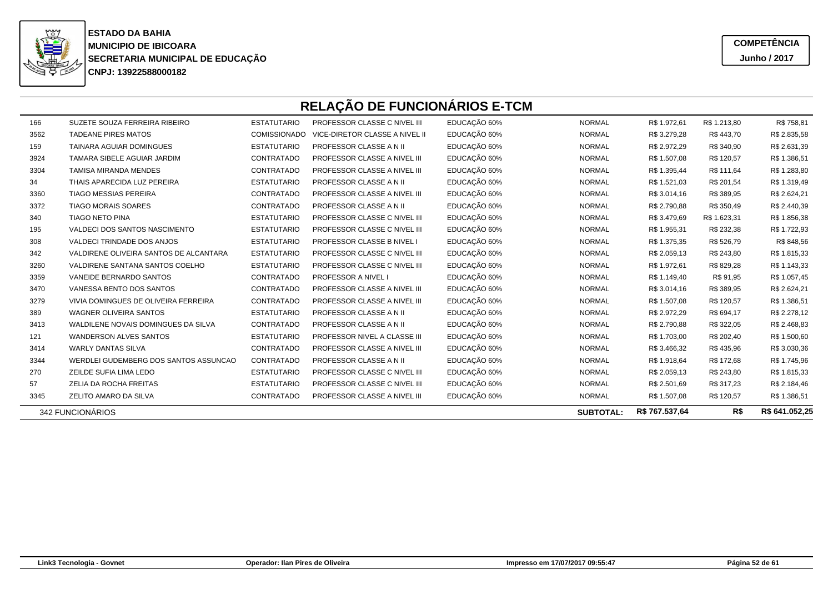

**COMPETÊNCIAJunho / 2017**

| 166  | SUZETE SOUZA FERREIRA RIBEIRO          | <b>ESTATUTARIO</b>  | PROFESSOR CLASSE C NIVEL III   | EDUCAÇÃO 60% | <b>NORMAL</b>    | R\$ 1.972,61   | R\$ 1.213,80 | R\$758,81      |
|------|----------------------------------------|---------------------|--------------------------------|--------------|------------------|----------------|--------------|----------------|
| 3562 | <b>TADEANE PIRES MATOS</b>             | <b>COMISSIONADO</b> | VICE-DIRETOR CLASSE A NIVEL II | EDUCAÇÃO 60% | <b>NORMAL</b>    | R\$ 3.279,28   | R\$443,70    | R\$ 2.835,58   |
| 159  | TAINARA AGUIAR DOMINGUES               | <b>ESTATUTARIO</b>  | PROFESSOR CLASSE A N II        | EDUCAÇÃO 60% | <b>NORMAL</b>    | R\$ 2.972,29   | R\$ 340,90   | R\$ 2.631,39   |
| 3924 | TAMARA SIBELE AGUIAR JARDIM            | CONTRATADO          | PROFESSOR CLASSE A NIVEL III   | EDUCAÇÃO 60% | <b>NORMAL</b>    | R\$ 1.507,08   | R\$ 120,57   | R\$ 1.386,51   |
| 3304 | TAMISA MIRANDA MENDES                  | CONTRATADO          | PROFESSOR CLASSE A NIVEL III   | EDUCAÇÃO 60% | <b>NORMAL</b>    | R\$ 1.395,44   | R\$ 111,64   | R\$ 1.283,80   |
| 34   | THAIS APARECIDA LUZ PEREIRA            | <b>ESTATUTARIO</b>  | PROFESSOR CLASSE A N II        | EDUCAÇÃO 60% | <b>NORMAL</b>    | R\$ 1.521,03   | R\$ 201,54   | R\$ 1.319,49   |
| 3360 | TIAGO MESSIAS PEREIRA                  | CONTRATADO          | PROFESSOR CLASSE A NIVEL III   | EDUCAÇÃO 60% | <b>NORMAL</b>    | R\$ 3.014,16   | R\$ 389,95   | R\$ 2.624,21   |
| 3372 | <b>TIAGO MORAIS SOARES</b>             | CONTRATADO          | PROFESSOR CLASSE A N II        | EDUCAÇÃO 60% | <b>NORMAL</b>    | R\$ 2.790,88   | R\$ 350,49   | R\$ 2.440,39   |
| 340  | <b>TIAGO NETO PINA</b>                 | <b>ESTATUTARIO</b>  | PROFESSOR CLASSE C NIVEL III   | EDUCAÇÃO 60% | <b>NORMAL</b>    | R\$ 3.479,69   | R\$ 1.623,31 | R\$ 1.856,38   |
| 195  | VALDECI DOS SANTOS NASCIMENTO          | <b>ESTATUTARIO</b>  | PROFESSOR CLASSE C NIVEL III   | EDUCAÇÃO 60% | <b>NORMAL</b>    | R\$ 1.955,31   | R\$ 232,38   | R\$ 1.722,93   |
| 308  | VALDECI TRINDADE DOS ANJOS             | <b>ESTATUTARIO</b>  | PROFESSOR CLASSE B NIVEL I     | EDUCAÇÃO 60% | <b>NORMAL</b>    | R\$ 1.375,35   | R\$ 526,79   | R\$ 848,56     |
| 342  | VALDIRENE OLIVEIRA SANTOS DE ALCANTARA | <b>ESTATUTARIO</b>  | PROFESSOR CLASSE C NIVEL III   | EDUCAÇÃO 60% | <b>NORMAL</b>    | R\$ 2.059,13   | R\$ 243,80   | R\$ 1.815,33   |
| 3260 | VALDIRENE SANTANA SANTOS COELHO        | <b>ESTATUTARIO</b>  | PROFESSOR CLASSE C NIVEL III   | EDUCAÇÃO 60% | <b>NORMAL</b>    | R\$ 1.972,61   | R\$ 829,28   | R\$ 1.143,33   |
| 3359 | VANEIDE BERNARDO SANTOS                | CONTRATADO          | PROFESSOR A NIVEL I            | EDUCAÇÃO 60% | <b>NORMAL</b>    | R\$ 1.149,40   | R\$ 91,95    | R\$ 1.057,45   |
| 3470 | VANESSA BENTO DOS SANTOS               | CONTRATADO          | PROFESSOR CLASSE A NIVEL III   | EDUCAÇÃO 60% | <b>NORMAL</b>    | R\$ 3.014,16   | R\$ 389,95   | R\$ 2.624,21   |
| 3279 | VIVIA DOMINGUES DE OLIVEIRA FERREIRA   | CONTRATADO          | PROFESSOR CLASSE A NIVEL III   | EDUCAÇÃO 60% | <b>NORMAL</b>    | R\$ 1.507,08   | R\$ 120,57   | R\$ 1.386,51   |
| 389  | <b>WAGNER OLIVEIRA SANTOS</b>          | <b>ESTATUTARIO</b>  | PROFESSOR CLASSE A N II        | EDUCAÇÃO 60% | <b>NORMAL</b>    | R\$ 2.972,29   | R\$ 694,17   | R\$ 2.278,12   |
| 3413 | WALDILENE NOVAIS DOMINGUES DA SILVA    | CONTRATADO          | PROFESSOR CLASSE A N II        | EDUCAÇÃO 60% | <b>NORMAL</b>    | R\$ 2.790,88   | R\$ 322,05   | R\$ 2.468,83   |
| 121  | <b>WANDERSON ALVES SANTOS</b>          | <b>ESTATUTARIO</b>  | PROFESSOR NIVEL A CLASSE III   | EDUCAÇÃO 60% | <b>NORMAL</b>    | R\$ 1.703,00   | R\$ 202,40   | R\$ 1.500,60   |
| 3414 | <b>WARLY DANTAS SILVA</b>              | CONTRATADO          | PROFESSOR CLASSE A NIVEL III   | EDUCAÇÃO 60% | <b>NORMAL</b>    | R\$ 3.466,32   | R\$435,96    | R\$ 3.030,36   |
| 3344 | WERDLEI GUDEMBERG DOS SANTOS ASSUNCAO  | CONTRATADO          | PROFESSOR CLASSE A N II        | EDUCAÇÃO 60% | <b>NORMAL</b>    | R\$ 1.918,64   | R\$ 172,68   | R\$ 1.745,96   |
| 270  | ZEILDE SUFIA LIMA LEDO                 | <b>ESTATUTARIO</b>  | PROFESSOR CLASSE C NIVEL III   | EDUCAÇÃO 60% | <b>NORMAL</b>    | R\$ 2.059,13   | R\$ 243,80   | R\$ 1.815,33   |
| 57   | ZELIA DA ROCHA FREITAS                 | <b>ESTATUTARIO</b>  | PROFESSOR CLASSE C NIVEL III   | EDUCAÇÃO 60% | <b>NORMAL</b>    | R\$ 2.501,69   | R\$ 317,23   | R\$ 2.184,46   |
| 3345 | ZELITO AMARO DA SILVA                  | CONTRATADO          | PROFESSOR CLASSE A NIVEL III   | EDUCAÇÃO 60% | <b>NORMAL</b>    | R\$ 1.507,08   | R\$ 120,57   | R\$ 1.386,51   |
|      | 342 FUNCIONÁRIOS                       |                     |                                |              | <b>SUBTOTAL:</b> | R\$ 767.537,64 | R\$          | R\$ 641.052,25 |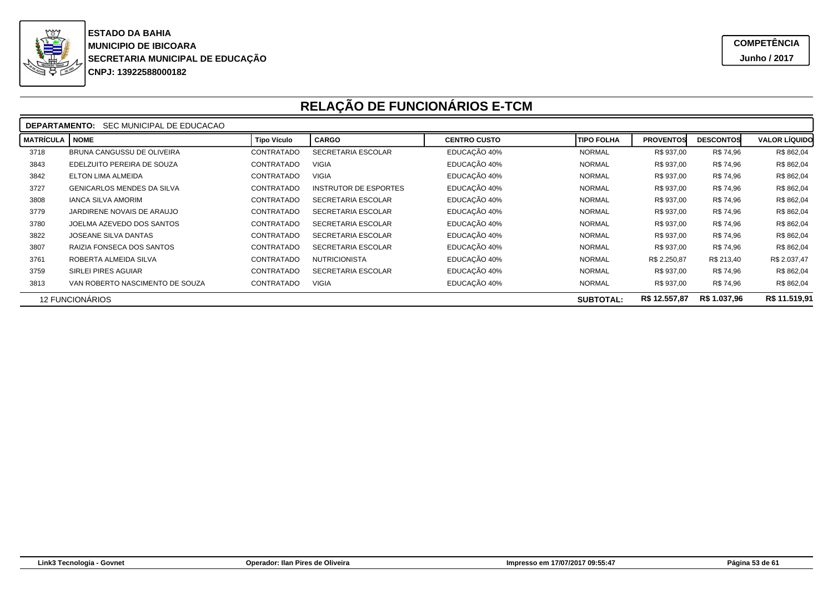

|                                                                             | SEC MUNICIPAL DE EDUCACAO<br><b>DEPARTAMENTO:</b> |                    |                              |                     |                   |                  |                  |                      |  |  |  |
|-----------------------------------------------------------------------------|---------------------------------------------------|--------------------|------------------------------|---------------------|-------------------|------------------|------------------|----------------------|--|--|--|
| <b>MATRÍCULA</b>                                                            | <b>NOME</b>                                       | <b>Tipo Vículo</b> | <b>CARGO</b>                 | <b>CENTRO CUSTO</b> | <b>TIPO FOLHA</b> | <b>PROVENTOS</b> | <b>DESCONTOS</b> | <b>VALOR LÍQUIDO</b> |  |  |  |
| 3718                                                                        | <b>BRUNA CANGUSSU DE OLIVEIRA</b>                 | CONTRATADO         | SECRETARIA ESCOLAR           | EDUCAÇÃO 40%        | <b>NORMAL</b>     | R\$ 937,00       | R\$ 74,96        | R\$ 862,04           |  |  |  |
| 3843                                                                        | EDELZUITO PEREIRA DE SOUZA                        | CONTRATADO         | <b>VIGIA</b>                 | EDUCAÇÃO 40%        | <b>NORMAL</b>     | R\$ 937,00       | R\$ 74,96        | R\$ 862,04           |  |  |  |
| 3842                                                                        | ELTON LIMA ALMEIDA                                | CONTRATADO         | <b>VIGIA</b>                 | EDUCAÇÃO 40%        | <b>NORMAL</b>     | R\$ 937,00       | R\$ 74,96        | R\$ 862,04           |  |  |  |
| 3727                                                                        | <b>GENICARLOS MENDES DA SILVA</b>                 | CONTRATADO         | <b>INSTRUTOR DE ESPORTES</b> | EDUCAÇÃO 40%        | <b>NORMAL</b>     | R\$ 937,00       | R\$ 74,96        | R\$ 862,04           |  |  |  |
| 3808                                                                        | <b>IANCA SILVA AMORIM</b>                         | CONTRATADO         | SECRETARIA ESCOLAR           | EDUCAÇÃO 40%        | <b>NORMAL</b>     | R\$ 937,00       | R\$ 74,96        | R\$ 862,04           |  |  |  |
| 3779                                                                        | JARDIRENE NOVAIS DE ARAUJO                        | CONTRATADO         | SECRETARIA ESCOLAR           | EDUCAÇÃO 40%        | <b>NORMAL</b>     | R\$ 937,00       | R\$ 74,96        | R\$ 862,04           |  |  |  |
| 3780                                                                        | JOELMA AZEVEDO DOS SANTOS                         | CONTRATADO         | SECRETARIA ESCOLAR           | EDUCAÇÃO 40%        | <b>NORMAL</b>     | R\$ 937,00       | R\$ 74,96        | R\$ 862,04           |  |  |  |
| 3822                                                                        | JOSEANE SILVA DANTAS                              | CONTRATADO         | SECRETARIA ESCOLAR           | EDUCAÇÃO 40%        | <b>NORMAL</b>     | R\$ 937,00       | R\$ 74,96        | R\$ 862,04           |  |  |  |
| 3807                                                                        | RAIZIA FONSECA DOS SANTOS                         | CONTRATADO         | SECRETARIA ESCOLAR           | EDUCAÇÃO 40%        | <b>NORMAL</b>     | R\$ 937,00       | R\$ 74,96        | R\$ 862,04           |  |  |  |
| 3761                                                                        | ROBERTA ALMEIDA SILVA                             | CONTRATADO         | <b>NUTRICIONISTA</b>         | EDUCAÇÃO 40%        | <b>NORMAL</b>     | R\$ 2.250,87     | R\$ 213,40       | R\$ 2.037,47         |  |  |  |
| 3759                                                                        | <b>SIRLEI PIRES AGUIAR</b>                        | CONTRATADO         | SECRETARIA ESCOLAR           | EDUCAÇÃO 40%        | <b>NORMAL</b>     | R\$ 937,00       | R\$ 74,96        | R\$ 862,04           |  |  |  |
| 3813                                                                        | VAN ROBERTO NASCIMENTO DE SOUZA                   | CONTRATADO         | <b>VIGIA</b>                 | EDUCAÇÃO 40%        | <b>NORMAL</b>     | R\$ 937,00       | R\$ 74,96        | R\$ 862,04           |  |  |  |
| R\$ 12.557,87<br>R\$ 1.037.96<br><b>12 FUNCIONÁRIOS</b><br><b>SUBTOTAL:</b> |                                                   |                    |                              |                     |                   |                  |                  | R\$ 11.519,91        |  |  |  |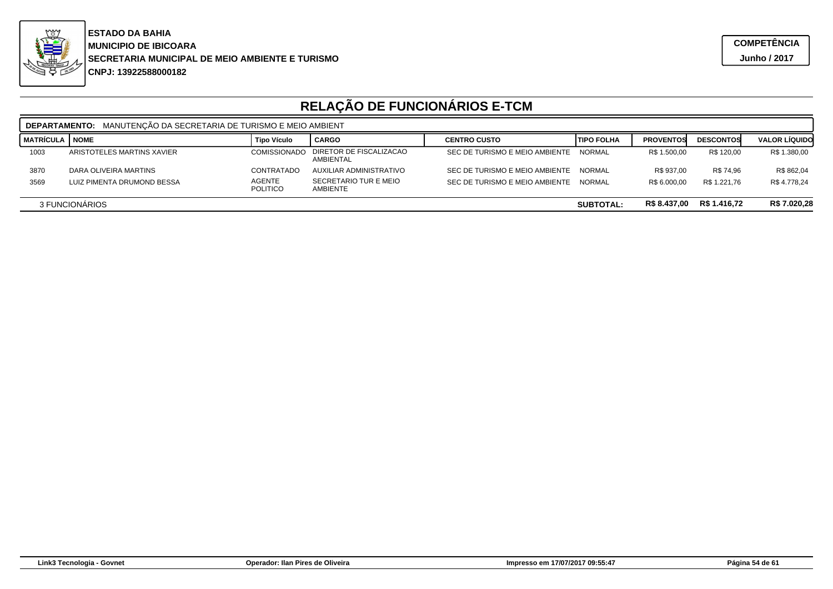

| <b>DEPARTAMENTO:</b> MANUTENCÃO DA SECRETARIA DE TURISMO E MEIO AMBIENT |                            |                                  |                                      |                                |               |                  |                  |                      |  |
|-------------------------------------------------------------------------|----------------------------|----------------------------------|--------------------------------------|--------------------------------|---------------|------------------|------------------|----------------------|--|
| MATRÍCULA I NOME                                                        |                            | <b>Tipo Vículo</b>               | <b>CARGO</b>                         | <b>CENTRO CUSTO</b>            | I TIPO FOLHA  | <b>PROVENTOS</b> | <b>DESCONTOS</b> | <b>VALOR LIQUIDO</b> |  |
| 1003                                                                    | ARISTOTELES MARTINS XAVIER | <b>COMISSIONADO</b>              | DIRETOR DE FISCALIZACAO<br>AMBIENTAL | SEC DE TURISMO E MEIO AMBIENTE | <b>NORMAL</b> | R\$ 1.500,00     | R\$ 120.00       | R\$ 1.380,00         |  |
| 3870                                                                    | DARA OLIVEIRA MARTINS      | CONTRATADO                       | AUXILIAR ADMINISTRATIVO              | SEC DE TURISMO E MEIO AMBIENTE | <b>NORMAL</b> | R\$ 937.00       | R\$ 74.96        | R\$ 862,04           |  |
| 3569                                                                    | LUIZ PIMENTA DRUMOND BESSA | <b>AGENTE</b><br><b>POLITICO</b> | SECRETARIO TUR E MEIO<br>AMBIENTE    | SEC DE TURISMO E MEIO AMBIENTE | <b>NORMAL</b> | R\$ 6.000.00     | R\$ 1.221.76     | R\$ 4.778.24         |  |
| R\$ 1.416.72<br>R\$ 8.437,00<br>3 FUNCIONARIOS<br><b>SUBTOTAL:</b>      |                            |                                  |                                      |                                |               | R\$ 7.020,28     |                  |                      |  |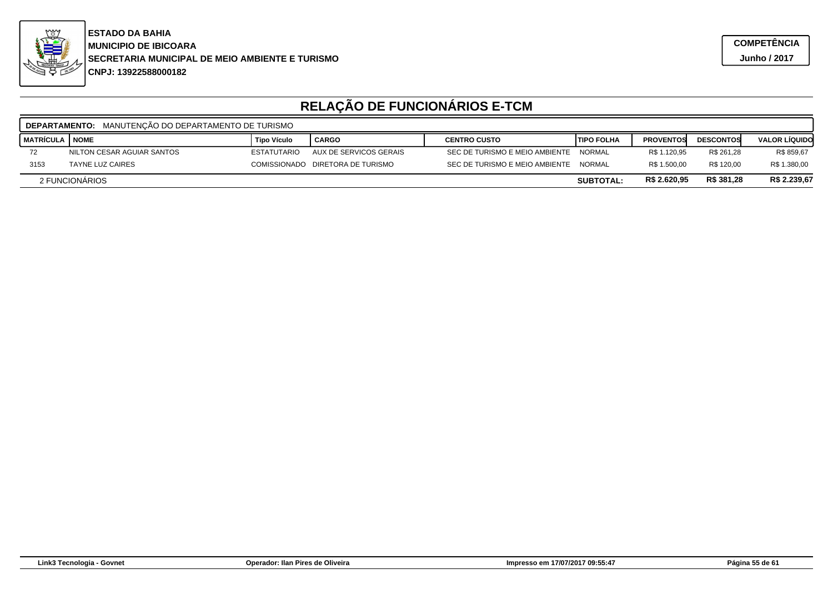

|                                                                  | <b>DEPARTAMENTO: MANUTENCÃO DO DEPARTAMENTO DE TURISMO</b> |                    |                                  |                                |                    |                  |                  |                      |  |  |
|------------------------------------------------------------------|------------------------------------------------------------|--------------------|----------------------------------|--------------------------------|--------------------|------------------|------------------|----------------------|--|--|
| I MATRÍCULA                                                      | I NOME                                                     | <b>Tipo Vículo</b> | <b>CARGO</b>                     | <b>CENTRO CUSTO</b>            | <b>ITIPO FOLHA</b> | <b>PROVENTOS</b> | <b>DESCONTOS</b> | <b>VALOR LÍQUIDO</b> |  |  |
| 72                                                               | NILTON CESAR AGUIAR SANTOS                                 | <b>ESTATUTARIO</b> | AUX DE SERVICOS GERAIS           | SEC DE TURISMO E MEIO AMBIENTE | NORMAL             | R\$ 1.120,95     | R\$ 261,28       | R\$ 859,67           |  |  |
| 3153                                                             | <b>TAYNE LUZ CAIRES</b>                                    |                    | COMISSIONADO DIRETORA DE TURISMO | SEC DE TURISMO E MEIO AMBIENTE | <b>NORMAL</b>      | R\$ 1.500.00     | R\$ 120.00       | R\$ 1.380,00         |  |  |
| R\$ 381,28<br>R\$ 2.620,95<br>2 FUNCIONARIOS<br><b>SUBTOTAL:</b> |                                                            |                    |                                  |                                |                    |                  |                  | R\$ 2.239,67         |  |  |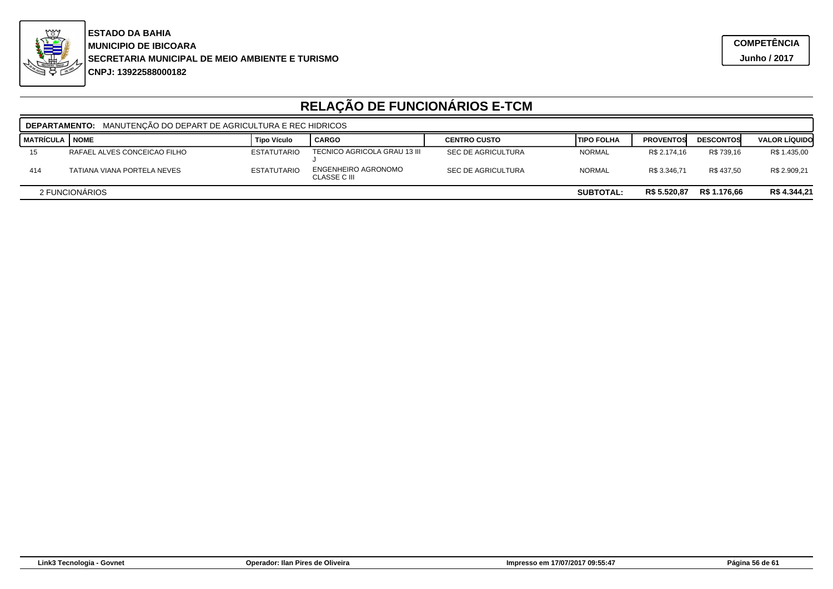

| MANUTENÇÃO DO DEPART DE AGRICULTURA E REC HIDRICOS<br><b>DEPARTAMENTO:</b> |                                                                    |                    |                                     |                           |                    |                  |                  |                      |  |
|----------------------------------------------------------------------------|--------------------------------------------------------------------|--------------------|-------------------------------------|---------------------------|--------------------|------------------|------------------|----------------------|--|
| <b>MATRÍCULA</b>                                                           | <b>NOME</b>                                                        | <b>Tipo Vículo</b> | <b>CARGO</b>                        | <b>CENTRO CUSTO</b>       | <b>ITIPO FOLHA</b> | <b>PROVENTOS</b> | <b>DESCONTOS</b> | <b>VALOR LÍQUIDO</b> |  |
| 15                                                                         | RAFAEL ALVES CONCEICAO FILHO                                       | <b>ESTATUTARIO</b> | TECNICO AGRICOLA GRAU 13 III        | <b>SEC DE AGRICULTURA</b> | <b>NORMAL</b>      | R\$ 2.174.16     | R\$ 739.16       | R\$ 1.435,00         |  |
| 414                                                                        | TATIANA VIANA PORTELA NEVES                                        | <b>ESTATUTARIO</b> | ENGENHEIRO AGRONOMO<br>CLASSE C III | <b>SEC DE AGRICULTURA</b> | <b>NORMAL</b>      | R\$ 3.346.71     | R\$437.50        | R\$ 2.909,21         |  |
|                                                                            | R\$ 1.176,66<br>R\$ 5.520,87<br>2 FUNCIONARIOS<br><b>SUBTOTAL:</b> |                    |                                     |                           |                    |                  |                  | R\$ 4.344,21         |  |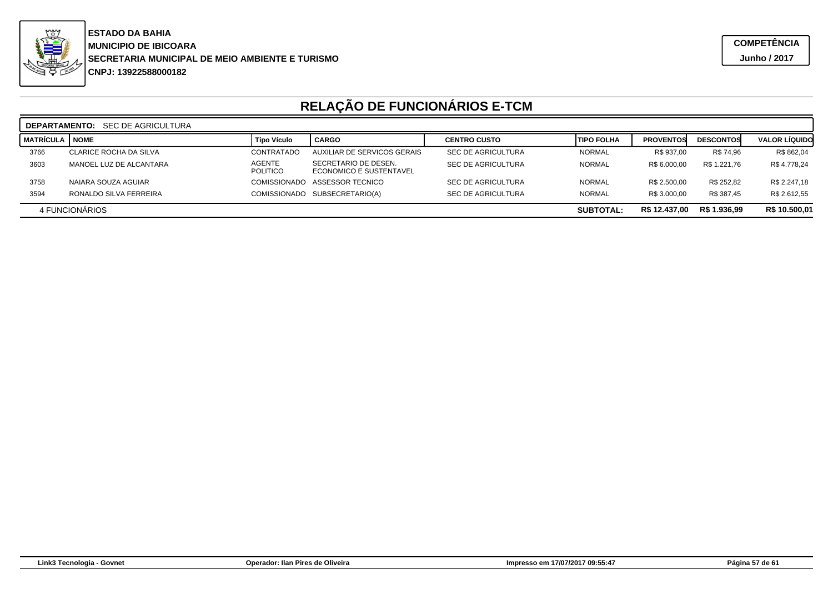

|           | <b>DEPARTAMENTO:</b> SEC DE AGRICULTURA |                           |                                                 |                           |                    |                  |                  |                      |  |  |
|-----------|-----------------------------------------|---------------------------|-------------------------------------------------|---------------------------|--------------------|------------------|------------------|----------------------|--|--|
| MATRÍCULA | <b>NOME</b>                             | Tipo Vículo               | <b>CARGO</b>                                    | <b>CENTRO CUSTO</b>       | <b>ITIPO FOLHA</b> | <b>PROVENTOS</b> | <b>DESCONTOS</b> | <b>VALOR LÍQUIDO</b> |  |  |
| 3766      | CLARICE ROCHA DA SILVA                  | CONTRATADO                | AUXILIAR DE SERVICOS GERAIS                     | SEC DE AGRICULTURA        | <b>NORMAL</b>      | R\$ 937,00       | R\$ 74,96        | R\$ 862,04           |  |  |
| 3603      | MANOEL LUZ DE ALCANTARA                 | <b>AGENTE</b><br>POLITICO | SECRETARIO DE DESEN.<br>ECONOMICO E SUSTENTAVEL | <b>SEC DE AGRICULTURA</b> | <b>NORMAL</b>      | R\$ 6.000.00     | R\$ 1.221.76     | R\$4.778,24          |  |  |
| 3758      | NAIARA SOUZA AGUIAR                     | <b>COMISSIONADO</b>       | ASSESSOR TECNICO                                | <b>SEC DE AGRICULTURA</b> | <b>NORMAL</b>      | R\$ 2.500.00     | R\$ 252.82       | R\$ 2.247,18         |  |  |
| 3594      | RONALDO SILVA FERREIRA                  | <b>COMISSIONADO</b>       | SUBSECRETARIO(A)                                | <b>SEC DE AGRICULTURA</b> | <b>NORMAL</b>      | R\$ 3.000.00     | R\$ 387.45       | R\$ 2.612,55         |  |  |
|           | 4 FUNCIONARIOS                          |                           |                                                 |                           | <b>SUBTOTAL:</b>   | R\$ 12.437,00    | R\$ 1.936,99     | R\$ 10.500,01        |  |  |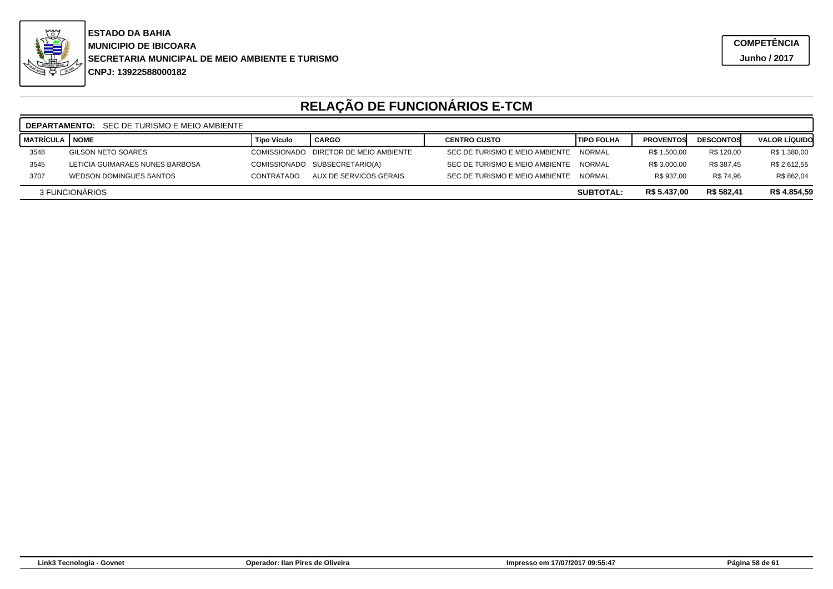

|                                                                  | <b>DEPARTAMENTO:</b> SEC DE TURISMO E MEIO AMBIENTE |                    |                                       |                                |                   |                  |                  |                      |  |  |  |
|------------------------------------------------------------------|-----------------------------------------------------|--------------------|---------------------------------------|--------------------------------|-------------------|------------------|------------------|----------------------|--|--|--|
| <b>MATRÍCULA</b>                                                 | <b>NOME</b>                                         | <b>Tipo Vículo</b> | <b>CARGO</b>                          | <b>CENTRO CUSTO</b>            | <b>TIPO FOLHA</b> | <b>PROVENTOS</b> | <b>DESCONTOS</b> | <b>VALOR LIQUIDO</b> |  |  |  |
| 3548                                                             | <b>GILSON NETO SOARES</b>                           |                    | COMISSIONADO DIRETOR DE MEIO AMBIENTE | SEC DE TURISMO E MEIO AMBIENTE | <b>NORMAL</b>     | R\$ 1.500,00     | R\$ 120,00       | R\$ 1.380,00         |  |  |  |
| 3545                                                             | LETICIA GUIMARAES NUNES BARBOSA                     |                    | COMISSIONADO SUBSECRETARIO(A)         | SEC DE TURISMO E MEIO AMBIENTE | <b>NORMAL</b>     | R\$ 3.000,00     | R\$ 387,45       | R\$ 2.612,55         |  |  |  |
| 3707                                                             | <b>WEDSON DOMINGUES SANTOS</b>                      | <b>CONTRATADO</b>  | AUX DE SERVICOS GERAIS                | SEC DE TURISMO E MEIO AMBIENTE | NORMAL            | R\$ 937.00       | R\$ 74.96        | R\$ 862,04           |  |  |  |
| R\$ 582,41<br>R\$ 5.437,00<br>3 FUNCIONARIOS<br><b>SUBTOTAL:</b> |                                                     |                    |                                       |                                |                   |                  | R\$ 4.854,59     |                      |  |  |  |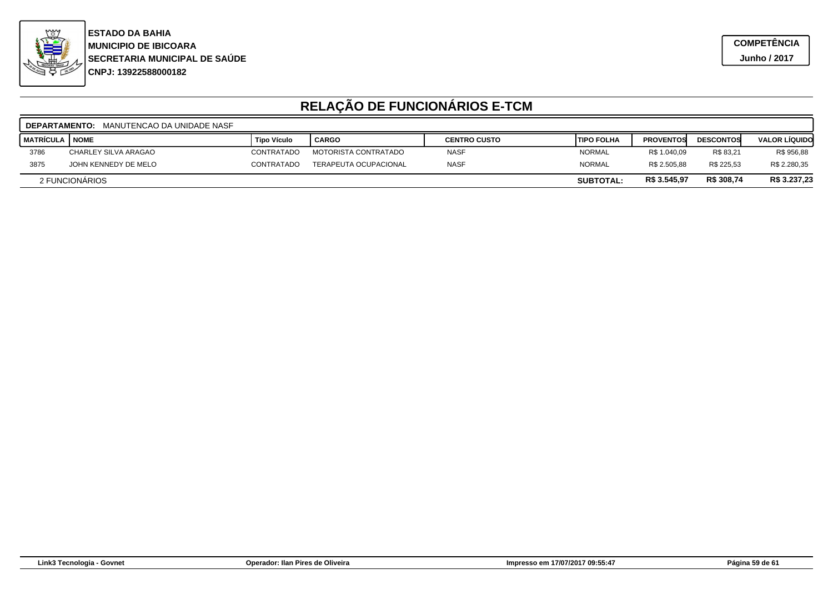

|                         | <b>DEPARTAMENTO:</b> MANUTENCAO DA UNIDADE NASF |                    |                              |                     |                    |                  |                  |                      |  |  |
|-------------------------|-------------------------------------------------|--------------------|------------------------------|---------------------|--------------------|------------------|------------------|----------------------|--|--|
| <b>MATRÍCULA I NOME</b> |                                                 | <b>Tipo Vículo</b> | <b>CARGO</b>                 | <b>CENTRO CUSTO</b> | <b>ITIPO FOLHA</b> | <b>PROVENTOS</b> | <b>DESCONTOS</b> | <b>VALOR LÍQUIDO</b> |  |  |
| 3786                    | CHARLEY SILVA ARAGAO                            | <b>CONTRATADO</b>  | <b>MOTORISTA CONTRATADO</b>  | <b>NASF</b>         | <b>NORMAL</b>      | R\$ 1.040.09     | R\$ 83.21        | R\$ 956,88           |  |  |
| 3875                    | JOHN KENNEDY DE MELO                            | CONTRATADO         | <b>TERAPEUTA OCUPACIONAL</b> | <b>NASF</b>         | <b>NORMAL</b>      | R\$ 2.505.88     | R\$ 225.53       | R\$ 2.280,35         |  |  |
|                         | 2 FUNCIONARIOS                                  |                    |                              |                     | <b>SUBTOTAL:</b>   | R\$ 3.545,97     | R\$ 308,74       | R\$ 3.237,23         |  |  |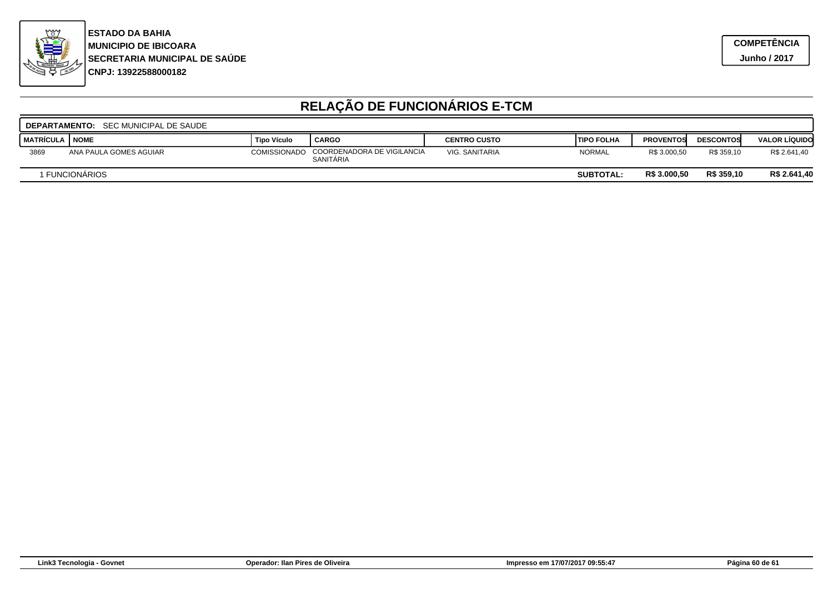

|             | <b>DEPARTAMENTO:</b> SEC MUNICIPAL DE SAUDE |                    |                                         |                     |                    |                  |                  |                      |  |  |  |
|-------------|---------------------------------------------|--------------------|-----------------------------------------|---------------------|--------------------|------------------|------------------|----------------------|--|--|--|
| I MATRÍCULA | <b>NOME</b>                                 | <b>Tipo Vículo</b> | <sup>1</sup> CARGO                      | <b>CENTRO CUSTO</b> | <b>ITIPO FOLHA</b> | <b>PROVENTOS</b> | <b>DESCONTOS</b> | <b>VALOR LÍQUIDO</b> |  |  |  |
| 3869        | ANA PAULA GOMES AGUIAR                      | COMISSIONADO       | COORDENADORA DE VIGILANCIA<br>SANITARIA | VIG. SANITARIA      | <b>NORMAL</b>      | R\$ 3.000.50     | R\$ 359.10       | R\$ 2.641,40         |  |  |  |
|             | 1 FUNCIONÁRIOS                              |                    |                                         |                     | <b>SUBTOTAL:</b>   | R\$ 3.000,50     | R\$ 359,10       | R\$ 2.641,40         |  |  |  |